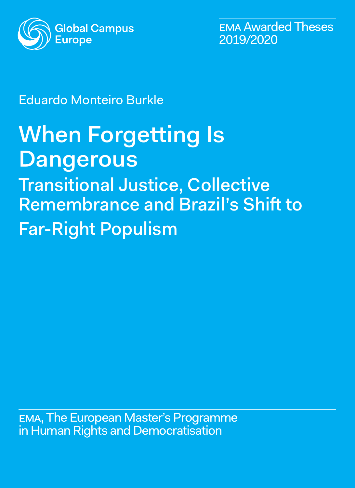

ema Awarded Theses 2019/2020

## Eduardo Monteiro Burkle

# When Forgetting Is **Dangerous**

Transitional Justice, Collective Remembrance and Brazil's Shift to Far-Right Populism

ema, The European Master's Programme in Human Rights and Democratisation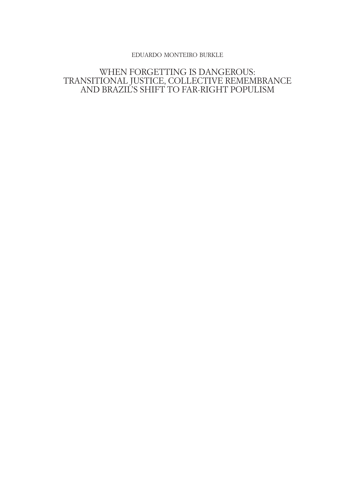## eduardo monteiro burkle

## WHEN FORGETTING IS DANGEROUS: TRANSITIONAL JUSTICE, COLLECTIVE REMEMBRANCE AND BRAZIL'S SHIFT TO FAR-RIGHT POPULISM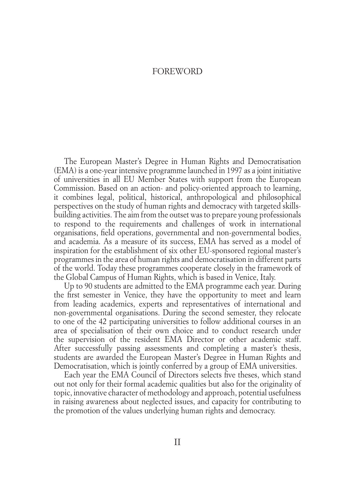## **FOREWORD**

<span id="page-2-0"></span>The European Master's Degree in Human Rights and Democratisation (EMA) is a one-year intensive programme launched in 1997 as a joint initiative of universities in all EU Member States with support from the European Commission. Based on an action- and policy-oriented approach to learning, it combines legal, political, historical, anthropological and philosophical perspectives on the study of human rights and democracy with targeted skillsbuilding activities. The aim from the outset was to prepare young professionals to respond to the requirements and challenges of work in international organisations, field operations, governmental and non-governmental bodies, and academia. As a measure of its success, EMA has served as a model of inspiration for the establishment of six other EU-sponsored regional master's programmes in the area of human rights and democratisation in different parts of the world. Today these programmes cooperate closely in the framework of the Global Campus of Human Rights, which is based in Venice, Italy.

Up to 90 students are admitted to the EMA programme each year. During the first semester in Venice, they have the opportunity to meet and learn from leading academics, experts and representatives of international and non-governmental organisations. During the second semester, they relocate to one of the 42 participating universities to follow additional courses in an area of specialisation of their own choice and to conduct research under the supervision of the resident EMA Director or other academic staff. After successfully passing assessments and completing a master's thesis, students are awarded the European Master's Degree in Human Rights and Democratisation, which is jointly conferred by a group of EMA universities.

Each year the EMA Council of Directors selects five theses, which stand out not only for their formal academic qualities but also for the originality of topic, innovative character of methodology and approach, potential usefulness in raising awareness about neglected issues, and capacity for contributing to the promotion of the values underlying human rights and democracy.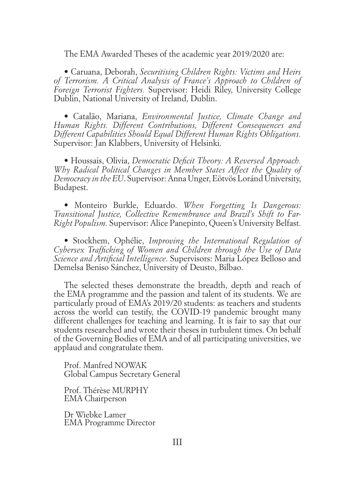The EMA Awarded Theses of the academic year 2019/2020 are:

• Caruana, Deborah, *Securitising Children Rights: Victims and Heirs of Terrorism. A Critical Analysis of France's Approach to Children of Foreign Terrorist Fighters.* Supervisor: Heidi Riley, University College Dublin, National University of Ireland, Dublin.

• Catalão, Mariana, *Environmental Justice, Climate Change and Human Rights. Different Contributions, Different Consequences and Different Capabilities Should Equal Different Human Rights Obligations.*  Supervisor: Jan Klabbers, University of Helsinki.

• Houssais, Olivia, *Democratic Deficit Theory: A Reversed Approach. Why Radical Political Changes in Member States Affect the Quality of Democracy in the EU*. Supervisor: Anna Unger, Eötvös Loránd University, Budapest.

• Monteiro Burkle, Eduardo. *When Forgetting Is Dangerous: Transitional Justice, Collective Remembrance and Brazil's Shift to Far-Right Populism.* Supervisor: Alice Panepinto, Queen's University Belfast.

• Stockhem, Ophélie, *Improving the International Regulation of Cybersex Trafficking of Women and Children through the Use of Data Science and Artificial Intelligence*. Supervisors: Maria López Belloso and Demelsa Beniso Sánchez, University of Deusto, Bilbao.

The selected theses demonstrate the breadth, depth and reach of the EMA programme and the passion and talent of its students. We are particularly proud of EMA's 2019/20 students: as teachers and students across the world can testify, the COVID-19 pandemic brought many different challenges for teaching and learning. It is fair to say that our students researched and wrote their theses in turbulent times. On behalf of the Governing Bodies of EMA and of all participating universities, we applaud and congratulate them.

Prof. Manfred NOWAK Global Campus Secretary General

Prof. Thérèse MURPHY EMA Chairperson

Dr Wiebke Lamer EMA Programme Director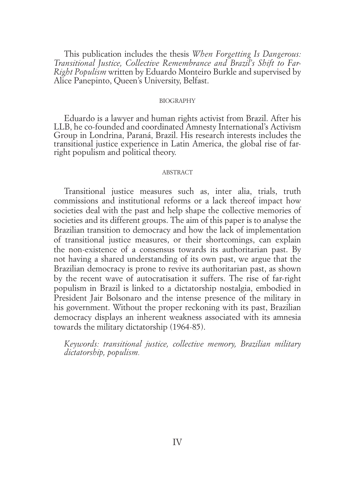<span id="page-4-0"></span>This publication includes the thesis *When Forgetting Is Dangerous: Transitional Justice, Collective Remembrance and Brazil's Shift to Far-Right Populism* written by Eduardo Monteiro Burkle and supervised by Alice Panepinto, Queen's University, Belfast.

#### **BIOGRAPHY**

Eduardo is a lawyer and human rights activist from Brazil. After his LLB, he co-founded and coordinated Amnesty International's Activism Group in Londrina, Paraná, Brazil. His research interests includes the transitional justice experience in Latin America, the global rise of farright populism and political theory.

#### **ABSTRACT**

Transitional justice measures such as, inter alia, trials, truth commissions and institutional reforms or a lack thereof impact how societies deal with the past and help shape the collective memories of societies and its different groups. The aim of this paper is to analyse the Brazilian transition to democracy and how the lack of implementation of transitional justice measures, or their shortcomings, can explain the non-existence of a consensus towards its authoritarian past. By not having a shared understanding of its own past, we argue that the Brazilian democracy is prone to revive its authoritarian past, as shown by the recent wave of autocratisation it suffers. The rise of far-right populism in Brazil is linked to a dictatorship nostalgia, embodied in President Jair Bolsonaro and the intense presence of the military in his government. Without the proper reckoning with its past, Brazilian democracy displays an inherent weakness associated with its amnesia towards the military dictatorship (1964-85).

*Keywords: transitional justice, collective memory, Brazilian military dictatorship, populism.*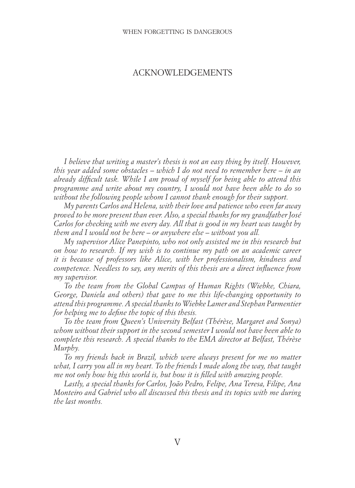## ACKNOWLEDGEMENTS

*I believe that writing a master's thesis is not an easy thing by itself. However, this year added some obstacles – which I do not need to remember here – in an already difficult task. While I am proud of myself for being able to attend this programme and write about my country, I would not have been able to do so without the following people whom I cannot thank enough for their support.* 

*My parents Carlos and Helena, with their love and patience who even far away proved to be more present than ever. Also, a special thanks for my grandfather José Carlos for checking with me every day. All that is good in my heart was taught by them and I would not be here – or anywhere else – without you all.*

*My supervisor Alice Panepinto, who not only assisted me in this research but on how to research. If my wish is to continue my path on an academic career it is because of professors like Alice, with her professionalism, kindness and competence. Needless to say, any merits of this thesis are a direct influence from my supervisor.*

*To the team from the Global Campus of Human Rights (Wiebke, Chiara, George, Daniela and others) that gave to me this life-changing opportunity to attend this programme. A special thanks to Wiebke Lamer and Stephan Parmentier for helping me to define the topic of this thesis.* 

*To the team from Queen's University Belfast (Thérèse, Margaret and Sonya) whom without their support in the second semester I would not have been able to complete this research. A special thanks to the EMA director at Belfast, Thérèse Murphy.* 

*To my friends back in Brazil, which were always present for me no matter what, I carry you all in my heart. To the friends I made along the way, that taught me not only how big this world is, but how it is filled with amazing people.*

*Lastly, a special thanks for Carlos, João Pedro, Felipe, Ana Teresa, Filipe, Ana Monteiro and Gabriel who all discussed this thesis and its topics with me during the last months.*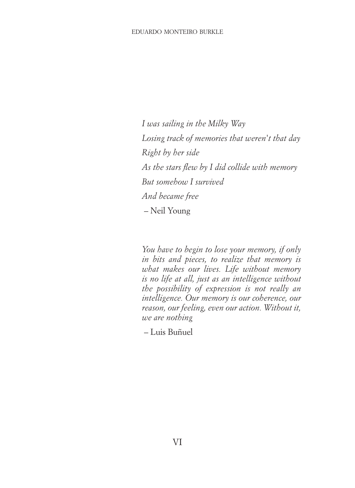#### eduardo monteiro burkle

*I was sailing in the Milky Way Losing track of memories that weren't that day Right by her side As the stars flew by I did collide with memory But somehow I survived And became free* – Neil Young

*You have to begin to lose your memory, if only in bits and pieces, to realize that memory is what makes our lives. Life without memory is no life at all, just as an intelligence without the possibility of expression is not really an intelligence. Our memory is our coherence, our reason, our feeling, even our action. Without it, we are nothing*

– Luis Buñuel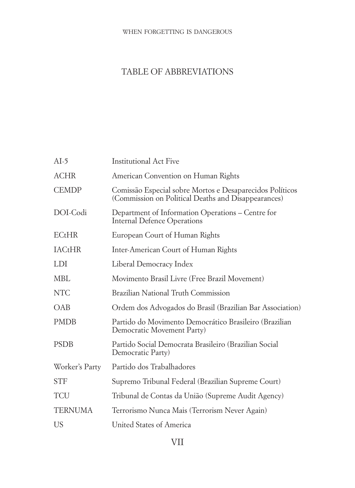#### <span id="page-7-0"></span>when forgetting is dangerous

## TABLE OF ABBREVIATIONS

| $AI-5$         | <b>Institutional Act Five</b>                                                                                   |
|----------------|-----------------------------------------------------------------------------------------------------------------|
| <b>ACHR</b>    | American Convention on Human Rights                                                                             |
| <b>CEMDP</b>   | Comissão Especial sobre Mortos e Desaparecidos Políticos<br>(Commission on Political Deaths and Disappearances) |
| DOL-Codi       | Department of Information Operations - Centre for<br>Internal Defence Operations                                |
| $E$ CtHR       | European Court of Human Rights                                                                                  |
| <b>IACtHR</b>  | Inter-American Court of Human Rights                                                                            |
| LDI            | Liberal Democracy Index                                                                                         |
| MBL            | Movimento Brasil Livre (Free Brazil Movement)                                                                   |
| <b>NTC</b>     | Brazilian National Truth Commission                                                                             |
| <b>OAB</b>     | Ordem dos Advogados do Brasil (Brazilian Bar Association)                                                       |
| <b>PMDB</b>    | Partido do Movimento Democrático Brasileiro (Brazilian<br>Democratic Movement Party)                            |
| <b>PSDB</b>    | Partido Social Democrata Brasileiro (Brazilian Social<br>Democratic Party)                                      |
| Worker's Party | Partido dos Trabalhadores                                                                                       |
| <b>STF</b>     | Supremo Tribunal Federal (Brazilian Supreme Court)                                                              |
| TCU            | Tribunal de Contas da União (Supreme Audit Agency)                                                              |
| TERNUMA        | Terrorismo Nunca Mais (Terrorism Never Again)                                                                   |
| US             | United States of America                                                                                        |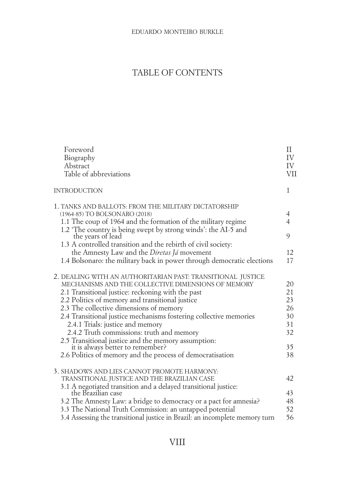## TABLE OF CONTENTS

| Foreword<br>Biography<br>Abstract<br>Table of abbreviations                                                                                                                                                                                                                                                                                                                                                                                                                                                                                                                        | П<br>IV<br>IV<br>VII                               |
|------------------------------------------------------------------------------------------------------------------------------------------------------------------------------------------------------------------------------------------------------------------------------------------------------------------------------------------------------------------------------------------------------------------------------------------------------------------------------------------------------------------------------------------------------------------------------------|----------------------------------------------------|
| <b>INTRODUCTION</b>                                                                                                                                                                                                                                                                                                                                                                                                                                                                                                                                                                | 1                                                  |
| 1. TANKS AND BALLOTS: FROM THE MILITARY DICTATORSHIP<br>(1964-85) TO BOLSONARO (2018)<br>1.1 The coup of 1964 and the formation of the military regime<br>1.2 'The country is being swept by strong winds': the AI-5 and<br>the years of lead<br>1.3 A controlled transition and the rebirth of civil society:<br>the Amnesty Law and the <i>Diretas Já</i> movement<br>1.4 Bolsonaro: the military back in power through democratic elections                                                                                                                                     | 4<br>$\overline{4}$<br>9<br>12<br>17               |
| 2. DEALING WITH AN AUTHORITARIAN PAST: TRANSITIONAL JUSTICE<br>MECHANISMS AND THE COLLECTIVE DIMENSIONS OF MEMORY<br>2.1 Transitional justice: reckoning with the past<br>2.2 Politics of memory and transitional justice<br>2.3 The collective dimensions of memory<br>2.4 Transitional justice mechanisms fostering collective memories<br>2.4.1 Trials: justice and memory<br>2.4.2 Truth commissions: truth and memory<br>2.5 Transitional justice and the memory assumption:<br>it is always better to remember?<br>2.6 Politics of memory and the process of democratisation | 20<br>21<br>23<br>26<br>30<br>31<br>32<br>35<br>38 |
| 3. SHADOWS AND LIES CANNOT PROMOTE HARMONY:<br>TRANSITIONAL JUSTICE AND THE BRAZILIAN CASE<br>3.1 A negotiated transition and a delayed transitional justice:<br>the Brazilian case<br>3.2 The Amnesty Law: a bridge to democracy or a pact for amnesia?<br>3.3 The National Truth Commission: an untapped potential<br>3.4 Assessing the transitional justice in Brazil: an incomplete memory turn                                                                                                                                                                                | 42<br>43<br>48<br>52<br>56                         |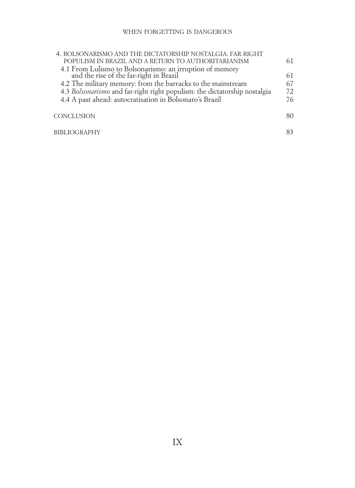| 4. BOLSONARISMO AND THE DICTATORSHIP NOSTALGIA: FAR-RIGHT                                                                                                           |          |
|---------------------------------------------------------------------------------------------------------------------------------------------------------------------|----------|
| POPULISM IN BRAZIL AND A RETURN TO AUTHORITARIANISM                                                                                                                 | 61       |
| 4.1 From Lulismo to Bolsonarismo: an irruption of memory<br>and the rise of the far-right in Brazil<br>4.2 The military memory: from the barracks to the mainstream | 61<br>67 |
| 4.3 Bolsonarismo and far-right right populism: the dictatorship nostalgia                                                                                           |          |
| 4.4 A past ahead: autocratisation in Bolsonaro's Brazil                                                                                                             | 72<br>76 |
|                                                                                                                                                                     |          |
| <b>CONCLUSION</b>                                                                                                                                                   | 80       |
| <b>BIBLIOGRAPHY</b>                                                                                                                                                 | 83       |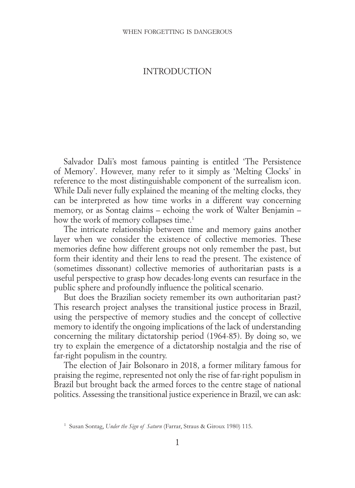## <span id="page-10-0"></span>INTRODUCTION

Salvador Dali's most famous painting is entitled 'The Persistence of Memory'. However, many refer to it simply as 'Melting Clocks' in reference to the most distinguishable component of the surrealism icon. While Dali never fully explained the meaning of the melting clocks, they can be interpreted as how time works in a different way concerning memory, or as Sontag claims – echoing the work of Walter Benjamin – how the work of memory collapses time.<sup>1</sup>

The intricate relationship between time and memory gains another layer when we consider the existence of collective memories. These memories define how different groups not only remember the past, but form their identity and their lens to read the present. The existence of (sometimes dissonant) collective memories of authoritarian pasts is a useful perspective to grasp how decades-long events can resurface in the public sphere and profoundly influence the political scenario.

But does the Brazilian society remember its own authoritarian past? This research project analyses the transitional justice process in Brazil, using the perspective of memory studies and the concept of collective memory to identify the ongoing implications of the lack of understanding concerning the military dictatorship period (1964-85). By doing so, we try to explain the emergence of a dictatorship nostalgia and the rise of far-right populism in the country.

The election of Jair Bolsonaro in 2018, a former military famous for praising the regime, represented not only the rise of far-right populism in Brazil but brought back the armed forces to the centre stage of national politics. Assessing the transitional justice experience in Brazil, we can ask:

<sup>1</sup> Susan Sontag, *Under the Sign of Saturn* (Farrar, Straus & Giroux 1980) 115.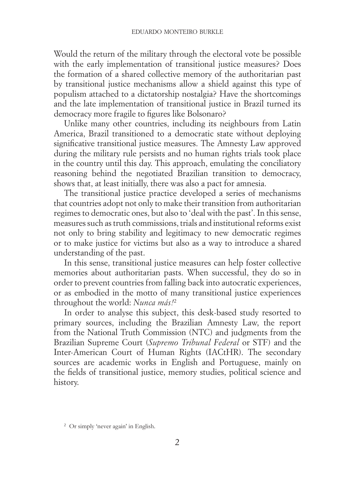Would the return of the military through the electoral vote be possible with the early implementation of transitional justice measures? Does the formation of a shared collective memory of the authoritarian past by transitional justice mechanisms allow a shield against this type of populism attached to a dictatorship nostalgia? Have the shortcomings and the late implementation of transitional justice in Brazil turned its democracy more fragile to figures like Bolsonaro?

Unlike many other countries, including its neighbours from Latin America, Brazil transitioned to a democratic state without deploying significative transitional justice measures. The Amnesty Law approved during the military rule persists and no human rights trials took place in the country until this day. This approach, emulating the conciliatory reasoning behind the negotiated Brazilian transition to democracy, shows that, at least initially, there was also a pact for amnesia.

The transitional justice practice developed a series of mechanisms that countries adopt not only to make their transition from authoritarian regimes to democratic ones, but also to 'deal with the past'. In this sense, measures such as truth commissions, trials and institutional reforms exist not only to bring stability and legitimacy to new democratic regimes or to make justice for victims but also as a way to introduce a shared understanding of the past.

In this sense, transitional justice measures can help foster collective memories about authoritarian pasts. When successful, they do so in order to prevent countries from falling back into autocratic experiences, or as embodied in the motto of many transitional justice experiences throughout the world: *Nunca más!*<sup>2</sup>

In order to analyse this subject, this desk-based study resorted to primary sources, including the Brazilian Amnesty Law, the report from the National Truth Commission (NTC) and judgments from the Brazilian Supreme Court (*Supremo Tribunal Federal* or STF) and the Inter-American Court of Human Rights (IACtHR). The secondary sources are academic works in English and Portuguese, mainly on the fields of transitional justice, memory studies, political science and history.

<sup>2</sup> Or simply 'never again' in English.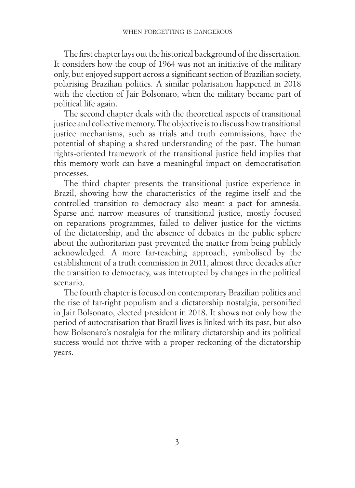The first chapter lays out the historical background of the dissertation. It considers how the coup of 1964 was not an initiative of the military only, but enjoyed support across a significant section of Brazilian society, polarising Brazilian politics. A similar polarisation happened in 2018 with the election of Jair Bolsonaro, when the military became part of political life again.

The second chapter deals with the theoretical aspects of transitional justice and collective memory. The objective is to discuss how transitional justice mechanisms, such as trials and truth commissions, have the potential of shaping a shared understanding of the past. The human rights-oriented framework of the transitional justice field implies that this memory work can have a meaningful impact on democratisation processes.

The third chapter presents the transitional justice experience in Brazil, showing how the characteristics of the regime itself and the controlled transition to democracy also meant a pact for amnesia. Sparse and narrow measures of transitional justice, mostly focused on reparations programmes, failed to deliver justice for the victims of the dictatorship, and the absence of debates in the public sphere about the authoritarian past prevented the matter from being publicly acknowledged. A more far-reaching approach, symbolised by the establishment of a truth commission in 2011, almost three decades after the transition to democracy, was interrupted by changes in the political scenario.

The fourth chapter is focused on contemporary Brazilian politics and the rise of far-right populism and a dictatorship nostalgia, personified in Jair Bolsonaro, elected president in 2018. It shows not only how the period of autocratisation that Brazil lives is linked with its past, but also how Bolsonaro's nostalgia for the military dictatorship and its political success would not thrive with a proper reckoning of the dictatorship years.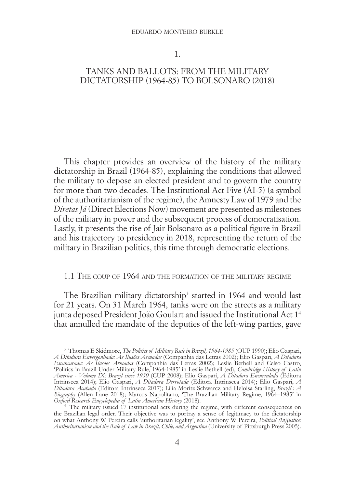#### eduardo monteiro burkle

1.

## <span id="page-13-0"></span>TANKS AND BALLOTS: FROM THE MILITARY DICTATORSHIP (1964-85) TO BOLSONARO (2018)

This chapter provides an overview of the history of the military dictatorship in Brazil (1964-85), explaining the conditions that allowed the military to depose an elected president and to govern the country for more than two decades. The Institutional Act Five (AI-5) (a symbol of the authoritarianism of the regime), the Amnesty Law of 1979 and the *Diretas Já* (Direct Elections Now) movement are presented as milestones of the military in power and the subsequent process of democratisation. Lastly, it presents the rise of Jair Bolsonaro as a political figure in Brazil and his trajectory to presidency in 2018, representing the return of the military in Brazilian politics, this time through democratic elections.

## 1.1 The coup of 1964 and the formation of the military regime

The Brazilian military dictatorship<sup>3</sup> started in 1964 and would last for 21 years. On 31 March 1964, tanks were on the streets as a military junta deposed President João Goulart and issued the Institutional Act 14 that annulled the mandate of the deputies of the left-wing parties, gave

<sup>&</sup>lt;sup>3</sup> Thomas E Skidmore, *The Politics of Military Rule in Brazil, 1964-1985* (OUP 1990); Elio Gaspari, *A Ditadura Envergonhada: As Ilusões Armadas* (Companhia das Letras 2002); Elio Gaspari, *A Ditadura Escancarada: As Ilusoes Armadas* (Companhia das Letras 2002); Leslie Bethell and Celso Castro, 'Politics in Brazil Under Military Rule, 1964-1985' in Leslie Bethell (ed), *Cambridge History of Latin America - Volume IX: Brazil since 1930* (CUP 2008); Elio Gaspari, *A Ditadura Encurralada* (Editora Intrinseca 2014); Elio Gaspari, *A Ditadura Derrotada* (Editora Intrinseca 2014); Elio Gaspari, *A Ditadura Acabada* (Editora Intrinseca 2017); Lilia Moritz Schwarcz and Heloisa Starling, *Brazil : A*  Biography (Allen Lane 2018); Marcos Napolitano, 'The Brazilian Military Regime, 1964–1985' in Oxford Research Encyclopedia of Latin American History (2018).<br><sup>4</sup> The military issued 17 institutional acts during the regime,

the Brazilian legal order. Their objective was to portray a sense of legitimacy to the dictatorship on what Anthony W Pereira calls 'authoritarian legality', see Anthony W Pereira, *Political (In)Justice: Authoritarianism and the Rule of Law in Brazil, Chile, and Argentina* (University of Pittsburgh Press 2005).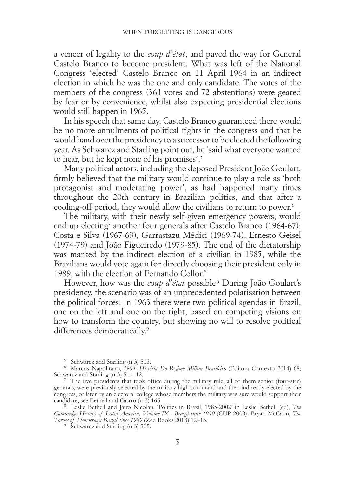a veneer of legality to the *coup d'état*, and paved the way for General Castelo Branco to become president. What was left of the National Congress 'elected' Castelo Branco on 11 April 1964 in an indirect election in which he was the one and only candidate. The votes of the members of the congress (361 votes and 72 abstentions) were geared by fear or by convenience, whilst also expecting presidential elections would still happen in 1965.

In his speech that same day, Castelo Branco guaranteed there would be no more annulments of political rights in the congress and that he would hand over the presidency to a successor to be elected the following year. As Schwarcz and Starling point out, he 'said what everyone wanted to hear, but he kept none of his promises'.5

Many political actors, including the deposed President João Goulart, firmly believed that the military would continue to play a role as 'both protagonist and moderating power', as had happened many times throughout the 20th century in Brazilian politics, and that after a cooling-off period, they would allow the civilians to return to power.<sup>6</sup>

The military, with their newly self-given emergency powers, would end up electing<sup>7</sup> another four generals after Castelo Branco (1964-67): Costa e Silva (1967-69), Garrastazu Médici (1969-74), Ernesto Geisel (1974-79) and João Figueiredo (1979-85). The end of the dictatorship was marked by the indirect election of a civilian in 1985, while the Brazilians would vote again for directly choosing their president only in 1989, with the election of Fernando Collor.8

However, how was the *coup d'état* possible? During João Goulart's presidency, the scenario was of an unprecedented polarisation between the political forces. In 1963 there were two political agendas in Brazil, one on the left and one on the right, based on competing visions on how to transform the country, but showing no will to resolve political differences democratically.<sup>9</sup>

<sup>5</sup> Schwarcz and Starling (n 3) 513.

<sup>6</sup> Marcos Napolitano, *1964: História Do Regime Militar Brasileiro* (Editora Contexto 2014) 68; Schwarcz and Starling (n 3) 511–12.<br><sup>7</sup> The five presidents that took office during the military rule, all of them senior (four-star)

<sup>&</sup>lt;sup>7</sup> The five presidents that took office during the military rule, all of them senior (four-star) generals, were previously selected by the military high command and then indirectly elected by the congress, or later by an electoral college whose members the military was sure would support their candidate, see Bethell and Castro (n 3) 165. <sup>8</sup> Leslie Bethell and Jairo Nicolau, 'Politics in Brazil, 1985-2002' in Leslie Bethell (ed), *The* 

*Cambridge History of Latin America, Volume IX - Brazil since 1930* (CUP 2008); Bryan McCann, *The Throes of Democracy: Brazil since 1989 (Zed Books 2013) 12–13.*<br><sup>9</sup> Schwarcz and Starling (n 3) 505.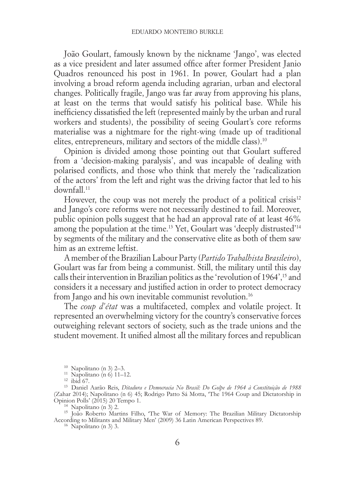João Goulart, famously known by the nickname 'Jango', was elected as a vice president and later assumed office after former President Janio Quadros renounced his post in 1961. In power, Goulart had a plan involving a broad reform agenda including agrarian, urban and electoral changes. Politically fragile, Jango was far away from approving his plans, at least on the terms that would satisfy his political base. While his inefficiency dissatisfied the left (represented mainly by the urban and rural workers and students), the possibility of seeing Goulart's core reforms materialise was a nightmare for the right-wing (made up of traditional elites, entrepreneurs, military and sectors of the middle class).10

Opinion is divided among those pointing out that Goulart suffered from a 'decision-making paralysis', and was incapable of dealing with polarised conflicts, and those who think that merely the 'radicalization of the actors' from the left and right was the driving factor that led to his downfall<sup>11</sup>

However, the coup was not merely the product of a political crisis $12$ and Jango's core reforms were not necessarily destined to fail. Moreover, public opinion polls suggest that he had an approval rate of at least 46% among the population at the time.<sup>13</sup> Yet, Goulart was 'deeply distrusted'<sup>14</sup> by segments of the military and the conservative elite as both of them saw him as an extreme leftist.

A member of the Brazilian Labour Party (*Partido Trabalhista Brasileiro*), Goulart was far from being a communist. Still, the military until this day calls their intervention in Brazilian politics as the 'revolution of 1964',<sup>15</sup> and considers it a necessary and justified action in order to protect democracy from Jango and his own inevitable communist revolution.<sup>16</sup>

The *coup d'état* was a multifaceted, complex and volatile project. It represented an overwhelming victory for the country's conservative forces outweighing relevant sectors of society, such as the trade unions and the student movement. It unified almost all the military forces and republican

<sup>14</sup> Napolitano (n 3) 2. <sup>1</sup><br><sup>15</sup> João Roberto Martins Filho, 'The War of Memory: The Brazilian Military Dictatorship According to Militants and Military Men' (2009) 36 Latin American Perspectives 89. 16 Napolitano (n 3) 3.

<sup>10</sup> Napolitano (n 3) 2–3. <sup>11</sup> Napolitano (n 6) 11–12. <sup>12</sup> ibid 67. <sup>13</sup> Daniel Aarão Reis, *Ditadura e Democracia No Brasil: Do Golpe de 1964 à Constituição de 1988* (Zahar 2014); Napolitano (n 6) 45; Rodrigo Patto Sá Motta, 'The 1964 Coup and Dictatorship in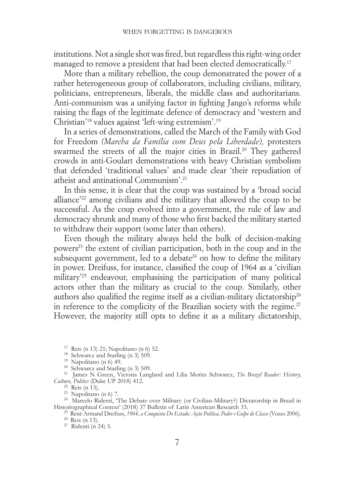institutions. Not a single shot was fired, but regardless this right-wing order managed to remove a president that had been elected democratically.<sup>17</sup>

More than a military rebellion, the coup demonstrated the power of a rather heterogeneous group of collaborators, including civilians, military, politicians, entrepreneurs, liberals, the middle class and authoritarians. Anti-communism was a unifying factor in fighting Jango's reforms while raising the flags of the legitimate defence of democracy and 'western and Christian'18 values against 'left-wing extremism'.19

In a series of demonstrations, called the March of the Family with God for Freedom *(Marcha da Família com Deus pela Liberdade),* protesters swarmed the streets of all the major cities in Brazil.<sup>20</sup> They gathered crowds in anti-Goulart demonstrations with heavy Christian symbolism that defended 'traditional values' and made clear 'their repudiation of atheist and antinational Communism'.21

In this sense, it is clear that the coup was sustained by a 'broad social alliance'22 among civilians and the military that allowed the coup to be successful. As the coup evolved into a government, the rule of law and democracy shrunk and many of those who first backed the military started to withdraw their support (some later than others).

Even though the military always held the bulk of decision-making powers<sup>23</sup> the extent of civilian participation, both in the coup and in the subsequent government, led to a debate<sup>24</sup> on how to define the military in power. Dreifuss, for instance, classified the coup of 1964 as a 'civilian military'25 endeavour, emphasising the participation of many political actors other than the military as crucial to the coup. Similarly, other authors also qualified the regime itself as a civilian-military dictatorship<sup>26</sup> in reference to the complicity of the Brazilian society with the regime.<sup>27</sup> However, the majority still opts to define it as a military dictatorship,

<sup>17</sup> Reis (n 13) 21; Napolitano (n 6) 52.<br><sup>18</sup> Schwarcz and Starling (n 3) 509.<br><sup>19</sup> Napolitano (n 6) 49.<br><sup>20</sup> Schwarcz and Starling (n 3) 509.<br><sup>21</sup> James N Green, Victoria Langland and Lilia Moritz Schwarcz, *The Brazil* 

<sup>22</sup> Reis (n 13).<br><sup>23</sup> Napolitano (n 6) 7.<br><sup>24</sup> Marcelo Ridenti, 'The Debate over Military (or Civilian-Military?) Dictatorship in Brazil in<br>Historiographical Context' (2018) 37 Bulletin of Latin American Research 33.

<sup>25</sup> René Armand Dreifuss, 1964, *a Conquista Do Estado: Ação Política*, Poder e Golpe de Classe (Vozes 2006).<br><sup>26</sup> Reis (n 13).<br><sup>27</sup> Ridenti (n 24) 5.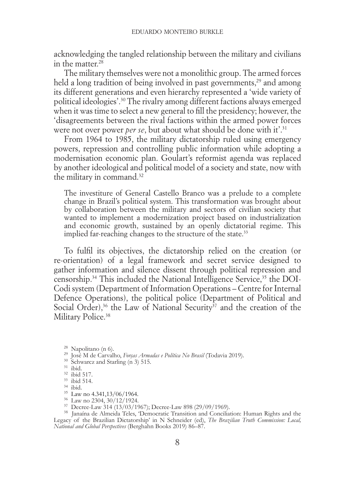acknowledging the tangled relationship between the military and civilians in the matter.28

The military themselves were not a monolithic group. The armed forces held a long tradition of being involved in past governments.<sup>29</sup> and among its different generations and even hierarchy represented a 'wide variety of political ideologies'.30 The rivalry among different factions always emerged when it was time to select a new general to fill the presidency; however, the 'disagreements between the rival factions within the armed power forces were not over power *per se*, but about what should be done with it'.<sup>31</sup>

From 1964 to 1985, the military dictatorship ruled using emergency powers, repression and controlling public information while adopting a modernisation economic plan. Goulart's reformist agenda was replaced by another ideological and political model of a society and state, now with the military in command.<sup>32</sup>

The investiture of General Castello Branco was a prelude to a complete change in Brazil's political system. This transformation was brought about by collaboration between the military and sectors of civilian society that wanted to implement a modernization project based on industrialization and economic growth, sustained by an openly dictatorial regime. This implied far-reaching changes to the structure of the state.<sup>33</sup>

To fulfil its objectives, the dictatorship relied on the creation (or re-orientation) of a legal framework and secret service designed to gather information and silence dissent through political repression and censorship.<sup>34</sup> This included the National Intelligence Service,<sup>35</sup> the DOI-Codi system (Department of Information Operations – Centre for Internal Defence Operations), the political police (Department of Political and Social Order),<sup>36</sup> the Law of National Security<sup> $37$ </sup> and the creation of the Military Police.<sup>38</sup>

<sup>&</sup>lt;sup>28</sup> Napolitano (n 6).<br><sup>29</sup> José M de Carvalho, *Forças Armadas e Política No Brasil* (Todavia 2019).<br><sup>31</sup> Schwarcz and Starling (n 3) 515.<br><sup>31</sup> ibid.<br><sup>31</sup> ibid.<br><sup>35</sup> Law no 4.341,13/06/1964.<br><sup>36</sup> Law no 2304, 30/12/1924.<br> Legacy of the Brazilian Dictatorship' in N Schneider (ed), *The Brazilian Truth Commission: Local, National and Global Perspectives* (Berghahn Books 2019) 86–87.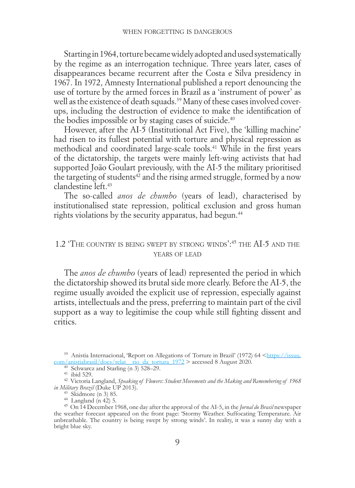<span id="page-18-0"></span>Starting in 1964, torture became widely adopted and used systematically by the regime as an interrogation technique. Three years later, cases of disappearances became recurrent after the Costa e Silva presidency in 1967. In 1972, Amnesty International published a report denouncing the use of torture by the armed forces in Brazil as a 'instrument of power' as well as the existence of death squads.<sup>39</sup> Many of these cases involved coverups, including the destruction of evidence to make the identification of the bodies impossible or by staging cases of suicide.<sup>40</sup>

However, after the AI-5 (Institutional Act Five), the 'killing machine' had risen to its fullest potential with torture and physical repression as methodical and coordinated large-scale tools.41 While in the first years of the dictatorship, the targets were mainly left-wing activists that had supported João Goulart previously, with the AI-5 the military prioritised the targeting of students<sup> $42$ </sup> and the rising armed struggle, formed by a now clandestine left.43

The so-called *anos de chumbo* (years of lead), characterised by institutionalised state repression, political exclusion and gross human rights violations by the security apparatus, had begun.<sup>44</sup>

## 1.2 'The country is being swept by strong winds':45 the AI-5 and the YEARS OF LEAD

The *anos de chumbo* (years of lead) represented the period in which the dictatorship showed its brutal side more clearly. Before the AI-5, the regime usually avoided the explicit use of repression, especially against artists, intellectuals and the press, preferring to maintain part of the civil support as a way to legitimise the coup while still fighting dissent and critics.

<sup>&</sup>lt;sup>39</sup> Anistia Internacional, 'Report on Allegations of Torture in Brazil' (1972) 64 <[https://issuu.](https://issuu.com/anistiabrasil/docs/relat__rio_da_tortura_1972)

com/anistiabrasil/docs/relaterrior data fortura 1972 > accessed 8 August 2020.<br>
<sup>40</sup> Schwarcz and Starling (n 3) 528–29.<br>
<sup>41</sup> ibid 529.<br>
<sup>42</sup> Victoria Langland, *Speaking of Flowers: Student Movements and the Making and R* 

in Military Brazil (Duke UP 2013).<br>
<sup>43</sup> Skidmore (n 3) 85.<br>
<sup>44</sup> Langland (n 42) 5.<br>
<sup>45</sup> On 14 December 1968, one day after the approval of the AI-5, in the *Jornal do Brasil* newspaper<br>
the weather forecast appeared on unbreathable. The country is being swept by strong winds'. In reality, it was a sunny day with a bright blue sky.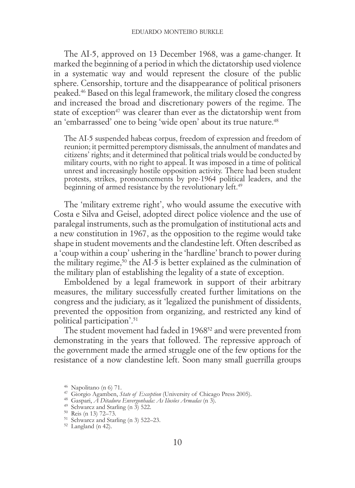The AI-5, approved on 13 December 1968, was a game-changer. It marked the beginning of a period in which the dictatorship used violence in a systematic way and would represent the closure of the public sphere. Censorship, torture and the disappearance of political prisoners peaked.46 Based on this legal framework, the military closed the congress and increased the broad and discretionary powers of the regime. The state of exception<sup>47</sup> was clearer than ever as the dictatorship went from an 'embarrassed' one to being 'wide open' about its true nature.<sup>48</sup>

The AI-5 suspended habeas corpus, freedom of expression and freedom of reunion; it permitted peremptory dismissals, the annulment of mandates and citizens' rights; and it determined that political trials would be conducted by military courts, with no right to appeal. It was imposed in a time of political unrest and increasingly hostile opposition activity. There had been student protests, strikes, pronouncements by pre-1964 political leaders, and the beginning of armed resistance by the revolutionary left.<sup>49</sup>

The 'military extreme right', who would assume the executive with Costa e Silva and Geisel, adopted direct police violence and the use of paralegal instruments, such as the promulgation of institutional acts and a new constitution in 1967, as the opposition to the regime would take shape in student movements and the clandestine left. Often described as a 'coup within a coup' ushering in the 'hardline' branch to power during the military regime, $50$  the AI-5 is better explained as the culmination of the military plan of establishing the legality of a state of exception.

Emboldened by a legal framework in support of their arbitrary measures, the military successfully created further limitations on the congress and the judiciary, as it 'legalized the punishment of dissidents, prevented the opposition from organizing, and restricted any kind of political participation'.51

The student movement had faded in 1968<sup>52</sup> and were prevented from demonstrating in the years that followed. The repressive approach of the government made the armed struggle one of the few options for the resistance of a now clandestine left. Soon many small guerrilla groups

<sup>&</sup>lt;sup>46</sup> Napolitano (n 6) 71.<br><sup>47</sup> Giorgio Agamben, *State of Exception* (University of Chicago Press 2005).<br><sup>48</sup> Schwarcz and Statling (n 3) 522.<br><sup>49</sup> Schwarcz and Statling (n 3) 522.<br><sup>50</sup> Reis (n 13) 72–73.<br>51 Reis (n 142).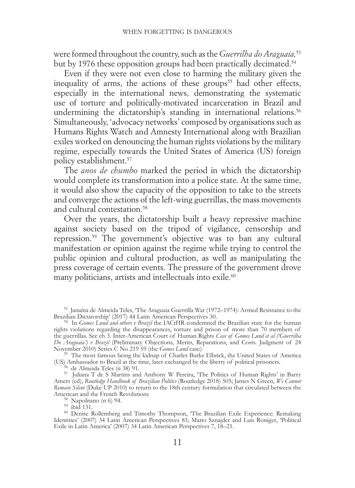were formed throughout the country, such as the *Guerrilha do Araguaia,*<sup>53</sup> but by 1976 these opposition groups had been practically decimated.<sup>54</sup>

Even if they were not even close to harming the military given the inequality of arms, the actions of these groups<sup>55</sup> had other effects, especially in the international news, demonstrating the systematic use of torture and politically-motivated incarceration in Brazil and undermining the dictatorship's standing in international relations.<sup>56</sup> Simultaneously, 'advocacy networks' composed by organisations such as Humans Rights Watch and Amnesty International along with Brazilian exiles worked on denouncing the human rights violations by the military regime, especially towards the United States of America (US) foreign policy establishment.57

The *anos de chumbo* marked the period in which the dictatorship would complete its transformation into a police state. At the same time, it would also show the capacity of the opposition to take to the streets and converge the actions of the left-wing guerrillas, the mass movements and cultural contestation<sup>58</sup>

Over the years, the dictatorship built a heavy repressive machine against society based on the tripod of vigilance, censorship and repression.59 The government's objective was to ban any cultural manifestation or opinion against the regime while trying to control the public opinion and cultural production, as well as manipulating the press coverage of certain events. The pressure of the government drove many politicians, artists and intellectuals into exile.<sup>60</sup>

<sup>53</sup> Janaína de Almeida Teles, 'The Araguaia Guerrilla War (1972–1974): Armed Resistance to the

<sup>54</sup> In *Gomes Lund and others v Brazil* the IACtHR condemned the Brazilian state for the human rights violations regarding the disappearances, torture and prison of more than 70 members of the guerrillas. See ch 3. Inter-American Court of Human Rights *Case of Gomes Lund et al ('Guerrilha Do Araguaia') v Brazil* (Preliminary Objections, Merits, Reparations, and Costs. Judgment of 24

November 2010) Series C No 219 59 (the *Gomes Lund* case). <sup>55</sup> The most famous being the kidnap of Charles Burke Elbrick, the United States of America (US) Ambassador to Brazil at the time, later exchanged by the liberty of political prisoners. <sup>56</sup> de Almeida Teles (n 38) 91. <sup>57</sup> Juliana T de S Martins and Anthony W Pereira, 'The Politics of Human Rights' in Barry

Amers (ed), *Routledge Handbook of Brazilian Politics* (Routledge 2018) 505; James N Green, *We Cannot Remain Silent* (Duke UP 2010) to return to the 18th century formulation that circulated between the

<sup>58</sup> Napolitano (n 6) 94.<br><sup>59</sup> ibid 131.<br><sup>60</sup> Denise Rollemberg and Timothy Thompson, 'The Brazilian Exile Experience: Remaking Identities' (2007) 34 Latin American Perspectives 81; Mario Sznajder and Luis Roniger, 'Political Exile in Latin America' (2007) 34 Latin American Perspectives 7, 18–21.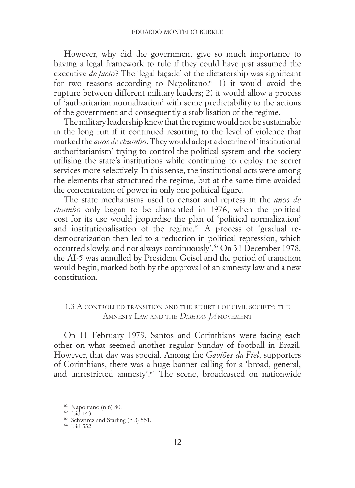<span id="page-21-0"></span>However, why did the government give so much importance to having a legal framework to rule if they could have just assumed the executive *de facto*? The 'legal façade' of the dictatorship was significant for two reasons according to Napolitano:<sup>61</sup> 1) it would avoid the rupture between different military leaders; 2) it would allow a process of 'authoritarian normalization' with some predictability to the actions of the government and consequently a stabilisation of the regime.

The military leadership knew that the regime would not be sustainable in the long run if it continued resorting to the level of violence that marked the *anos de chumbo*. They would adopt a doctrine of 'institutional authoritarianism' trying to control the political system and the society utilising the state's institutions while continuing to deploy the secret services more selectively. In this sense, the institutional acts were among the elements that structured the regime, but at the same time avoided the concentration of power in only one political figure.

The state mechanisms used to censor and repress in the *anos de chumbo* only began to be dismantled in 1976, when the political cost for its use would jeopardise the plan of 'political normalization' and institutionalisation of the regime.<sup>62</sup> A process of 'gradual redemocratization then led to a reduction in political repression, which occurred slowly, and not always continuously'.63 On 31 December 1978, the AI-5 was annulled by President Geisel and the period of transition would begin, marked both by the approval of an amnesty law and a new constitution.

## 1.3 A controlled transition and the rebirth of civil society: the Amnesty Law and the *Diretas Já* movement

On 11 February 1979, Santos and Corinthians were facing each other on what seemed another regular Sunday of football in Brazil. However, that day was special. Among the *Gaviões da Fiel*, supporters of Corinthians, there was a huge banner calling for a 'broad, general, and unrestricted amnesty'.<sup>64</sup> The scene, broadcasted on nationwide

 $^{61}$  Napolitano (n 6) 80.  $^{62}$ ibid 143.  $^{63}$  Schwarcz and Starling (n 3) 551.  $^{64}$ ibid 552.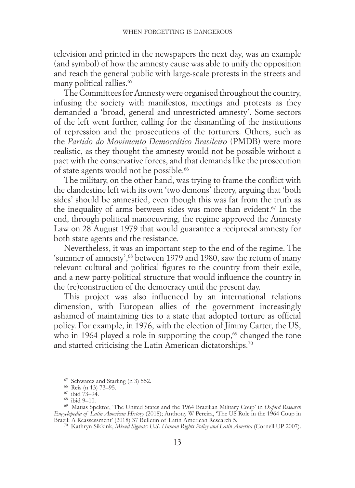television and printed in the newspapers the next day, was an example (and symbol) of how the amnesty cause was able to unify the opposition and reach the general public with large-scale protests in the streets and many political rallies. $65$ 

The Committees for Amnesty were organised throughout the country, infusing the society with manifestos, meetings and protests as they demanded a 'broad, general and unrestricted amnesty'. Some sectors of the left went further, calling for the dismantling of the institutions of repression and the prosecutions of the torturers. Others, such as the *Partido do Movimento Democrático Brasileiro* (PMDB) were more realistic, as they thought the amnesty would not be possible without a pact with the conservative forces, and that demands like the prosecution of state agents would not be possible.<sup>66</sup>

The military, on the other hand, was trying to frame the conflict with the clandestine left with its own 'two demons' theory, arguing that 'both sides' should be amnestied, even though this was far from the truth as the inequality of arms between sides was more than evident.<sup>67</sup> In the end, through political manoeuvring, the regime approved the Amnesty Law on 28 August 1979 that would guarantee a reciprocal amnesty for both state agents and the resistance.

Nevertheless, it was an important step to the end of the regime. The 'summer of amnesty',<sup>68</sup> between 1979 and 1980, saw the return of many relevant cultural and political figures to the country from their exile, and a new party-political structure that would influence the country in the (re)construction of the democracy until the present day.

This project was also influenced by an international relations dimension, with European allies of the government increasingly ashamed of maintaining ties to a state that adopted torture as official policy. For example, in 1976, with the election of Jimmy Carter, the US, who in 1964 played a role in supporting the coup, $69$  changed the tone and started criticising the Latin American dictatorships.70

<sup>&</sup>lt;sup>65</sup> Schwarcz and Starling (n 3) 552.<br><sup>66</sup> Reis (n 13) 73–95.<br><sup>67</sup> ibid 73–94.<br><sup>68</sup> ibid 9–10. 69 Matias Spektor, 'The United States and the 1964 Brazilian Military Coup' in *Oxford Research Encyclopedia of Latin American History* (2018); Anthony W Pereira, 'The US Role in the 1964 Coup in Brazil: A Reassessment' (2018) 37 Bulletin of Latin American Research 5. 70 Kathryn Sikkink, *Mixed Signals: U.S. Human Rights Policy and Latin America* (Cornell UP 2007).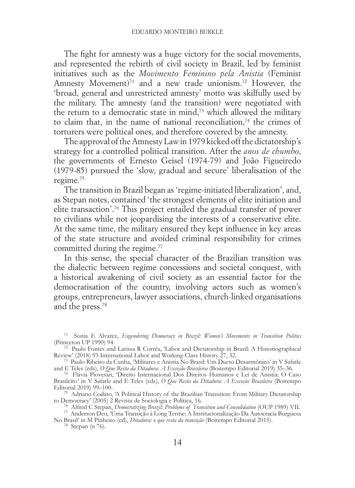The fight for amnesty was a huge victory for the social movements, and represented the rebirth of civil society in Brazil, led by feminist initiatives such as the *Movimento Feminino pela Anistia* (Feminist Amnesty Movement)<sup>71</sup> and a new trade unionism.<sup>72</sup> However, the 'broad, general and unrestricted amnesty' motto was skilfully used by the military. The amnesty (and the transition) were negotiated with the return to a democratic state in mind, $\frac{73}{12}$  which allowed the military to claim that, in the name of national reconciliation.<sup>74</sup> the crimes of torturers were political ones, and therefore covered by the amnesty.

The approval of the Amnesty Law in 1979 kicked off the dictatorship's strategy for a controlled political transition. After the *anos de chumbo*, the governments of Ernesto Geisel (1974-79) and João Figueiredo (1979-85) pursued the 'slow, gradual and secure' liberalisation of the regime.75

The transition in Brazil began as 'regime-initiated liberalization', and, as Stepan notes, contained 'the strongest elements of elite initiation and elite transaction'.76 This project entailed the gradual transfer of power to civilians while not jeopardising the interests of a conservative elite. At the same time, the military ensured they kept influence in key areas of the state structure and avoided criminal responsibility for crimes committed during the regime.<sup>77</sup>

In this sense, the special character of the Brazilian transition was the dialectic between regime concessions and societal conquest, with a historical awakening of civil society as an essential factor for the democratisation of the country, involving actors such as women's groups, entrepreneurs, lawyer associations, church-linked organisations and the press.78

<sup>75</sup> Adriano Codato, 'A Political History of the Brazilian Transition: From Military Dictatorship to Democracy' (2005) 2 Revista de Sociologia e Política, 16.

<sup>76</sup> Alfred C Stepan, *Democratizing Brazil: Problems of Transition and Consolidation* (OUP 1989) VII.<br><sup>76</sup> Alfred C Stepan, *Democratizing Brazil: Problems of Transition and Consolidation* (OUP 1989) VII.<br><sup>77</sup> Anderson De No Brasil' in M Pinheiro (ed), *Ditadura: o que resta da transição* (Boitempo Editorial 2015). 78 Stepan (n 76).

<sup>71</sup> Sonia E Alvarez, *Engendering Democracy in Brazil: Women's Movements in Transition Politics*

<sup>&</sup>lt;sup>72</sup> Paulo Fontes and Larissa R Corrêa, 'Labor and Dictatorship in Brazil: A Historiographical Review' (2018) 93 International Labor and Working-Class History 27, 32.

<sup>&</sup>lt;sup>73</sup> Paulo Kibeiro da Cunha, 'Militares e Anistia No Brasil: Um Dueto Desarmônico' in V Safatle and E Teles (eds), O *Que Resta da Ditadura: A Exceção Brasileira* (Boitempo Editorial 2019) 35–36.

<sup>&</sup>lt;sup>74</sup> Flávia Piovesan, Direito Internacional Dos Direitos Humanos e Lei de Anistia: O Caso Brasileiro' in V Safatle and E Teles (eds), O Que Resta da Ditadura: A Exceção Brasileira (Boitempo Editorial 2019) 99-100.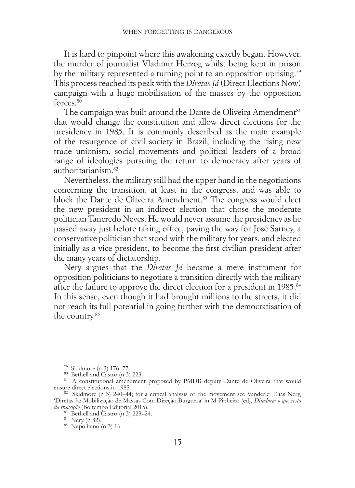It is hard to pinpoint where this awakening exactly began. However, the murder of journalist Vladimir Herzog whilst being kept in prison by the military represented a turning point to an opposition uprising.79 This process reached its peak with the *Diretas Já* (Direct Elections Now) campaign with a huge mobilisation of the masses by the opposition forces<sup>80</sup>

The campaign was built around the Dante de Oliveira Amendment<sup>81</sup> that would change the constitution and allow direct elections for the presidency in 1985. It is commonly described as the main example of the resurgence of civil society in Brazil, including the rising new trade unionism, social movements and political leaders of a broad range of ideologies pursuing the return to democracy after years of authoritarianism.82

Nevertheless, the military still had the upper hand in the negotiations concerning the transition, at least in the congress, and was able to block the Dante de Oliveira Amendment.<sup>83</sup> The congress would elect the new president in an indirect election that chose the moderate politician Tancredo Neves. He would never assume the presidency as he passed away just before taking office, paving the way for José Sarney, a conservative politician that stood with the military for years, and elected initially as a vice president, to become the first civilian president after the many years of dictatorship.

Nery argues that the *Diretas Já* became a mere instrument for opposition politicians to negotiate a transition directly with the military after the failure to approve the direct election for a president in 1985.<sup>84</sup> In this sense, even though it had brought millions to the streets, it did not reach its full potential in going further with the democratisation of the country.85

<sup>&</sup>lt;sup>79</sup> Skidmore (n 3) 176–77.<br><sup>80</sup> Bethell and Castro (n 3) 223.<br><sup>81</sup> A constitutional amendment proposed by PMDB deputy Dante de Oliveira that would<br>ensure direct elections in 1985.

<sup>&</sup>lt;sup>82</sup> Skidmore (n 3) 240–44; for a critical analysis of the movement see Vanderlei Elias Nery, 'Diretas Já: Mobilização de Massas Com Direção Burguesa' in M Pinheiro (ed), *Ditadura: o que resta da transição* (Boitempo Editorial 2015). <sup>83</sup> Bethell and Castro (n 3) 223–24. <sup>84</sup> Nery (n 82). 85 Napolitano (n 3) 16.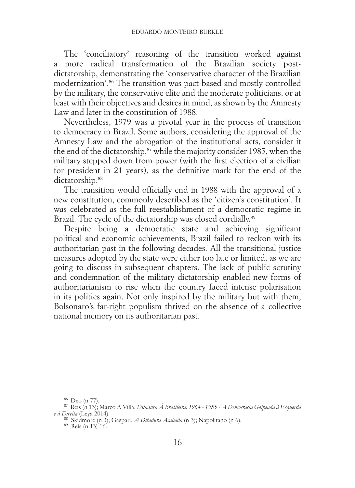The 'conciliatory' reasoning of the transition worked against a more radical transformation of the Brazilian society postdictatorship, demonstrating the 'conservative character of the Brazilian modernization'.86 The transition was pact-based and mostly controlled by the military, the conservative elite and the moderate politicians, or at least with their objectives and desires in mind, as shown by the Amnesty Law and later in the constitution of 1988.

Nevertheless, 1979 was a pivotal year in the process of transition to democracy in Brazil. Some authors, considering the approval of the Amnesty Law and the abrogation of the institutional acts, consider it the end of the dictatorship,<sup>87</sup> while the majority consider 1985, when the military stepped down from power (with the first election of a civilian for president in 21 years), as the definitive mark for the end of the dictatorship.<sup>88</sup>

The transition would officially end in 1988 with the approval of a new constitution, commonly described as the 'citizen's constitution'. It was celebrated as the full reestablishment of a democratic regime in Brazil. The cycle of the dictatorship was closed cordially.<sup>89</sup>

Despite being a democratic state and achieving significant political and economic achievements, Brazil failed to reckon with its authoritarian past in the following decades. All the transitional justice measures adopted by the state were either too late or limited, as we are going to discuss in subsequent chapters. The lack of public scrutiny and condemnation of the military dictatorship enabled new forms of authoritarianism to rise when the country faced intense polarisation in its politics again. Not only inspired by the military but with them, Bolsonaro's far-right populism thrived on the absence of a collective national memory on its authoritarian past.

<sup>86</sup> Deo (n 77). <sup>87</sup> Reis (n 13); Marco A Villa, *Ditadura À Brasileira: 1964 - 1985 - A Democracia Golpeada à Esquerda e à Direita* (Leya 2014). <sup>88</sup> Skidmore (n 3); Gaspari, *A Ditadura Acabada* (n 3); Napolitano (n 6). 89 Reis (n 13) 16.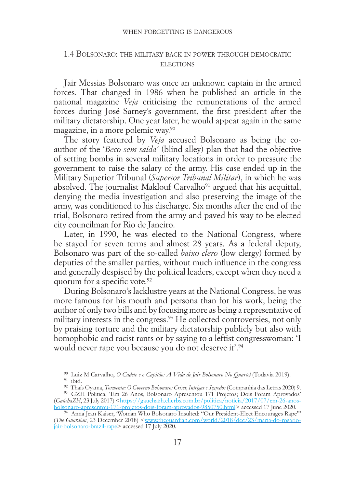## <span id="page-26-0"></span>1.4 Bolsonaro: the military back in power through democratic **ELECTIONS**

Jair Messias Bolsonaro was once an unknown captain in the armed forces. That changed in 1986 when he published an article in the national magazine *Veja* criticising the remunerations of the armed forces during José Sarney's government, the first president after the military dictatorship. One year later, he would appear again in the same magazine, in a more polemic way.90

The story featured by *Veja* accused Bolsonaro as being the coauthor of the '*Beco sem saída'* (blind alley) plan that had the objective of setting bombs in several military locations in order to pressure the government to raise the salary of the army. His case ended up in the Military Superior Tribunal (*Superior Tribunal Militar*), in which he was absolved. The journalist Maklouf Carvalho<sup>91</sup> argued that his acquittal, denying the media investigation and also preserving the image of the army, was conditioned to his discharge. Six months after the end of the trial, Bolsonaro retired from the army and paved his way to be elected city councilman for Rio de Janeiro.

Later, in 1990, he was elected to the National Congress, where he stayed for seven terms and almost 28 years. As a federal deputy, Bolsonaro was part of the so-called *baixo clero* (low clergy) formed by deputies of the smaller parties, without much influence in the congress and generally despised by the political leaders, except when they need a quorum for a specific vote.<sup>92</sup>

During Bolsonaro's lacklustre years at the National Congress, he was more famous for his mouth and persona than for his work, being the author of only two bills and by focusing more as being a representative of military interests in the congress.<sup>93</sup> He collected controversies, not only by praising torture and the military dictatorship publicly but also with homophobic and racist rants or by saying to a leftist congresswoman: 'I would never rape you because you do not deserve it'.94

<sup>&</sup>lt;sup>90</sup> Luiz M Carvalho, O *Cadete e o Capitão: A Vida de Jair Bolsonaro No Quartel* (Todavia 2019).<br><sup>91</sup> ibid.<br><sup>92</sup> Thaís Oyama, *Tormenta: O Governo Bolsonaro: Crises, Intrigas e Segredos* (Companhia das Letras 2020) 9.<br><sup>93</sup>

<sup>(</sup>*GaúchaZH*, 23 July 2017) [<https://gauchazh.clicrbs.com.br/politica/noticia/2017/07/em-26-anos-](https://gauchazh.clicrbs.com.br/politica/noticia/2017/07/em-26-anos-bolsonaro-apresentou-171-projetos-dois-foram-aprovados-9850750.html)

[bolsonaro-apresentou-171-projetos-dois-foram-aprovados-9850750.html>](https://gauchazh.clicrbs.com.br/politica/noticia/2017/07/em-26-anos-bolsonaro-apresentou-171-projetos-dois-foram-aprovados-9850750.html) accessed 17 June 2020. <sup>94</sup> Anna Jean Kaiser, 'Woman Who Bolsonaro Insulted: "Our President-Elect Encourages Rape"' (*The Guardian*, 23 December 2018) [<www.theguardian.com/world/2018/dec/23/maria-do-rosario](https://www.theguardian.com/world/2018/dec/23/maria-do-rosario-jair-bolsonaro-brazil-rape)[jair-bolsonaro-brazil-rape](https://www.theguardian.com/world/2018/dec/23/maria-do-rosario-jair-bolsonaro-brazil-rape)> accessed 17 July 2020.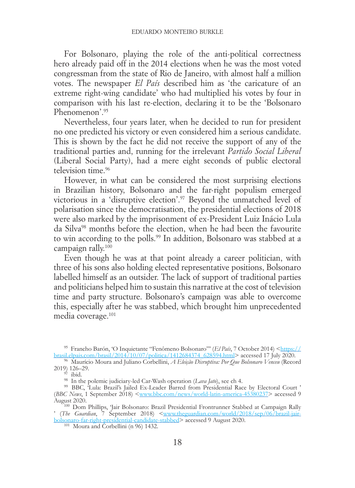For Bolsonaro, playing the role of the anti-political correctness hero already paid off in the 2014 elections when he was the most voted congressman from the state of Rio de Janeiro, with almost half a million votes. The newspaper *El País* described him as 'the caricature of an extreme right-wing candidate' who had multiplied his votes by four in comparison with his last re-election, declaring it to be the 'Bolsonaro Phenomenon'.95

Nevertheless, four years later, when he decided to run for president no one predicted his victory or even considered him a serious candidate. This is shown by the fact he did not receive the support of any of the traditional parties and, running for the irrelevant *Partido Social Liberal* (Liberal Social Party), had a mere eight seconds of public electoral television time.<sup>96</sup>

However, in what can be considered the most surprising elections in Brazilian history, Bolsonaro and the far-right populism emerged victorious in a 'disruptive election'.97 Beyond the unmatched level of polarisation since the democratisation, the presidential elections of 2018 were also marked by the imprisonment of ex-President Luiz Inácio Lula da Silva98 months before the election, when he had been the favourite to win according to the polls.99 In addition, Bolsonaro was stabbed at a campaign rally.100

Even though he was at that point already a career politician, with three of his sons also holding elected representative positions, Bolsonaro labelled himself as an outsider. The lack of support of traditional parties and politicians helped him to sustain this narrative at the cost of television time and party structure. Bolsonaro's campaign was able to overcome this, especially after he was stabbed, which brought him unprecedented media coverage.101

<sup>&</sup>lt;sup>95</sup> Francho Barón, 'O Inquietante "Fenômeno Bolsonaro"" (*El País*, 7 October 2014) [<https://](https://brasil.elpais.com/brasil/2014/10/07/politica/1412684374_628594.html)<br>
<u>brasil.elpais.com/brasil/2014/10/07/politica/1412684374\_628594.html</u>> accessed 17 July 2020.

<sup>&</sup>lt;sup>96</sup> Maurício Moura and Juliano Corbellini, *A Eleição Disruptiva: Por Que Bolsonaro Venceu* (Record 2019) 126-29.

<sup>2019) 126–29.</sup> <sup>97</sup> ibid. <sup>98</sup> In the polemic judiciary-led Car-Wash operation (*Lava Jato*), see ch 4. <sup>99</sup> BBC, 'Lula: Brazil's Jailed Ex-Leader Barred from Presidential Race by Electoral Court ' (*BBC News*, 1 September 2018) <[www.bbc.com/news/world-latin-america-45380237](https://www.bbc.com/news/world-latin-america-45380237)> accessed 9 August 2020. <sup>100</sup> Dom Phillips, 'Jair Bolsonaro: Brazil Presidential Frontrunner Stabbed at Campaign Rally

<sup>&#</sup>x27; (*The Guardian*, 7 September 2018) [<www.theguardian.com/world/2018/sep/06/brazil-jair](https://www.theguardian.com/world/2018/sep/06/brazil-jair-bolsonaro-far-right-presidential-candidate-stabbed)[bolsonaro-far-right-presidential-candidate-stabbed>](https://www.theguardian.com/world/2018/sep/06/brazil-jair-bolsonaro-far-right-presidential-candidate-stabbed) accessed 9 August 2020. 101 Moura and Corbellini (n 96) 1432.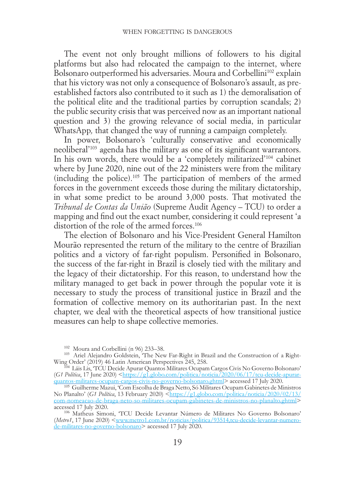The event not only brought millions of followers to his digital platforms but also had relocated the campaign to the internet, where Bolsonaro outperformed his adversaries. Moura and Corbellini<sup>102</sup> explain that his victory was not only a consequence of Bolsonaro's assault, as preestablished factors also contributed to it such as 1) the demoralisation of the political elite and the traditional parties by corruption scandals; 2) the public security crisis that was perceived now as an important national question and 3) the growing relevance of social media, in particular WhatsApp*,* that changed the way of running a campaign completely.

In power, Bolsonaro's 'culturally conservative and economically neoliberal'103 agenda has the military as one of its significant warrantors. In his own words, there would be a 'completely militarized'<sup>104</sup> cabinet where by June 2020, nine out of the 22 ministers were from the military (including the police).105 The participation of members of the armed forces in the government exceeds those during the military dictatorship, in what some predict to be around 3,000 posts. That motivated the *Tribunal de Contas da União* (Supreme Audit Agency – TCU) to order a mapping and find out the exact number, considering it could represent 'a distortion of the role of the armed forces.<sup>106</sup>

The election of Bolsonaro and his Vice-President General Hamilton Mourão represented the return of the military to the centre of Brazilian politics and a victory of far-right populism. Personified in Bolsonaro, the success of the far-right in Brazil is closely tied with the military and the legacy of their dictatorship. For this reason, to understand how the military managed to get back in power through the popular vote it is necessary to study the process of transitional justice in Brazil and the formation of collective memory on its authoritarian past. In the next chapter, we deal with the theoretical aspects of how transitional justice measures can help to shape collective memories.

<sup>&</sup>lt;sup>102</sup> Moura and Corbellini (n 96) 233–38.<br><sup>103</sup> Ariel Alejandro Goldstein, 'The New Far-Right in Brazil and the Construction of a Right-Wing Order' (2019) 46 Latin American Perspectives 245, 258.

<sup>&</sup>lt;sup>104</sup> Láis Lis, 'TCU Decide Apurar Quantos Militares Ocupam Cargos Civis No Governo Bolsonaro' (*G1 Politica*, 17 June 2020) <https://g1.globo.com/politica/noticia/2020/06/17/tcu-decide-apurar-quantos-militares-ocupam-cargos-civis-no-governo-bolsonaro.ghtml> accessed 17 July 2020.

<sup>&</sup>lt;sup>105</sup> Guilherme Mazui, 'Com Escolha de Braga Netto, Só Militares Ocupam Gabinetes de Ministros No Planalto' (*G1 Política*, 13 February 2020) <[https://g1.globo.com/politica/noticia/2020/02/13/](https://g1.globo.com/politica/noticia/2020/02/13/com-nomeacao-de-braga-neto-so-militares-ocupam-gabinetes-de-ministros-no-planalto.ghtml)<br>[com-nomeacao-de-braga-neto-so-militares-ocupam-gabinetes-de-ministros-no-planalto.ghtml](https://g1.globo.com/politica/noticia/2020/02/13/com-nomeacao-de-braga-neto-so-militares-ocupam-gabinetes-de-ministros-no-planalto.ghtml)> accessed 17 July 2020.<br><sup>106</sup> Matheus Simoni, 'TCU Decide Levantar Número de Militares No Governo Bolsonaro'

<sup>(</sup>*Metro1*, 17 June 2020) [<www.metro1.com.br/noticias/politica/93514,tcu-decide-levantar-numero-](https://www.metro1.com.br/noticias/politica/93514,tcu-decide-levantar-numero-de-militares-no-governo-bolsonaro)[de-militares-no-governo-bolsonaro](https://www.metro1.com.br/noticias/politica/93514,tcu-decide-levantar-numero-de-militares-no-governo-bolsonaro)> accessed 17 July 2020.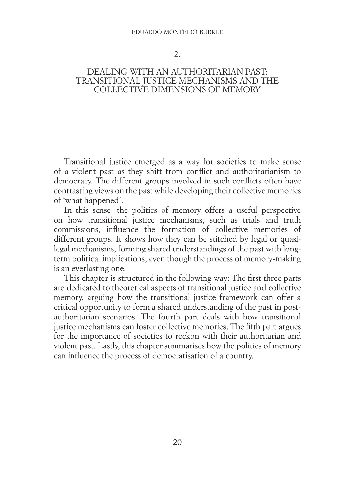#### eduardo monteiro burkle

#### 2.

## <span id="page-29-0"></span>DEALING WITH AN AUTHORITARIAN PAST-TRANSITIONAL JUSTICE MECHANISMS AND THE COLLECTIVE DIMENSIONS OF MEMORY

Transitional justice emerged as a way for societies to make sense of a violent past as they shift from conflict and authoritarianism to democracy. The different groups involved in such conflicts often have contrasting views on the past while developing their collective memories of 'what happened'.

In this sense, the politics of memory offers a useful perspective on how transitional justice mechanisms, such as trials and truth commissions, influence the formation of collective memories of different groups. It shows how they can be stitched by legal or quasilegal mechanisms, forming shared understandings of the past with longterm political implications, even though the process of memory-making is an everlasting one.

This chapter is structured in the following way: The first three parts are dedicated to theoretical aspects of transitional justice and collective memory, arguing how the transitional justice framework can offer a critical opportunity to form a shared understanding of the past in postauthoritarian scenarios. The fourth part deals with how transitional justice mechanisms can foster collective memories. The fifth part argues for the importance of societies to reckon with their authoritarian and violent past. Lastly, this chapter summarises how the politics of memory can influence the process of democratisation of a country.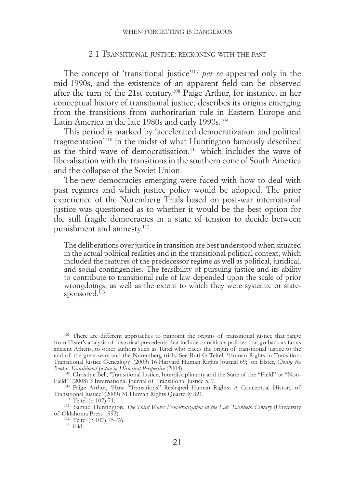#### 2.1 Transitional justice: reckoning with the past

<span id="page-30-0"></span>The concept of 'transitional justice'107 *per se* appeared only in the mid-1990s, and the existence of an apparent field can be observed after the turn of the 21st century.108 Paige Arthur, for instance, in her conceptual history of transitional justice, describes its origins emerging from the transitions from authoritarian rule in Eastern Europe and Latin America in the late 1980s and early 1990s.<sup>109</sup>

This period is marked by 'accelerated democratization and political fragmentation'110 in the midst of what Huntington famously described as the third wave of democratisation,<sup>111</sup> which includes the wave of liberalisation with the transitions in the southern cone of South America and the collapse of the Soviet Union.

The new democracies emerging were faced with how to deal with past regimes and which justice policy would be adopted. The prior experience of the Nuremberg Trials based on post-war international justice was questioned as to whether it would be the best option for the still fragile democracies in a state of tension to decide between punishment and amnesty.112

The deliberations over justice in transition are best understood when situated in the actual political realities and in the transitional political context, which included the features of the predecessor regime as well as political, juridical, and social contingencies. The feasibility of pursuing justice and its ability to contribute to transitional rule of law depended upon the scale of prior wrongdoings, as well as the extent to which they were systemic or statesponsored. $113$ 

Field"' (2008) 3 International Journal of Transitional Justice 5, 7.<br>
<sup>109</sup> Paige Arthur, 'How "Transitions" Reshaped Human Rights: A Conceptual History of Transitional Justice' (2009) 31 Human Rights Quarterly 321.

 $\frac{112}{113}$  Teitel (n 107) 75–76.<br> $\frac{113}{100}$ 

<sup>&</sup>lt;sup>107</sup> There are different approaches to pinpoint the origins of transitional justice that range from Elster's analysis of historical precedents that include transitions policies that go back as far as ancient Athens, to other authors such as Teitel who traces the origin of transitional justice to the end of the great wars and the Nuremberg trials. See Ruti G Teitel, 'Human Rights in Transition: Transitional Justice Genealogy' (2003) 16 Harvard Human Rights Journal 69; Jon Elster, *Closing the Books: Transitional Justice in Historical Perspective* (2004). 108 Christine Bell, 'Transitional Justice, Interdisciplinarity and the State of the "Field" or "Non-

<sup>&</sup>lt;sup>110</sup> Teitel (n 107) 71.<br><sup>111</sup> Samuel Huntington, *The Third Wave: Democratization in the Late Twentieth Century* (University<br>of Oklahoma Press 1993).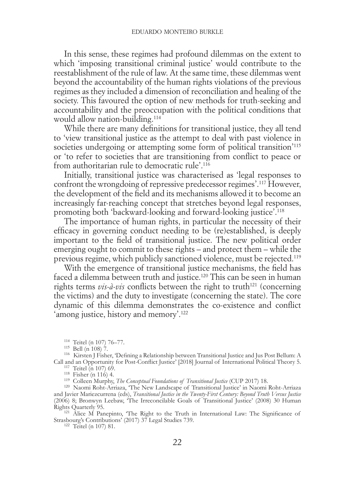In this sense, these regimes had profound dilemmas on the extent to which 'imposing transitional criminal justice' would contribute to the reestablishment of the rule of law. At the same time, these dilemmas went beyond the accountability of the human rights violations of the previous regimes as they included a dimension of reconciliation and healing of the society. This favoured the option of new methods for truth-seeking and accountability and the preoccupation with the political conditions that would allow nation-building.<sup>114</sup>

While there are many definitions for transitional justice, they all tend to 'view transitional justice as the attempt to deal with past violence in societies undergoing or attempting some form of political transition<sup>'115</sup> or 'to refer to societies that are transitioning from conflict to peace or from authoritarian rule to democratic rule'.116

Initially, transitional justice was characterised as 'legal responses to confront the wrongdoing of repressive predecessor regimes'.117 However, the development of the field and its mechanisms allowed it to become an increasingly far-reaching concept that stretches beyond legal responses, promoting both 'backward-looking and forward-looking justice'.118

The importance of human rights, in particular the necessity of their efficacy in governing conduct needing to be (re)established, is deeply important to the field of transitional justice. The new political order emerging ought to commit to these rights – and protect them – while the previous regime, which publicly sanctioned violence, must be rejected.119

With the emergence of transitional justice mechanisms, the field has faced a dilemma between truth and justice.<sup>120</sup> This can be seen in human rights terms  $vis-\hat{a}-vis$  conflicts between the right to truth<sup>121</sup> (concerning the victims) and the duty to investigate (concerning the state). The core dynamic of this dilemma demonstrates the co-existence and conflict 'among justice, history and memory'.<sup>122</sup>

<sup>114</sup> Teitel (n 107) 76–77.<br><sup>115</sup> Bell (n 108) 7.<br><sup>116</sup> Kirsten J Fisher, 'Defining a Relationship between Transitional Justice and Jus Post Bellum: A<br>Call and an Opportunity for Post-Conflict Justice' [2018] Journal of In Call and an Opportunity for Post-Conflict Justice' [2018] Journal of International Political Theory 5.<br>
<sup>117</sup> Teitel (n 107) 69.<br>
<sup>118</sup> Fisher (n 116) 4.<br>
<sup>118</sup> Colleen Murphy, *The Conceptual Foundations of Transitional J* 

and Javier Mariezcurrena (eds), *Transitional Justice in the Twenty-First Century: Beyond Truth Versus Justice* (2006) 8; Bronwyn Leebaw, 'The Irreconcilable Goals of Transitional Justice' (2008) 30 Human

Rights Quarterly 95.<br><sup>121</sup> Alice M Panepinto, 'The Right to the Truth in International Law: The Significance of Strasbourg's Contributions' (2017)  $3\overline{7}$  Legal Studies 739.<br><sup>122</sup> Teitel (n 107) 81.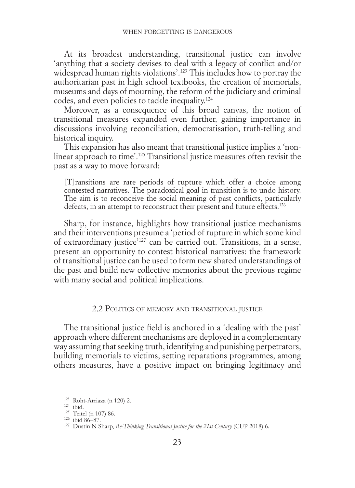<span id="page-32-0"></span>At its broadest understanding, transitional justice can involve 'anything that a society devises to deal with a legacy of conflict and/or widespread human rights violations'.123 This includes how to portray the authoritarian past in high school textbooks, the creation of memorials, museums and days of mourning, the reform of the judiciary and criminal codes, and even policies to tackle inequality.124

Moreover, as a consequence of this broad canvas, the notion of transitional measures expanded even further, gaining importance in discussions involving reconciliation, democratisation, truth-telling and historical inquiry.

This expansion has also meant that transitional justice implies a 'nonlinear approach to time'.125 Transitional justice measures often revisit the past as a way to move forward:

[T]ransitions are rare periods of rupture which offer a choice among contested narratives. The paradoxical goal in transition is to undo history. The aim is to reconceive the social meaning of past conflicts, particularly defeats, in an attempt to reconstruct their present and future effects.<sup>126</sup>

Sharp, for instance, highlights how transitional justice mechanisms and their interventions presume a 'period of rupture in which some kind of extraordinary justice'127 can be carried out. Transitions, in a sense, present an opportunity to contest historical narratives: the framework of transitional justice can be used to form new shared understandings of the past and build new collective memories about the previous regime with many social and political implications.

## 2.2 Politics of memory and transitional justice

The transitional justice field is anchored in a 'dealing with the past' approach where different mechanisms are deployed in a complementary way assuming that seeking truth, identifying and punishing perpetrators, building memorials to victims, setting reparations programmes, among others measures, have a positive impact on bringing legitimacy and

<sup>123</sup> Roht-Arriaza (n 120) 2.<br><sup>124</sup> ibid. 126 Teitel (n 107) 86.<br><sup>125</sup> Teitel (n 107) 86. 126 ibid 86–87. 127 Dustin N Sharp, *Re-Thinking Transitional Justice for the 21st Century* (CUP 2018) 6.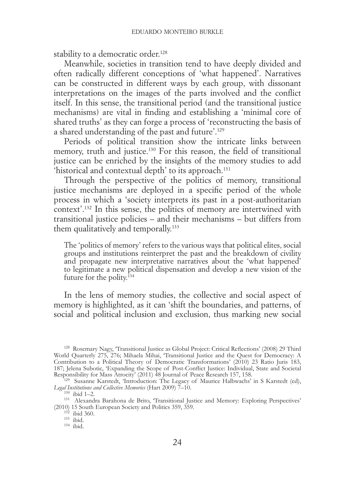stability to a democratic order.<sup>128</sup>

Meanwhile, societies in transition tend to have deeply divided and often radically different conceptions of 'what happened'. Narratives can be constructed in different ways by each group, with dissonant interpretations on the images of the parts involved and the conflict itself. In this sense, the transitional period (and the transitional justice mechanisms) are vital in finding and establishing a 'minimal core of shared truths' as they can forge a process of 'reconstructing the basis of a shared understanding of the past and future'.129

Periods of political transition show the intricate links between memory, truth and justice.130 For this reason, the field of transitional justice can be enriched by the insights of the memory studies to add 'historical and contextual depth' to its approach.131

Through the perspective of the politics of memory, transitional justice mechanisms are deployed in a specific period of the whole process in which a 'society interprets its past in a post-authoritarian context'.132 In this sense, the politics of memory are intertwined with transitional justice policies – and their mechanisms – but differs from them qualitatively and temporally.<sup>133</sup>

The 'politics of memory' refers to the various ways that political elites, social groups and institutions reinterpret the past and the breakdown of civility and propagate new interpretative narratives about the 'what happened' to legitimate a new political dispensation and develop a new vision of the future for the polity.<sup>134</sup>

In the lens of memory studies, the collective and social aspect of memory is highlighted, as it can 'shift the boundaries, and patterns, of social and political inclusion and exclusion, thus marking new social

<sup>128</sup> Rosemary Nagy, 'Transitional Justice as Global Project: Critical Reflections' (2008) 29 Third World Quarterly 275, 276; Mihaela Mihai, 'Transitional Justice and the Quest for Democracy: A Contribution to a Political Theory of Democratic Transformations' (2010) 23 Ratio Juris 183, 187; Jelena Subotic, 'Expanding the Scope of Post-Conflict Justice: Individual, State and Societal

<sup>&</sup>lt;sup>129</sup> Susanne Karstedt, 'Introduction: The Legacy of Maurice Halbwachs' in S Karstedt (ed), Legal Institutions and Collective Memories (Hart 2009) 7–10.

*Legal Institutions and Collective Memory: Exploring Perspectives'*<br>
<sup>131</sup> Alexandra Barahona de Brito, 'Transitional Justice and Memory: Exploring Perspectives' (2010) 15 South European Society and Politics 359, 359.  $\frac{132}{132}$  ibid.  $\frac{133}{134}$  ibid.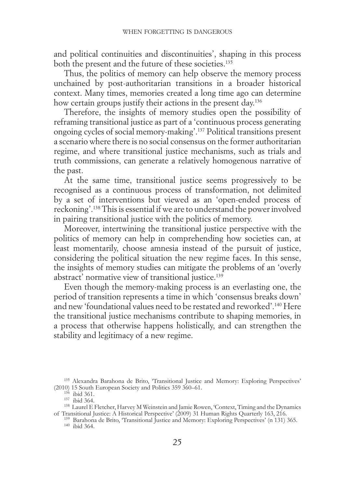and political continuities and discontinuities', shaping in this process both the present and the future of these societies.<sup>135</sup>

Thus, the politics of memory can help observe the memory process unchained by post-authoritarian transitions in a broader historical context. Many times, memories created a long time ago can determine how certain groups justify their actions in the present day.<sup>136</sup>

Therefore, the insights of memory studies open the possibility of reframing transitional justice as part of a 'continuous process generating ongoing cycles of social memory-making'.137 Political transitions present a scenario where there is no social consensus on the former authoritarian regime, and where transitional justice mechanisms, such as trials and truth commissions, can generate a relatively homogenous narrative of the past.

At the same time, transitional justice seems progressively to be recognised as a continuous process of transformation, not delimited by a set of interventions but viewed as an 'open-ended process of reckoning'.138 This is essential if we are to understand the power involved in pairing transitional justice with the politics of memory.

Moreover, intertwining the transitional justice perspective with the politics of memory can help in comprehending how societies can, at least momentarily, choose amnesia instead of the pursuit of justice, considering the political situation the new regime faces. In this sense, the insights of memory studies can mitigate the problems of an 'overly abstract' normative view of transitional justice.<sup>139</sup>

Even though the memory-making process is an everlasting one, the period of transition represents a time in which 'consensus breaks down' and new 'foundational values need to be restated and reworked'.140 Here the transitional justice mechanisms contribute to shaping memories, in a process that otherwise happens holistically, and can strengthen the stability and legitimacy of a new regime.

<sup>&</sup>lt;sup>135</sup> Alexandra Barahona de Brito, 'Transitional Justice and Memory: Exploring Perspectives' (2010) 15 South European Society and Politics 359 360–61. (2010) 15 South European Society and Politics 359 360–61.<br><sup>136</sup> ibid 361.<br><sup>137</sup> ibid 364. <sup>138</sup> Laurel E Fletcher, Harvey M Weinstein and Jamie Rowen, 'Context, Timing and the Dynamics

of Transitional Justice: A Historical Perspective' (2009) 31 Human Rights Quarterly 163, 216. <sup>139</sup> Barahona de Brito, 'Transitional Justice and Memory: Exploring Perspectives' (n 131) 365. 140 ibid 364.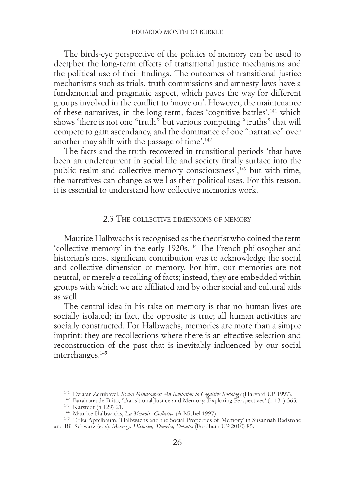<span id="page-35-0"></span>The birds-eye perspective of the politics of memory can be used to decipher the long-term effects of transitional justice mechanisms and the political use of their findings. The outcomes of transitional justice mechanisms such as trials, truth commissions and amnesty laws have a fundamental and pragmatic aspect, which paves the way for different groups involved in the conflict to 'move on'. However, the maintenance of these narratives, in the long term, faces 'cognitive battles',141 which shows 'there is not one "truth" but various competing "truths" that will compete to gain ascendancy, and the dominance of one "narrative" over another may shift with the passage of time'.142

The facts and the truth recovered in transitional periods 'that have been an undercurrent in social life and society finally surface into the public realm and collective memory consciousness<sup>',143</sup> but with time, the narratives can change as well as their political uses. For this reason, it is essential to understand how collective memories work.

## 2.3 The collective dimensions of memory

Maurice Halbwachs is recognised as the theorist who coined the term 'collective memory' in the early 1920s.144 The French philosopher and historian's most significant contribution was to acknowledge the social and collective dimension of memory. For him, our memories are not neutral, or merely a recalling of facts; instead, they are embedded within groups with which we are affiliated and by other social and cultural aids as well.

The central idea in his take on memory is that no human lives are socially isolated; in fact, the opposite is true; all human activities are socially constructed. For Halbwachs, memories are more than a simple imprint: they are recollections where there is an effective selection and reconstruction of the past that is inevitably influenced by our social interchanges.<sup>145</sup>

and Bill Schwarz (eds), *Memory: Histories, Theories, Debates* (Fordham UP 2010) 85.

<sup>&</sup>lt;sup>141</sup> Eviatar Zerubavel, *Social Mindscapes: An Invitation to Cognitive Sociology* (Harvard UP 1997).<br><sup>142</sup> Barahona de Brito, "Transitional Justice and Memory: Exploring Perspectives' (n 131) 365.<br><sup>143</sup> Karstedt (n 129)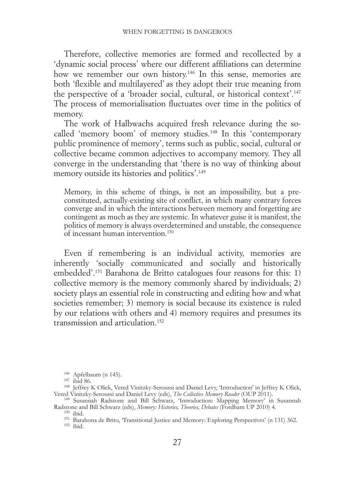Therefore, collective memories are formed and recollected by a 'dynamic social process' where our different affiliations can determine how we remember our own history.<sup>146</sup> In this sense, memories are both 'flexible and multilayered' as they adopt their true meaning from the perspective of a 'broader social, cultural, or historical context'.147 The process of memorialisation fluctuates over time in the politics of memory.

The work of Halbwachs acquired fresh relevance during the socalled 'memory boom' of memory studies.<sup>148</sup> In this 'contemporary public prominence of memory', terms such as public, social, cultural or collective became common adjectives to accompany memory. They all converge in the understanding that 'there is no way of thinking about memory outside its histories and politics'.149

Memory, in this scheme of things, is not an impossibility, but a preconstituted, actually-existing site of conflict, in which many contrary forces converge and in which the interactions between memory and forgetting are contingent as much as they are systemic. In whatever guise it is manifest, the politics of memory is always overdetermined and unstable, the consequence of incessant human intervention.150

Even if remembering is an individual activity, memories are inherently 'socially communicated and socially and historically embedded'.151 Barahona de Britto catalogues four reasons for this: 1) collective memory is the memory commonly shared by individuals; 2) society plays an essential role in constructing and editing how and what societies remember; 3) memory is social because its existence is ruled by our relations with others and 4) memory requires and presumes its transmission and articulation.152

<sup>&</sup>lt;sup>146</sup> Apfelbaum (n 145).<br><sup>147</sup> ibid 86. 148 Jeffrey K Olick, Vered Vinitzky-Seroussi and Daniel Levy, 'Introduction' in Jeffrey K Olick,<br>148 Jeffrey K Olick, Vered Vinitzky-Seroussi and Daniel Levy (eds), *The Collective M* 

<sup>&</sup>lt;sup>149</sup> Susannah Radstone and Bill Schwarz, 'Introduction: Mapping Memory' in Susannah Radstone and Bill Schwarz (eds), *Memory: Histories, Theories, Debates* (Fordham UP 2010) 4.

<sup>&</sup>lt;sup>150</sup> ibid.<br><sup>151</sup> Barahona de Brito, 'Transitional Justice and Memory: Exploring Perspectives' (n 131) 362.<br><sup>152</sup> ibid.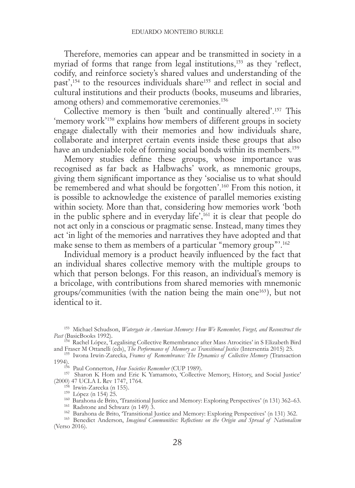Therefore, memories can appear and be transmitted in society in a myriad of forms that range from legal institutions,<sup>153</sup> as they 'reflect, codify, and reinforce society's shared values and understanding of the past',154 to the resources individuals share155 and reflect in social and cultural institutions and their products (books, museums and libraries, among others) and commemorative ceremonies.156

Collective memory is then 'built and continually altered'.157 This 'memory work'158 explains how members of different groups in society engage dialectally with their memories and how individuals share, collaborate and interpret certain events inside these groups that also have an undeniable role of forming social bonds within its members.<sup>159</sup>

Memory studies define these groups, whose importance was recognised as far back as Halbwachs' work, as mnemonic groups, giving them significant importance as they 'socialise us to what should be remembered and what should be forgotten'.<sup>160</sup> From this notion, it is possible to acknowledge the existence of parallel memories existing within society. More than that, considering how memories work 'both in the public sphere and in everyday life',161 it is clear that people do not act only in a conscious or pragmatic sense. Instead, many times they act 'in light of the memories and narratives they have adopted and that make sense to them as members of a particular "memory group"'.162

Individual memory is a product heavily influenced by the fact that an individual shares collective memory with the multiple groups to which that person belongs. For this reason, an individual's memory is a bricolage, with contributions from shared memories with mnemonic groups/communities (with the nation being the main one163), but not identical to it.

<sup>153</sup> Michael Schudson, *Watergate in American Memory: How We Remember, Forget, and Reconstruct the Past* (BasicBooks 1992).

<sup>154</sup> Rachel López, 'Legalising Collective Remembrance after Mass Atrocities' in S Elizabeth Bird and Fraser M Ottanelli (eds), *The Performance of Memory as Transitional Justice* (Intersentia 2015) 25. <sup>155</sup> Iwona Irwin-Zarecka, *Frames of Remembrance: The Dynamics of Collective Memory* (Transaction

1994).<br><sup>156</sup> Paul Connerton, *How Societies Remember* (CUP 1989).<br><sup>157</sup> Sharon K Hom and Eric K Yamamoto, 'Collective Memory, History, and Social Justice'<br>(2000) 47 UCLA L Rev 1747, 1764.

<sup>158</sup> Irwin-Zarecka (n 155).<br><sup>159</sup> López (n 154) 25.<br><sup>160</sup> Barahona de Brito, Transitional Justice and Memory: Exploring Perspectives' (n 131) 362–63.<br><sup>161</sup> Radstone and Schwarz (n 149) 3.<br><sup>162</sup> Barahona de Brito, Transiti (Verso 2016).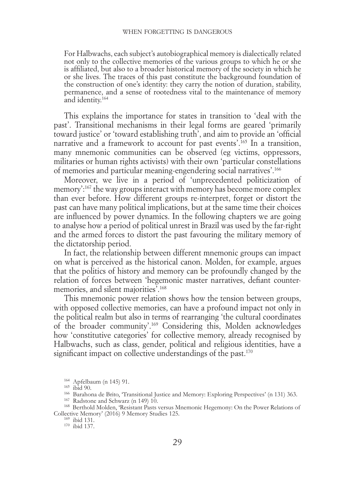For Halbwachs, each subject's autobiographical memory is dialectically related not only to the collective memories of the various groups to which he or she is affiliated, but also to a broader historical memory of the society in which he or she lives. The traces of this past constitute the background foundation of the construction of one's identity: they carry the notion of duration, stability, permanence, and a sense of rootedness vital to the maintenance of memory and identity.<sup>164</sup>

This explains the importance for states in transition to 'deal with the past'. Transitional mechanisms in their legal forms are geared 'primarily toward justice' or 'toward establishing truth', and aim to provide an 'official narrative and a framework to account for past events'.<sup>165</sup> In a transition, many mnemonic communities can be observed (eg victims, oppressors, militaries or human rights activists) with their own 'particular constellations of memories and particular meaning-engendering social narratives'.166

Moreover, we live in a period of 'unprecedented politicization of memory':167 the way groups interact with memory has become more complex than ever before. How different groups re-interpret, forget or distort the past can have many political implications, but at the same time their choices are influenced by power dynamics. In the following chapters we are going to analyse how a period of political unrest in Brazil was used by the far-right and the armed forces to distort the past favouring the military memory of the dictatorship period.

In fact, the relationship between different mnemonic groups can impact on what is perceived as the historical canon. Molden, for example, argues that the politics of history and memory can be profoundly changed by the relation of forces between 'hegemonic master narratives, defiant countermemories, and silent majorities'.168

This mnemonic power relation shows how the tension between groups, with opposed collective memories, can have a profound impact not only in the political realm but also in terms of rearranging 'the cultural coordinates of the broader community'.169 Considering this, Molden acknowledges how 'constitutive categories' for collective memory, already recognised by Halbwachs, such as class, gender, political and religious identities, have a significant impact on collective understandings of the past.<sup>170</sup>

<sup>&</sup>lt;sup>164</sup> Apfelbaum (n 145) 91.<br><sup>165</sup> ibid 90.<br><sup>166</sup> Barahona de Brito, "Transitional Justice and Memory: Exploring Perspectives' (n 131) 363.<br><sup>167</sup> Radstone and Schwarz (n 149) 10.<br><sup>167</sup> Radstone and Schwarz (n 149) 10.

Collective Memory' (2016) 9 Memory Studies 125. <sup>169</sup> ibid 131. 170 ibid 137.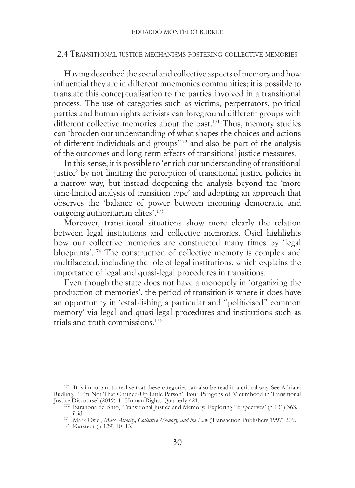# 2.4 Transitional justice mechanisms fostering collective memories

Having described the social and collective aspects of memory and how influential they are in different mnemonics communities; it is possible to translate this conceptualisation to the parties involved in a transitional process. The use of categories such as victims, perpetrators, political parties and human rights activists can foreground different groups with different collective memories about the past.<sup>171</sup> Thus, memory studies can 'broaden our understanding of what shapes the choices and actions of different individuals and groups'172 and also be part of the analysis of the outcomes and long-term effects of transitional justice measures.

In this sense, it is possible to 'enrich our understanding of transitional justice' by not limiting the perception of transitional justice policies in a narrow way, but instead deepening the analysis beyond the 'more time-limited analysis of transition type' and adopting an approach that observes the 'balance of power between incoming democratic and outgoing authoritarian elites'.173

Moreover, transitional situations show more clearly the relation between legal institutions and collective memories. Osiel highlights how our collective memories are constructed many times by 'legal blueprints'.174 The construction of collective memory is complex and multifaceted, including the role of legal institutions, which explains the importance of legal and quasi-legal procedures in transitions.

Even though the state does not have a monopoly in 'organizing the production of memories', the period of transition is where it does have an opportunity in 'establishing a particular and "politicised" common memory' via legal and quasi-legal procedures and institutions such as trials and truth commissions.175

<sup>&</sup>lt;sup>171</sup> It is important to realise that these categories can also be read in a critical way. See Adriana Rudling, '"I'm Not That Chained-Up Little Person" Four Paragons of Victimhood in Transitional

Justice Discourse' (2019) 41 Human Rights Quarterly 421.<br>
<sup>172</sup> Barahona de Brito, 'Transitional Justice and Memory: Exploring Perspectives' (n 131) 363.<br>
<sup>173</sup> ibid.<br>
<sup>174</sup> Mark Osiel, *Mass Atrosity, Collective Memory, a*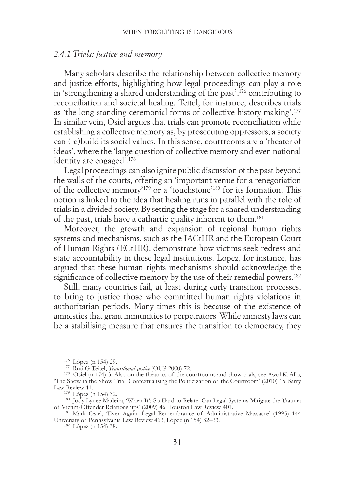# *2.4.1 Trials: justice and memory*

Many scholars describe the relationship between collective memory and justice efforts, highlighting how legal proceedings can play a role in 'strengthening a shared understanding of the past',176 contributing to reconciliation and societal healing. Teitel, for instance, describes trials as 'the long-standing ceremonial forms of collective history making'.177 In similar vein, Osiel argues that trials can promote reconciliation while establishing a collective memory as, by prosecuting oppressors, a society can (re)build its social values. In this sense, courtrooms are a 'theater of ideas', where the 'large question of collective memory and even national identity are engaged'.178

Legal proceedings can also ignite public discussion of the past beyond the walls of the courts, offering an 'important venue for a renegotiation of the collective memory'179 or a 'touchstone'180 for its formation. This notion is linked to the idea that healing runs in parallel with the role of trials in a divided society. By setting the stage for a shared understanding of the past, trials have a cathartic quality inherent to them.181

Moreover, the growth and expansion of regional human rights systems and mechanisms, such as the IACtHR and the European Court of Human Rights (ECtHR), demonstrate how victims seek redress and state accountability in these legal institutions. Lopez, for instance, has argued that these human rights mechanisms should acknowledge the significance of collective memory by the use of their remedial powers.<sup>182</sup>

Still, many countries fail, at least during early transition processes, to bring to justice those who committed human rights violations in authoritarian periods. Many times this is because of the existence of amnesties that grant immunities to perpetrators. While amnesty laws can be a stabilising measure that ensures the transition to democracy, they

<sup>176</sup> López (n 154) 29. <sup>177</sup> Ruti G Teitel, *Transitional Justice* (OUP 2000) 72. <sup>178</sup> Osiel (n 174) 3. Also on the theatrics of the courtrooms and show trials, see Awol K Allo, 'The Show in the Show Trial: Contextualising the Politicization of the Courtroom' (2010) 15 Barry

<sup>179</sup> López (n 154) 32.<br><sup>180</sup> Jody Lynee Madeira, 'When It's So Hard to Relate: Can Legal Systems Mitigate the Trauma of Victim-Offender Relationships' (2009) 46 Houston Law Review 401. <sup>181</sup> Mark Osiel, 'Ever Again: Legal Remembrance of Administrative Massacre' (1995) 144

University of Pennsylvania Law Review 463; López (n 154) 32–33. 182 López (n 154) 38.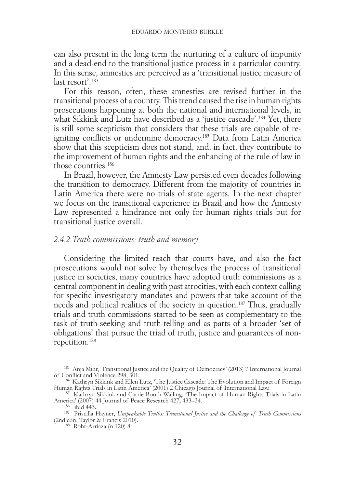can also present in the long term the nurturing of a culture of impunity and a dead-end to the transitional justice process in a particular country. In this sense, amnesties are perceived as a 'transitional justice measure of last resort'.<sup>183</sup>

For this reason, often, these amnesties are revised further in the transitional process of a country. This trend caused the rise in human rights prosecutions happening at both the national and international levels, in what Sikkink and Lutz have described as a 'justice cascade'.<sup>184</sup> Yet, there is still some scepticism that considers that these trials are capable of reigniting conflicts or undermine democracy.<sup>185</sup> Data from Latin America show that this scepticism does not stand, and, in fact, they contribute to the improvement of human rights and the enhancing of the rule of law in those countries.186

In Brazil, however, the Amnesty Law persisted even decades following the transition to democracy. Different from the majority of countries in Latin America there were no trials of state agents. In the next chapter we focus on the transitional experience in Brazil and how the Amnesty Law represented a hindrance not only for human rights trials but for transitional justice overall.

# *2.4.2 Truth commissions: truth and memory*

Considering the limited reach that courts have, and also the fact prosecutions would not solve by themselves the process of transitional justice in societies, many countries have adopted truth commissions as a central component in dealing with past atrocities, with each context calling for specific investigatory mandates and powers that take account of the needs and political realities of the society in question.187 Thus, gradually trials and truth commissions started to be seen as complementary to the task of truth-seeking and truth-telling and as parts of a broader 'set of obligations' that pursue the triad of truth, justice and guarantees of nonrepetition.188

<sup>&</sup>lt;sup>183</sup> Anja Mihr, 'Transitional Justice and the Quality of Democracy' (2013) 7 International Journal of Conflict and Violence 298, 301.

<sup>&</sup>lt;sup>184</sup> Kathryn Sikkink and Éllen Lutz, 'The Justice Cascade: The Evolution and Impact of Foreign Human Rights Trials in Latin America' (2001) 2 Chicago Journal of International Law.

<sup>&</sup>lt;sup>185</sup> Kathryn Sikkink and Carrie Booth Walling, 'The Impact of Human Rights Trials in Latin America' (2007) 44 Journal of Peace Research 427, 433–34. America' (2007) 44 Journal of Peace Research 427, 433–34.<br><sup>186</sup> ibid 443.<br><sup>187</sup> Priscilla Hayner, *Unspeakable Truths: Transitional Justice and the Challenge of Truth Commissions* 

<sup>(2</sup>nd edn, Taylor & Francis 2010). 188 Roht-Arriaza (n 120) 8.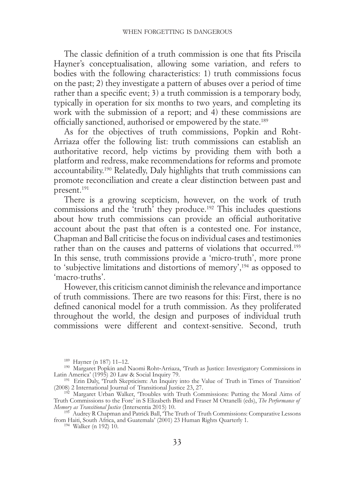The classic definition of a truth commission is one that fits Priscila Hayner's conceptualisation, allowing some variation, and refers to bodies with the following characteristics: 1) truth commissions focus on the past; 2) they investigate a pattern of abuses over a period of time rather than a specific event; 3) a truth commission is a temporary body, typically in operation for six months to two years, and completing its work with the submission of a report; and 4) these commissions are officially sanctioned, authorised or empowered by the state.189

As for the objectives of truth commissions, Popkin and Roht-Arriaza offer the following list: truth commissions can establish an authoritative record, help victims by providing them with both a platform and redress, make recommendations for reforms and promote accountability.190 Relatedly, Daly highlights that truth commissions can promote reconciliation and create a clear distinction between past and present.191

There is a growing scepticism, however, on the work of truth commissions and the 'truth' they produce.192 This includes questions about how truth commissions can provide an official authoritative account about the past that often is a contested one. For instance, Chapman and Ball criticise the focus on individual cases and testimonies rather than on the causes and patterns of violations that occurred.<sup>193</sup> In this sense, truth commissions provide a 'micro-truth', more prone to 'subjective limitations and distortions of memory',194 as opposed to 'macro-truths'.

However, this criticism cannot diminish the relevance and importance of truth commissions. There are two reasons for this: First, there is no defined canonical model for a truth commission. As they proliferated throughout the world, the design and purposes of individual truth commissions were different and context-sensitive. Second, truth

<sup>&</sup>lt;sup>189</sup> Hayner (n 187) 11–12.<br><sup>190</sup> Margaret Popkin and Naomi Roht-Arriaza, 'Truth as Justice: Investigatory Commissions in<br>Latin America' (1995) 20 Law & Social Inquiry 79.

<sup>&</sup>lt;sup>191</sup> Erin Daly, 'Truth Skepticism: An Inquiry into the Value of Truth in Times of Transition' (2008) 2 International Journal of Transitional Justice 23, 27. <sup>192</sup> Margaret Urban Walker, 'Troubles with Truth Commissions: Putting the Moral Aims of

Truth Commissions to the Fore' in S Elizabeth Bird and Fraser M Ottanelli (eds), *The Performance of Memory as Transitional Justice* (Intersentia 2015) 10. <sup>193</sup> Audrey R Chapman and Patrick Ball, 'The Truth of Truth Commissions: Comparative Lessons

from Haiti, South Africa, and Guatemala' (2001) 23 Human Rights Quarterly 1. 194 Walker (n 192) 10.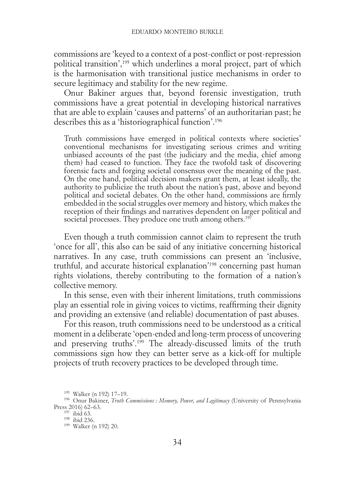commissions are 'keyed to a context of a post-conflict or post-repression political transition',195 which underlines a moral project, part of which is the harmonisation with transitional justice mechanisms in order to secure legitimacy and stability for the new regime.

Onur Bakiner argues that, beyond forensic investigation, truth commissions have a great potential in developing historical narratives that are able to explain 'causes and patterns' of an authoritarian past; he describes this as a 'historiographical function'.196

Truth commissions have emerged in political contexts where societies' conventional mechanisms for investigating serious crimes and writing unbiased accounts of the past (the judiciary and the media, chief among them) had ceased to function. They face the twofold task of discovering forensic facts and forging societal consensus over the meaning of the past. On the one hand, political decision makers grant them, at least ideally, the authority to publicize the truth about the nation's past, above and beyond political and societal debates. On the other hand, commissions are firmly embedded in the social struggles over memory and history, which makes the reception of their findings and narratives dependent on larger political and societal processes. They produce one truth among others.<sup>197</sup>

Even though a truth commission cannot claim to represent the truth 'once for all', this also can be said of any initiative concerning historical narratives. In any case, truth commissions can present an 'inclusive, truthful, and accurate historical explanation'198 concerning past human rights violations, thereby contributing to the formation of a nation's collective memory.

In this sense, even with their inherent limitations, truth commissions play an essential role in giving voices to victims, reaffirming their dignity and providing an extensive (and reliable) documentation of past abuses.

For this reason, truth commissions need to be understood as a critical moment in a deliberate 'open-ended and long-term process of uncovering and preserving truths'.199 The already-discussed limits of the truth commissions sign how they can better serve as a kick-off for multiple projects of truth recovery practices to be developed through time.

<sup>&</sup>lt;sup>195</sup> Walker (n 192) 17–19.<br><sup>196</sup> Onur Bakiner, *Truth Commissions : Memory, Power, and Legitimacy* (University of Pennsylvania<br>Press 2016) 62–63.

<sup>&</sup>lt;sup>197</sup> ibid 63.<br><sup>198</sup> ibid 236.<br><sup>199</sup> Walker (n 192) 20.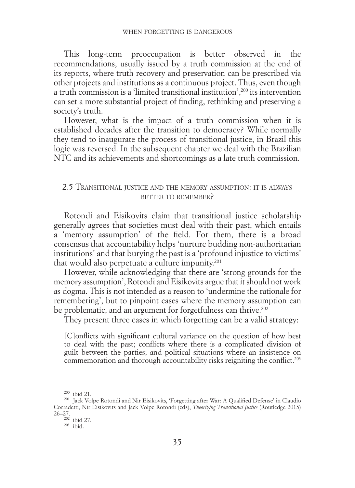This long-term preoccupation is better observed in the recommendations, usually issued by a truth commission at the end of its reports, where truth recovery and preservation can be prescribed via other projects and institutions as a continuous project. Thus, even though a truth commission is a 'limited transitional institution',200 its intervention can set a more substantial project of finding, rethinking and preserving a society's truth.

However, what is the impact of a truth commission when it is established decades after the transition to democracy? While normally they tend to inaugurate the process of transitional justice, in Brazil this logic was reversed. In the subsequent chapter we deal with the Brazilian NTC and its achievements and shortcomings as a late truth commission.

# 2.5 Transitional justice and the memory assumption: it is always BETTER TO REMEMBER?

Rotondi and Eisikovits claim that transitional justice scholarship generally agrees that societies must deal with their past, which entails a 'memory assumption' of the field. For them, there is a broad consensus that accountability helps 'nurture budding non-authoritarian institutions' and that burying the past is a 'profound injustice to victims' that would also perpetuate a culture impunity.201

However, while acknowledging that there are 'strong grounds for the memory assumption', Rotondi and Eisikovits argue that it should not work as dogma. This is not intended as a reason to 'undermine the rationale for remembering', but to pinpoint cases where the memory assumption can be problematic, and an argument for forgetfulness can thrive.<sup>202</sup>

They present three cases in which forgetting can be a valid strategy:

[C]onflicts with significant cultural variance on the question of how best to deal with the past; conflicts where there is a complicated division of guilt between the parties; and political situations where an insistence on commemoration and thorough accountability risks reigniting the conflict.<sup>203</sup>

<sup>&</sup>lt;sup>200</sup> ibid 21.<br><sup>201</sup> Jack Volpe Rotondi and Nir Eisikovits, 'Forgetting after War: A Qualified Defense' in Claudio Corradetti, Nir Eisikovits and Jack Volpe Rotondi (eds), *Theorizing Transitional Justice* (Routledge 2015)  $26-27$ .<br><sup>202</sup> ibid 27.<br><sup>203</sup> ibid.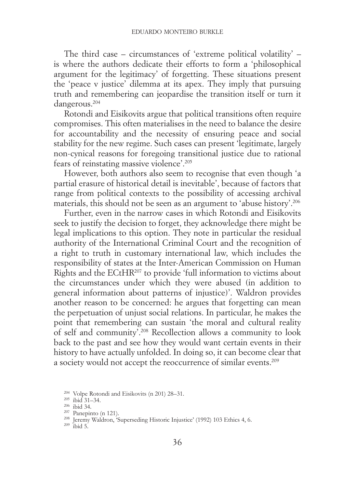The third case – circumstances of 'extreme political volatility' – is where the authors dedicate their efforts to form a 'philosophical argument for the legitimacy' of forgetting. These situations present the 'peace v justice' dilemma at its apex. They imply that pursuing truth and remembering can jeopardise the transition itself or turn it dangerous.204

Rotondi and Eisikovits argue that political transitions often require compromises. This often materialises in the need to balance the desire for accountability and the necessity of ensuring peace and social stability for the new regime. Such cases can present 'legitimate, largely non-cynical reasons for foregoing transitional justice due to rational fears of reinstating massive violence'.205

However, both authors also seem to recognise that even though 'a partial erasure of historical detail is inevitable', because of factors that range from political contexts to the possibility of accessing archival materials, this should not be seen as an argument to 'abuse history'.206

Further, even in the narrow cases in which Rotondi and Eisikovits seek to justify the decision to forget, they acknowledge there might be legal implications to this option. They note in particular the residual authority of the International Criminal Court and the recognition of a right to truth in customary international law, which includes the responsibility of states at the Inter-American Commission on Human Rights and the ECtHR207 to provide 'full information to victims about the circumstances under which they were abused (in addition to general information about patterns of injustice)'. Waldron provides another reason to be concerned: he argues that forgetting can mean the perpetuation of unjust social relations. In particular, he makes the point that remembering can sustain 'the moral and cultural reality of self and community'.208 Recollection allows a community to look back to the past and see how they would want certain events in their history to have actually unfolded. In doing so, it can become clear that a society would not accept the reoccurrence of similar events.209

<sup>&</sup>lt;sup>204</sup> Volpe Rotondi and Eisikovits (n 201) 28–31.<br><sup>205</sup> ibid 31–34.<br><sup>206</sup> ibid 34.<br><sup>207</sup> Panepinto (n 121).<br><sup>208</sup> Jeremy Waldron, 'Superseding Historic Injustice' (1992) 103 Ethics 4, 6.<br><sup>209</sup> ibid 5.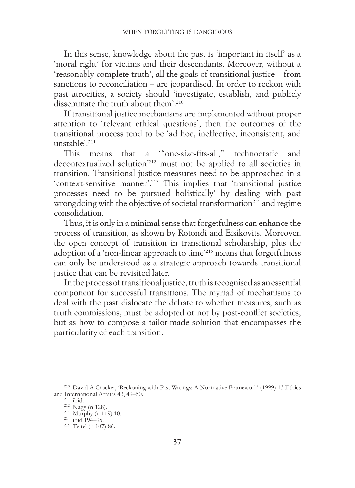In this sense, knowledge about the past is 'important in itself' as a 'moral right' for victims and their descendants. Moreover, without a 'reasonably complete truth', all the goals of transitional justice – from sanctions to reconciliation – are jeopardised. In order to reckon with past atrocities, a society should 'investigate, establish, and publicly disseminate the truth about them'.<sup>210</sup>

If transitional justice mechanisms are implemented without proper attention to 'relevant ethical questions', then the outcomes of the transitional process tend to be 'ad hoc, ineffective, inconsistent, and unstable'.<sup>211</sup>

This means that a '"one-size-fits-all," technocratic and decontextualized solution'212 must not be applied to all societies in transition. Transitional justice measures need to be approached in a 'context-sensitive manner'.213 This implies that 'transitional justice processes need to be pursued holistically' by dealing with past wrongdoing with the objective of societal transformation<sup>214</sup> and regime consolidation.

Thus, it is only in a minimal sense that forgetfulness can enhance the process of transition, as shown by Rotondi and Eisikovits. Moreover, the open concept of transition in transitional scholarship, plus the adoption of a 'non-linear approach to time'215 means that forgetfulness can only be understood as a strategic approach towards transitional justice that can be revisited later.

In the process of transitional justice, truth is recognised as an essential component for successful transitions. The myriad of mechanisms to deal with the past dislocate the debate to whether measures, such as truth commissions, must be adopted or not by post-conflict societies, but as how to compose a tailor-made solution that encompasses the particularity of each transition.

<sup>&</sup>lt;sup>210</sup> David A Crocker, 'Reckoning with Past Wrongs: A Normative Framework' (1999) 13 Ethics and International Affairs 43, 49–50.

<sup>&</sup>lt;sup>211</sup> ibid.  $^{212}$  Nagy (n 128).  $^{213}$  Murphy (n 119) 10.  $^{214}$  ibid 194–95.  $^{215}$  Teitel (n 107) 86.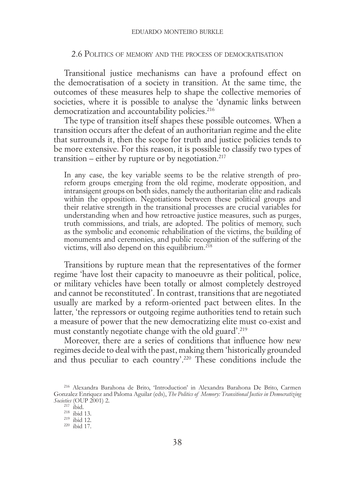### 2.6 Politics of memory and the process of democratisation

Transitional justice mechanisms can have a profound effect on the democratisation of a society in transition. At the same time, the outcomes of these measures help to shape the collective memories of societies, where it is possible to analyse the 'dynamic links between democratization and accountability policies.<sup>216</sup>

The type of transition itself shapes these possible outcomes. When a transition occurs after the defeat of an authoritarian regime and the elite that surrounds it, then the scope for truth and justice policies tends to be more extensive. For this reason, it is possible to classify two types of transition – either by rupture or by negotiation.<sup>217</sup>

In any case, the key variable seems to be the relative strength of proreform groups emerging from the old regime, moderate opposition, and intransigent groups on both sides, namely the authoritarian elite and radicals within the opposition. Negotiations between these political groups and their relative strength in the transitional processes are crucial variables for understanding when and how retroactive justice measures, such as purges, truth commissions, and trials, are adopted. The politics of memory, such as the symbolic and economic rehabilitation of the victims, the building of monuments and ceremonies, and public recognition of the suffering of the victims, will also depend on this equilibrium.<sup>218</sup>

Transitions by rupture mean that the representatives of the former regime 'have lost their capacity to manoeuvre as their political, police, or military vehicles have been totally or almost completely destroyed and cannot be reconstituted'. In contrast, transitions that are negotiated usually are marked by a reform-oriented pact between elites. In the latter, 'the repressors or outgoing regime authorities tend to retain such a measure of power that the new democratizing elite must co-exist and must constantly negotiate change with the old guard'.219

Moreover, there are a series of conditions that influence how new regimes decide to deal with the past, making them 'historically grounded and thus peculiar to each country'.220 These conditions include the

<sup>216</sup> Alexandra Barahona de Brito, 'Introduction' in Alexandra Barahona De Brito, Carmen Gonzalez Enriquez and Paloma Aguilar (eds), *The Politics of Memory: Transitional Justice in Democratizing Societies* (OUP 2001) 2. <sup>217</sup> ibid. <sup>218</sup> ibid 13. <sup>219</sup> ibid 12. 220 ibid 17.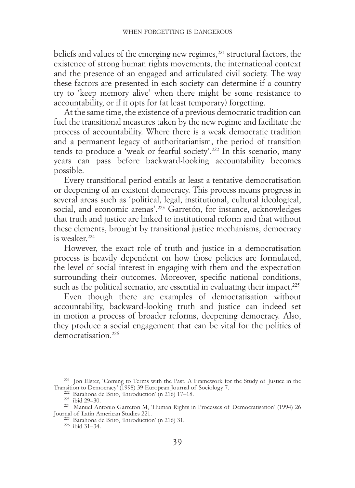beliefs and values of the emerging new regimes,<sup>221</sup> structural factors, the existence of strong human rights movements, the international context and the presence of an engaged and articulated civil society. The way these factors are presented in each society can determine if a country try to 'keep memory alive' when there might be some resistance to accountability, or if it opts for (at least temporary) forgetting.

At the same time, the existence of a previous democratic tradition can fuel the transitional measures taken by the new regime and facilitate the process of accountability. Where there is a weak democratic tradition and a permanent legacy of authoritarianism, the period of transition tends to produce a 'weak or fearful society'.222 In this scenario, many years can pass before backward-looking accountability becomes possible.

Every transitional period entails at least a tentative democratisation or deepening of an existent democracy. This process means progress in several areas such as 'political, legal, institutional, cultural ideological, social, and economic arenas'.<sup>223</sup> Garretón, for instance, acknowledges that truth and justice are linked to institutional reform and that without these elements, brought by transitional justice mechanisms, democracy is weaker<sup>224</sup>

However, the exact role of truth and justice in a democratisation process is heavily dependent on how those policies are formulated, the level of social interest in engaging with them and the expectation surrounding their outcomes. Moreover, specific national conditions, such as the political scenario, are essential in evaluating their impact.<sup>225</sup>

Even though there are examples of democratisation without accountability, backward-looking truth and justice can indeed set in motion a process of broader reforms, deepening democracy. Also, they produce a social engagement that can be vital for the politics of democratisation.<sup>226</sup>

<sup>221</sup> Jon Elster, 'Coming to Terms with the Past. A Framework for the Study of Justice in the

Transition to Democracy' (1998) 39 European Journal of Sociology 7.<br>
<sup>222</sup> Barahona de Brito, 'Introduction' (n 216) 17–18.<br>
<sup>223</sup> ibid 29–30.<br>
<sup>224</sup> Manuel Antonio Garreton M, 'Human Rights in Processes of Democratisation

<sup>&</sup>lt;sup>225</sup> Barahona de Brito, 'Introduction' (n 216) 31. <sup>226</sup> ibid 31–34.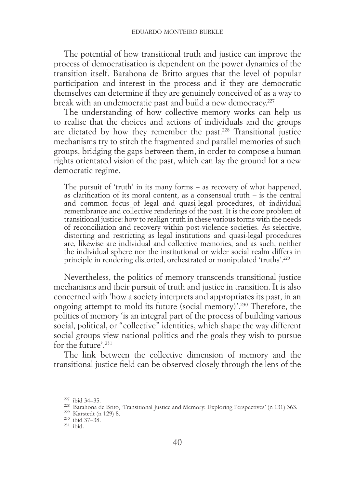The potential of how transitional truth and justice can improve the process of democratisation is dependent on the power dynamics of the transition itself. Barahona de Britto argues that the level of popular participation and interest in the process and if they are democratic themselves can determine if they are genuinely conceived of as a way to break with an undemocratic past and build a new democracy.<sup>227</sup>

The understanding of how collective memory works can help us to realise that the choices and actions of individuals and the groups are dictated by how they remember the past.228 Transitional justice mechanisms try to stitch the fragmented and parallel memories of such groups, bridging the gaps between them, in order to compose a human rights orientated vision of the past, which can lay the ground for a new democratic regime.

The pursuit of 'truth' in its many forms – as recovery of what happened, as clarification of its moral content, as a consensual truth – is the central and common focus of legal and quasi-legal procedures, of individual remembrance and collective renderings of the past. It is the core problem of transitional justice: how to realign truth in these various forms with the needs of reconciliation and recovery within post-violence societies. As selective, distorting and restricting as legal institutions and quasi-legal procedures are, likewise are individual and collective memories, and as such, neither the individual sphere nor the institutional or wider social realm differs in principle in rendering distorted, orchestrated or manipulated 'truths'.229

Nevertheless, the politics of memory transcends transitional justice mechanisms and their pursuit of truth and justice in transition. It is also concerned with 'how a society interprets and appropriates its past, in an ongoing attempt to mold its future (social memory)'.230 Therefore, the politics of memory 'is an integral part of the process of building various social, political, or "collective" identities, which shape the way different social groups view national politics and the goals they wish to pursue for the future'.231

The link between the collective dimension of memory and the transitional justice field can be observed closely through the lens of the

<sup>&</sup>lt;sup>227</sup> ibid 34–35. 228 Barahona de Brito, 'Transitional Justice and Memory: Exploring Perspectives' (n 131) 363. <sup>229</sup> Karstedt (n 129) 8. <sup>231</sup> ibid. <sup>231</sup> ibid.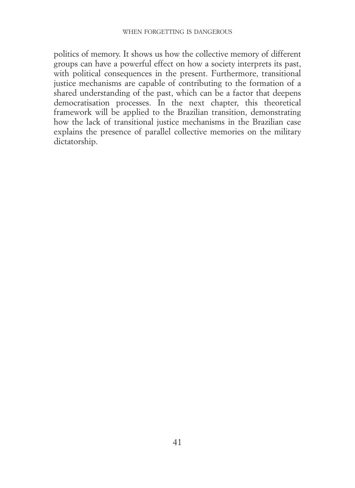politics of memory. It shows us how the collective memory of different groups can have a powerful effect on how a society interprets its past, with political consequences in the present. Furthermore, transitional justice mechanisms are capable of contributing to the formation of a shared understanding of the past, which can be a factor that deepens democratisation processes. In the next chapter, this theoretical framework will be applied to the Brazilian transition, demonstrating how the lack of transitional justice mechanisms in the Brazilian case explains the presence of parallel collective memories on the military dictatorship.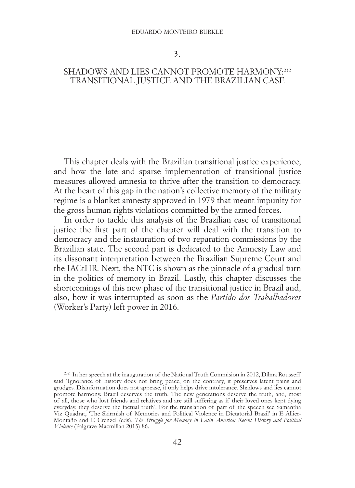3.

# SHADOWS AND LIES CANNOT PROMOTE HARMONY:<sup>232</sup> TRANSITIONAL JUSTICE AND THE BRAZILIAN CASE

This chapter deals with the Brazilian transitional justice experience, and how the late and sparse implementation of transitional justice measures allowed amnesia to thrive after the transition to democracy. At the heart of this gap in the nation's collective memory of the military regime is a blanket amnesty approved in 1979 that meant impunity for the gross human rights violations committed by the armed forces.

In order to tackle this analysis of the Brazilian case of transitional justice the first part of the chapter will deal with the transition to democracy and the instauration of two reparation commissions by the Brazilian state. The second part is dedicated to the Amnesty Law and its dissonant interpretation between the Brazilian Supreme Court and the IACtHR. Next, the NTC is shown as the pinnacle of a gradual turn in the politics of memory in Brazil. Lastly, this chapter discusses the shortcomings of this new phase of the transitional justice in Brazil and, also, how it was interrupted as soon as the *Partido dos Trabalhadores* (Worker's Party) left power in 2016.

<sup>232</sup> In her speech at the inauguration of the National Truth Commision in 2012, Dilma Rousseff said 'Ignorance of history does not bring peace, on the contrary, it preserves latent pains and grudges. Disinformation does not appease, it only helps drive intolerance. Shadows and lies cannot promote harmony. Brazil deserves the truth. The new generations deserve the truth, and, most of all, those who lost friends and relatives and are still suffering as if their loved ones kept dying everyday, they deserve the factual truth'. For the translation of part of the speech see Samantha Viz Quadrat, 'The Skirmish of Memories and Political Violence in Dictatorial Brazil' in E Allier-Montaño and E Crenzel (eds), *The Struggle for Memory in Latin America: Recent History and Political Violence* (Palgrave Macmillan 2015) 86.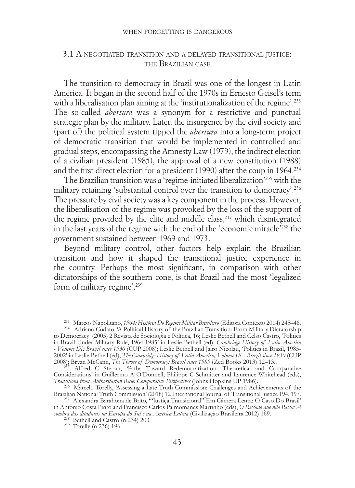#### when forgetting is dangerous

### 3.1 A negotiated transition and <sup>a</sup> delayed transitional justice: the Brazilian case

The transition to democracy in Brazil was one of the longest in Latin America. It began in the second half of the 1970s in Ernesto Geisel's term with a liberalisation plan aiming at the 'institutionalization of the regime'.<sup>233</sup> The so-called *abertura* was a synonym for a restrictive and punctual strategic plan by the military. Later, the insurgence by the civil society and (part of) the political system tipped the *abertura* into a long-term project of democratic transition that would be implemented in controlled and gradual steps, encompassing the Amnesty Law (1979), the indirect election of a civilian president (1985), the approval of a new constitution (1988) and the first direct election for a president (1990) after the coup in 1964.234

The Brazilian transition was a 'regime-initiated liberalization'235 with the military retaining 'substantial control over the transition to democracy'.236 The pressure by civil society was a key component in the process. However, the liberalisation of the regime was provoked by the loss of the support of the regime provided by the elite and middle class,237 which disintegrated in the last years of the regime with the end of the 'economic miracle'238 the government sustained between 1969 and 1973.

Beyond military control, other factors help explain the Brazilian transition and how it shaped the transitional justice experience in the country. Perhaps the most significant, in comparison with other dictatorships of the southern cone, is that Brazil had the most 'legalized form of military regime'.239

Considerations' in Guillermo A O'Donnell, Philippe C Schmitter and Laurence Whitehead (eds), Transitions from Authoritarian Rule: Comparative Perspectives (Johns Hopkins UP 1986).

*Transitions from Authoritarian Rule: Comparative Perspectives* (Johns Hopkins Hopkins Hopkins Hopkins Hopkins Hopkins Hopkins Hopkins Up 1986). 236 Marcelo Torelly, 'Assessing a Late Truth Commission: Challenges and Achie Brazilian National Truth Commission' (2018) 12 International Journal of Transitional Justice 194, 197. <sup>237</sup> Alexandra Barahona de Brito, '"Justiça Transicional" Em Câmera Lenta: O Caso Do Brasil'

in Antonio Costa Pinto and Francisco Carlos Palmomanes Martinho (eds), *O Passado que não Passa: A sombra das ditaduras na Europa do Sul e na América Latina* (Civilização Brasileira 2012) 169. <sup>238</sup> Bethell and Castro (n 234) 203. 239 Torelly (n 236) 196.

<sup>233</sup> Marcos Napolitano, *1964: História Do Regime Militar Brasileiro* (Editora Contexto 2014) 245–46. <sup>234</sup> Adriano Codato, 'A Political History of the Brazilian Transition: From Military Dictatorship

to Democracy' (2005) 2 Revista de Sociologia e Política, 16; Leslie Bethell and Celso Castro, 'Politics in Brazil Under Military Rule, 1964-1985' in Leslie Bethell (ed), *Cambridge History of Latin America - Volume IX: Brazil since 1930* (CUP 2008); Leslie Bethell and Jairo Nicolau, 'Politics in Brazil, 1985- 2002' in Leslie Bethell (ed), *The Cambridge History of Latin America, Volume IX - Brazil since 1930* (CUP 2008); Bryan McCann, *The Throes of Democracy: Brazil since 1989* (Zed Books 2013) 12–13..<br><sup>235</sup> Alfred C Stepan, 'Paths Toward Redemocratization: Theoretical and Comparative<sup>235</sup>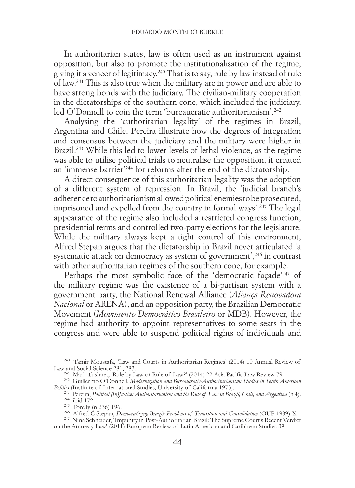In authoritarian states, law is often used as an instrument against opposition, but also to promote the institutionalisation of the regime, giving it a veneer of legitimacy.240 That is to say, rule by law instead of rule of law.241 This is also true when the military are in power and are able to have strong bonds with the judiciary. The civilian-military cooperation in the dictatorships of the southern cone, which included the judiciary, led O'Donnell to coin the term 'bureaucratic authoritarianism'.<sup>242</sup>

Analysing the 'authoritarian legality' of the regimes in Brazil, Argentina and Chile, Pereira illustrate how the degrees of integration and consensus between the judiciary and the military were higher in Brazil.<sup>243</sup> While this led to lower levels of lethal violence, as the regime was able to utilise political trials to neutralise the opposition, it created an 'immense barrier'244 for reforms after the end of the dictatorship.

A direct consequence of this authoritarian legality was the adoption of a different system of repression. In Brazil, the 'judicial branch's adherence to authoritarianism allowed political enemies to be prosecuted, imprisoned and expelled from the country in formal ways'.<sup>245</sup> The legal appearance of the regime also included a restricted congress function, presidential terms and controlled two-party elections for the legislature. While the military always kept a tight control of this environment, Alfred Stepan argues that the dictatorship in Brazil never articulated 'a systematic attack on democracy as system of government',<sup>246</sup> in contrast with other authoritarian regimes of the southern cone, for example.

Perhaps the most symbolic face of the 'democratic facade'<sup>247</sup> of the military regime was the existence of a bi-partisan system with a government party, the National Renewal Alliance (*Aliança Renovadora Nacional* or ARENA), and an opposition party, the Brazilian Democratic Movement (*Movimento Democrático Brasileiro* or MDB). However, the regime had authority to appoint representatives to some seats in the congress and were able to suspend political rights of individuals and

<sup>240</sup> Tamir Moustafa, 'Law and Courts in Authoritarian Regimes' (2014) 10 Annual Review of Law and Social Science 281, 283.

<sup>241</sup> Mark Tushnet, 'Rule by Law or Rule of Law?' (2014) 22 Asia Pacific Law Review 79.<br><sup>242</sup> Guillermo O'Donnell, *Modernization and Bureaucratic-Authoritarianism: Studies in South American Politics (Institute of Interna* 

<sup>243</sup> Pereira, *Political (In)Justice: Authoritarianism and the Rule of Law in Brazil, Chile, and Argentina (n 4).<br><sup>244</sup> ibid 172.<br><sup>245</sup> Torelly (n 236) 196.<br><sup>246</sup> Alfred C Stepan, <i>Democratizing Brazil: Problems of Transi* 

on the Amnesty Law' (2011) European Review of Latin American and Caribbean Studies 39.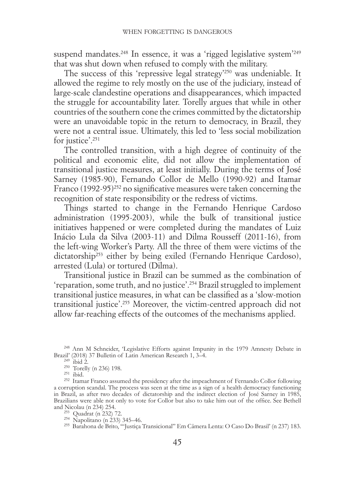suspend mandates.<sup>248</sup> In essence, it was a 'rigged legislative system<sup>'249</sup> that was shut down when refused to comply with the military.

The success of this 'repressive legal strategy'250 was undeniable. It allowed the regime to rely mostly on the use of the judiciary, instead of large-scale clandestine operations and disappearances, which impacted the struggle for accountability later. Torelly argues that while in other countries of the southern cone the crimes committed by the dictatorship were an unavoidable topic in the return to democracy, in Brazil, they were not a central issue. Ultimately, this led to 'less social mobilization for justice'.<sup>251</sup>

The controlled transition, with a high degree of continuity of the political and economic elite, did not allow the implementation of transitional justice measures, at least initially. During the terms of José Sarney (1985-90), Fernando Collor de Mello (1990-92) and Itamar Franco  $(1992-95)^{252}$  no significative measures were taken concerning the recognition of state responsibility or the redress of victims.

Things started to change in the Fernando Henrique Cardoso administration (1995-2003), while the bulk of transitional justice initiatives happened or were completed during the mandates of Luiz Inácio Lula da Silva (2003-11) and Dilma Rousseff (2011-16), from the left-wing Worker's Party. All the three of them were victims of the dictatorship<sup>253</sup> either by being exiled (Fernando Henrique Cardoso), arrested (Lula) or tortured (Dilma).

Transitional justice in Brazil can be summed as the combination of 'reparation, some truth, and no justice'.254 Brazil struggled to implement transitional justice measures, in what can be classified as a 'slow-motion transitional justice'.255 Moreover, the victim-centred approach did not allow far-reaching effects of the outcomes of the mechanisms applied.

<sup>&</sup>lt;sup>248</sup> Ann M Schneider, 'Legislative Efforts against Impunity in the 1979 Amnesty Debate in Brazil' (2018) 37 Bulletin of Latin American Research 1, 3–4.<br>
<sup>249</sup> ibid 2.<br>
<sup>251</sup> Torelly (n 236) 198.<br>
<sup>251</sup> ibid. <sup>252</sup> Itamar Franco assumed the presidency after the impeachment of Fernando Collor following

a corruption scandal. The process was seen at the time as a sign of a health democracy functioning in Brazil, as after two decades of dictatorship and the indirect election of José Sarney in 1985, Brazilians were able not only to vote for Collor but also to take him out of the office. See Bethell and Nicolau (n 234) 254.<br><sup>253</sup> Quadrat (n 232) 72.

 $\frac{254}{254}$  Napolitano (n 233) 345–46.<br><sup>255</sup> Barahona de Brito, '"Justiça Transicional" Em Câmera Lenta: O Caso Do Brasil' (n 237) 183.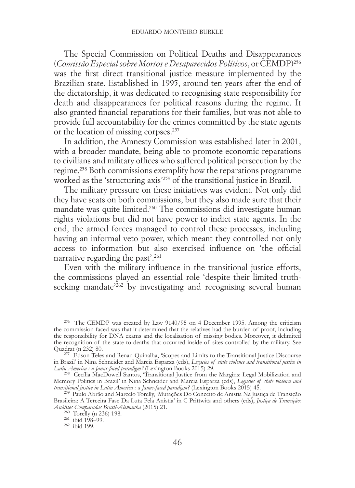The Special Commission on Political Deaths and Disappearances (*Comissão Especial sobre Mortos e Desaparecidos Políticos*, or CEMDP)256 was the first direct transitional justice measure implemented by the Brazilian state. Established in 1995, around ten years after the end of the dictatorship, it was dedicated to recognising state responsibility for death and disappearances for political reasons during the regime. It also granted financial reparations for their families, but was not able to provide full accountability for the crimes committed by the state agents or the location of missing corpses.257

In addition, the Amnesty Commission was established later in 2001, with a broader mandate, being able to promote economic reparations to civilians and military offices who suffered political persecution by the regime.258 Both commissions exemplify how the reparations programme worked as the 'structuring axis'259 of the transitional justice in Brazil.

The military pressure on these initiatives was evident. Not only did they have seats on both commissions, but they also made sure that their mandate was quite limited.260 The commissions did investigate human rights violations but did not have power to indict state agents. In the end, the armed forces managed to control these processes, including having an informal veto power, which meant they controlled not only access to information but also exercised influence on 'the official narrative regarding the past'.261

Even with the military influence in the transitional justice efforts, the commissions played an essential role 'despite their limited truthseeking mandate<sup>'262</sup> by investigating and recognising several human

<sup>256</sup> The CEMDP was created by Law 9140/95 on 4 December 1995. Among the criticism the commission faced was that it determined that the relatives had the burden of proof, including the responsibility for DNA exams and the localisation of missing bodies. Moreover, it delimited the recognition of the state to deaths that occurred inside of sites controlled by the military. See Ouadrat (n 232) 80.

<sup>&</sup>lt;sup>257</sup> Edson Teles and Renan Quinalha, 'Scopes and Limits to the Transitional Justice Discourse in Brazil' in Nina Schneider and Marcia Esparza (eds), *Legacies of state violence and transitional justice in* 

<sup>&</sup>lt;sup>258</sup> Cecília MacDowell Santos, Transitional Justice from the Margins: Legal Mobilization and Memory Politics in Brazil' in Nina Schneider and Marcia Esparza (eds), *Legacies of state violence and transitional justice in Latin America : a Janus-faced paradigm?* (Lexington Books 2015) 45. <sup>259</sup> Paulo Abrão and Marcelo Torelly, 'Mutações Do Conceito de Anistia Na Justiça de Transição

Brasileira: A Terceira Fase Da Luta Pela Anistia' in C Prittwitz and others (eds), *Justiça de Transição: Análises Comparadas Brasil-Alemanha* (2015) 21.<br><sup>266</sup> Torelly (n 236) 198.<br><sup>261</sup> ibid 198–99.<br><sup>262</sup> ibid 199.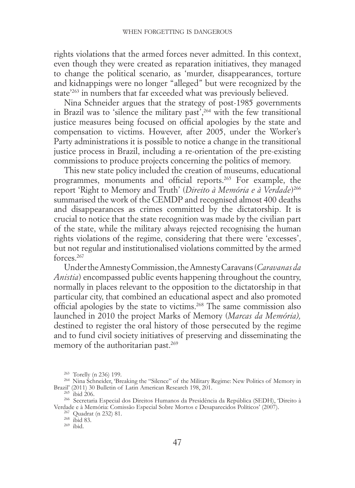rights violations that the armed forces never admitted. In this context, even though they were created as reparation initiatives, they managed to change the political scenario, as 'murder, disappearances, torture and kidnappings were no longer "alleged" but were recognized by the state<sup>'263</sup> in numbers that far exceeded what was previously believed.

Nina Schneider argues that the strategy of post-1985 governments in Brazil was to 'silence the military past',<sup>264</sup> with the few transitional justice measures being focused on official apologies by the state and compensation to victims. However, after 2005, under the Worker's Party administrations it is possible to notice a change in the transitional justice process in Brazil, including a re-orientation of the pre-existing commissions to produce projects concerning the politics of memory.

This new state policy included the creation of museums, educational programmes, monuments and official reports.265 For example, the report 'Right to Memory and Truth' (*Direito à Memória e à Verdade*)266 summarised the work of the CEMDP and recognised almost 400 deaths and disappearances as crimes committed by the dictatorship. It is crucial to notice that the state recognition was made by the civilian part of the state, while the military always rejected recognising the human rights violations of the regime, considering that there were 'excesses', but not regular and institutionalised violations committed by the armed forces<sup>267</sup>

Under the Amnesty Commission, the Amnesty Caravans (*Caravanas da Anistia*) encompassed public events happening throughout the country, normally in places relevant to the opposition to the dictatorship in that particular city, that combined an educational aspect and also promoted official apologies by the state to victims.268 The same commission also launched in 2010 the project Marks of Memory (*Marcas da Memória),*  destined to register the oral history of those persecuted by the regime and to fund civil society initiatives of preserving and disseminating the memory of the authoritarian past.269

<sup>&</sup>lt;sup>263</sup> Torelly (n 236) 199.<br><sup>264</sup> Nina Schneider, 'Breaking the "Silence" of the Military Regime: New Politics of Memory in Brazil' (2011) 30 Bulletin of Latin American Research 198, 201.<br><sup>265</sup> ibid 206.<br><sup>266</sup> Secretaria Especial dos Direitos Humanos da Presidência da República (SEDH), 'Direito à

Verdade e à Memória: Comissão Especial Sobre Mortos e Desaparecidos Políticos' (2007).<br><sup>267</sup> Quadrat (n 232) 81.<br><sup>268</sup> ibid 83. <sup>269</sup> ibid.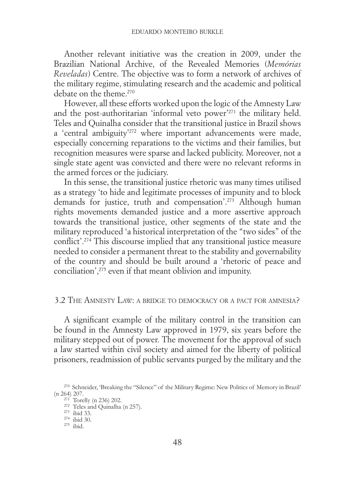Another relevant initiative was the creation in 2009, under the Brazilian National Archive, of the Revealed Memories (*Memórias Reveladas*) Centre. The objective was to form a network of archives of the military regime, stimulating research and the academic and political debate on the theme.<sup>270</sup>

However, all these efforts worked upon the logic of the Amnesty Law and the post-authoritarian 'informal veto power'271 the military held. Teles and Quinalha consider that the transitional justice in Brazil shows a 'central ambiguity'272 where important advancements were made, especially concerning reparations to the victims and their families, but recognition measures were sparse and lacked publicity. Moreover, not a single state agent was convicted and there were no relevant reforms in the armed forces or the judiciary.

In this sense, the transitional justice rhetoric was many times utilised as a strategy 'to hide and legitimate processes of impunity and to block demands for justice, truth and compensation'.273 Although human rights movements demanded justice and a more assertive approach towards the transitional justice, other segments of the state and the military reproduced 'a historical interpretation of the "two sides" of the conflict'.274 This discourse implied that any transitional justice measure needed to consider a permanent threat to the stability and governability of the country and should be built around a 'rhetoric of peace and conciliation',275 even if that meant oblivion and impunity.

# 3.2 The Amnesty Law: a bridge to democracy or a pact for amnesia?

A significant example of the military control in the transition can be found in the Amnesty Law approved in 1979, six years before the military stepped out of power. The movement for the approval of such a law started within civil society and aimed for the liberty of political prisoners, readmission of public servants purged by the military and the

<sup>270</sup> Schneider, 'Breaking the "Silence" of the Military Regime: New Politics of Memory in Brazil' (n 264) 207.<br>
<sup>271</sup> Torelly (n 236) 202.<br>
<sup>272</sup> Teles and Quinalha (n 257).<br>
<sup>273</sup> ibid 30.<br>
<sup>275</sup> ibid.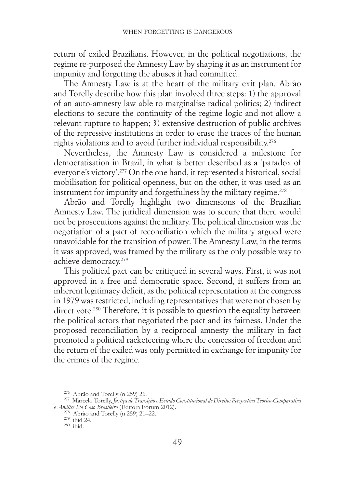return of exiled Brazilians. However, in the political negotiations, the regime re-purposed the Amnesty Law by shaping it as an instrument for impunity and forgetting the abuses it had committed.

The Amnesty Law is at the heart of the military exit plan. Abrão and Torelly describe how this plan involved three steps: 1) the approval of an auto-amnesty law able to marginalise radical politics; 2) indirect elections to secure the continuity of the regime logic and not allow a relevant rupture to happen; 3) extensive destruction of public archives of the repressive institutions in order to erase the traces of the human rights violations and to avoid further individual responsibility.276

Nevertheless, the Amnesty Law is considered a milestone for democratisation in Brazil, in what is better described as a 'paradox of everyone's victory'.277 On the one hand, it represented a historical, social mobilisation for political openness, but on the other, it was used as an instrument for impunity and forgetfulness by the military regime.<sup>278</sup>

Abrão and Torelly highlight two dimensions of the Brazilian Amnesty Law. The juridical dimension was to secure that there would not be prosecutions against the military. The political dimension was the negotiation of a pact of reconciliation which the military argued were unavoidable for the transition of power. The Amnesty Law, in the terms it was approved, was framed by the military as the only possible way to achieve democracy.279

This political pact can be critiqued in several ways. First, it was not approved in a free and democratic space. Second, it suffers from an inherent legitimacy deficit, as the political representation at the congress in 1979 was restricted, including representatives that were not chosen by direct vote.<sup>280</sup> Therefore, it is possible to question the equality between the political actors that negotiated the pact and its fairness. Under the proposed reconciliation by a reciprocal amnesty the military in fact promoted a political racketeering where the concession of freedom and the return of the exiled was only permitted in exchange for impunity for the crimes of the regime.

<sup>276</sup> Abrão and Torelly (n 259) 26. <sup>277</sup> Marcelo Torelly, *Justiça de Transição e Estado Constitucional de Direito: Perspectiva Teórico-Comparativa e Análise Do Caso Brasileiro* (Editora Fórum 2012).<br><sup>278</sup> Abrão and Torelly (n 259) 21–22.<br><sup>279</sup> ibid 24.<br><sup>280</sup> ibid.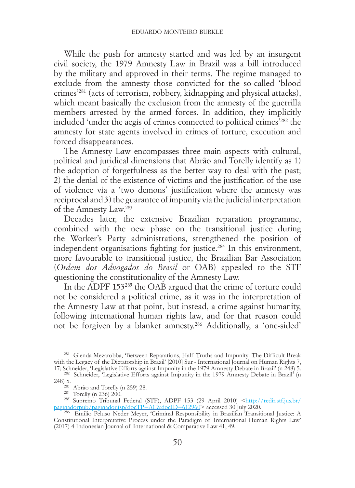While the push for amnesty started and was led by an insurgent civil society, the 1979 Amnesty Law in Brazil was a bill introduced by the military and approved in their terms. The regime managed to exclude from the amnesty those convicted for the so-called 'blood crimes'281 (acts of terrorism, robbery, kidnapping and physical attacks), which meant basically the exclusion from the amnesty of the guerrilla members arrested by the armed forces. In addition, they implicitly included 'under the aegis of crimes connected to political crimes'282 the amnesty for state agents involved in crimes of torture, execution and forced disappearances.

The Amnesty Law encompasses three main aspects with cultural, political and juridical dimensions that Abrão and Torelly identify as 1) the adoption of forgetfulness as the better way to deal with the past; 2) the denial of the existence of victims and the justification of the use of violence via a 'two demons' justification where the amnesty was reciprocal and 3) the guarantee of impunity via the judicial interpretation of the Amnesty Law.283

Decades later, the extensive Brazilian reparation programme, combined with the new phase on the transitional justice during the Worker's Party administrations, strengthened the position of independent organisations fighting for justice.284 In this environment, more favourable to transitional justice, the Brazilian Bar Association (*Ordem dos Advogados do Brasil* or OAB) appealed to the STF questioning the constitutionality of the Amnesty Law.

In the ADPF 153285 the OAB argued that the crime of torture could not be considered a political crime, as it was in the interpretation of the Amnesty Law at that point, but instead, a crime against humanity, following international human rights law, and for that reason could not be forgiven by a blanket amnesty.286 Additionally, a 'one-sided'

<sup>281</sup> Glenda Mezarobba, 'Between Reparations, Half Truths and Impunity: The Difficult Break with the Legacy of the Dictatorship in Brazil' [2010] Sur - International Journal on Human Rights 7,

<sup>17;</sup> Schneider, 'Legislative Efforts against Impunity in the 1979 Amnesty Debate in Brazil' (n 248) 5. <sup>282</sup> Schneider, 'Legislative Efforts against Impunity in the 1979 Amnesty Debate in Brazil' (n 248) 5.<br><sup>283</sup> Abrão and Torelly (n 259) 28.<br><sup>284</sup> Torelly (n 236) 200.<br><sup>285</sup> Supremo Tribunal Federal (STF), ADPF 153 (29 April 2010) <http://<u>redir.stf.jus.br/</u>

[paginadorpub/paginador.jsp?docTP=AC&docID=612960](http://redir.stf.jus.br/paginadorpub/paginador.jsp?docTP=AC&docID=612960)> accessed 30 July 2020. <sup>286</sup> Emilio Peluso Neder Meyer, 'Criminal Responsibility in Brazilian Transitional Justice: A

Constitutional Interpretative Process under the Paradigm of International Human Rights Law' (2017) 4 Indonesian Journal of International & Comparative Law 41, 49.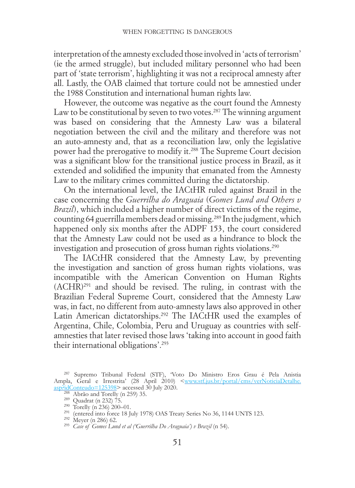interpretation of the amnesty excluded those involved in 'acts of terrorism' (ie the armed struggle), but included military personnel who had been part of 'state terrorism', highlighting it was not a reciprocal amnesty after all. Lastly, the OAB claimed that torture could not be amnestied under the 1988 Constitution and international human rights law.

However, the outcome was negative as the court found the Amnesty Law to be constitutional by seven to two votes.<sup>287</sup> The winning argument was based on considering that the Amnesty Law was a bilateral negotiation between the civil and the military and therefore was not an auto-amnesty and, that as a reconciliation law, only the legislative power had the prerogative to modify it.288 The Supreme Court decision was a significant blow for the transitional justice process in Brazil, as it extended and solidified the impunity that emanated from the Amnesty Law to the military crimes committed during the dictatorship.

On the international level, the IACtHR ruled against Brazil in the case concerning the *Guerrilha do Araguaia* (*Gomes Lund and Others v Brazil*), which included a higher number of direct victims of the regime, counting 64 guerrilla members dead or missing.289 In the judgment, which happened only six months after the ADPF 153, the court considered that the Amnesty Law could not be used as a hindrance to block the investigation and prosecution of gross human rights violations.290

The IACtHR considered that the Amnesty Law, by preventing the investigation and sanction of gross human rights violations, was incompatible with the American Convention on Human Rights (ACHR)291 and should be revised. The ruling, in contrast with the Brazilian Federal Supreme Court, considered that the Amnesty Law was, in fact, no different from auto-amnesty laws also approved in other Latin American dictatorships.292 The IACtHR used the examples of Argentina, Chile, Colombia, Peru and Uruguay as countries with selfamnesties that later revised those laws 'taking into account in good faith their international obligations'.293

<sup>287</sup> Supremo Tribunal Federal (STF), 'Voto Do Ministro Eros Grau é Pela Anistia Ampla, Geral e Irrestrita' (28 April 2010) [<www.stf.jus.br/portal/cms/verNoticiaDetalhe.](http://www.stf.jus.br/portal/cms/verNoticiaDetalhe.asp?idConteudo=125398) **Example 10**<br> **Example 125398>** accessed 30 July 2020.<br>
<sup>288</sup> Abrão and Torelly (n 259) 35.<br>
<sup>289</sup> Quadrat (n 232) 75.<br>
<sup>290</sup> Torelly (n 236) 200-01.<br>
<sup>291</sup> (entered into force 18 July 1978) OAS Treaty Series No 36, 1144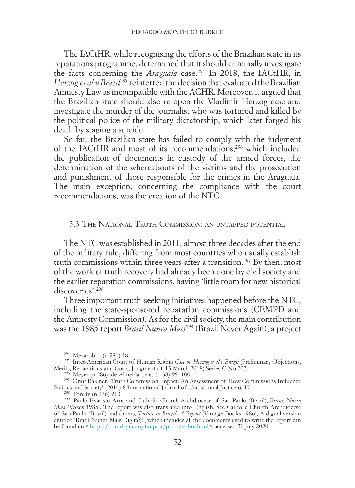The IACtHR, while recognising the efforts of the Brazilian state in its reparations programme, determined that it should criminally investigate the facts concerning the *Araguaia* case.294 In 2018, the IACtHR, in *Herzog et al v Brazil<sup>295</sup>* reinterred the decision that evaluated the Brazilian Amnesty Law as incompatible with the ACHR. Moreover, it argued that the Brazilian state should also re-open the Vladimir Herzog case and investigate the murder of the journalist who was tortured and killed by the political police of the military dictatorship, which later forged his death by staging a suicide.

So far, the Brazilian state has failed to comply with the judgment of the IACtHR and most of its recommendations,296 which included the publication of documents in custody of the armed forces, the determination of the whereabouts of the victims and the prosecution and punishment of those responsible for the crimes in the Araguaia. The main exception, concerning the compliance with the court recommendations, was the creation of the NTC.

# 3.3 The National Truth Commission: an untapped potential

The NTC was established in 2011, almost three decades after the end of the military rule, differing from most countries who usually establish truth commissions within three years after a transition.297 By then, most of the work of truth recovery had already been done by civil society and the earlier reparation commissions, having 'little room for new historical discoveries'.298

Three important truth-seeking initiatives happened before the NTC, including the state-sponsored reparation commissions (CEMPD and the Amnesty Commission). As for the civil society, the main contribution was the 1985 report *Brasil Nunca Mais*299 (Brazil Never Again), a project

<sup>&</sup>lt;sup>294</sup> Mezarobba (n 281) 18.<br><sup>295</sup> Inter-American Court of Human Rights *Case of Herzog et al v Brazil* (Preliminary Objections, Merits, Reparations and Costs, Judgment of 15 March 2018) Series C No 353.

<sup>&</sup>lt;sup>296</sup> Meyer (n 286); de Almeida Teles (n 38) 99–100.<br><sup>297</sup> Onur Bakiner, 'Truth Commission Impact: An Assessment of How Commissions Influence Politics and Society' (2014) 8 International Journal of Transitional Justice 6, 17. <sup>298</sup> Torelly (n 236) 213. <sup>299</sup> Paulo Evaristo Arns and Catholic Church Archdiocese of São Paulo (Brazil), *Brasil, Nunca* 

*Mais* (Vozes 1985). The report was also translated into English. See Catholic Church Archdiocese of São Paulo (Brazil) and others, *Torture in Brazil: A Report* (Vintage Books 1986); A digital version entitled 'Brasil Nunca Mais Digit@l', which includes all the documents used to write the report can be found at: [<http://bnmdigital.mpf.mp.br/pt-br/sobre.html](http://bnmdigital.mpf.mp.br/pt-br/sobre.html)> accessed 30 July 2020.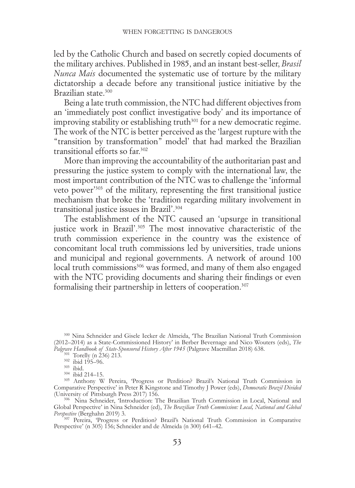led by the Catholic Church and based on secretly copied documents of the military archives. Published in 1985, and an instant best-seller, *Brasil Nunca Mais* documented the systematic use of torture by the military dictatorship a decade before any transitional justice initiative by the Brazilian state.300

Being a late truth commission, the NTC had different objectives from an 'immediately post conflict investigative body' and its importance of improving stability or establishing truth $301$  for a new democratic regime. The work of the NTC is better perceived as the 'largest rupture with the "transition by transformation" model' that had marked the Brazilian transitional efforts so far.302

More than improving the accountability of the authoritarian past and pressuring the justice system to comply with the international law, the most important contribution of the NTC was to challenge the 'informal veto power'303 of the military, representing the first transitional justice mechanism that broke the 'tradition regarding military involvement in transitional justice issues in Brazil'.304

The establishment of the NTC caused an 'upsurge in transitional justice work in Brazil'.<sup>305</sup> The most innovative characteristic of the truth commission experience in the country was the existence of concomitant local truth commissions led by universities, trade unions and municipal and regional governments. A network of around 100 local truth commissions<sup>306</sup> was formed, and many of them also engaged with the NTC providing documents and sharing their findings or even formalising their partnership in letters of cooperation.<sup>307</sup>

<sup>307</sup> Pereira, 'Progress or Perdition? Brazil's National Truth Commission in Comparative Perspective' (n 305) 156; Schneider and de Almeida (n 300) 641–42.

<sup>300</sup> Nina Schneider and Gisele Iecker de Almeida, 'The Brazilian National Truth Commission (2012–2014) as a State-Commissioned History' in Berber Bevernage and Nico Wouters (eds), *The* 

<sup>&</sup>lt;sup>301</sup> Torelly (n 236) 213.<br><sup>302</sup> ibid 195–96.<br><sup>303</sup> ibid. 214–15.<br><sup>303</sup> Anthony W Pereira, 'Progress or Perdition? Brazil's National Truth Commission in Comparative Perspective' in Peter R Kingstone and Timothy J Power (eds), *Democratic Brazil Divided*

<sup>&</sup>lt;sup>306</sup> Nina Schneider, 'Introduction: The Brazilian Truth Commission in Local, National and Global Perspective' in Nina Schneider (ed), *The Brazilian Truth Commission: Local, National and Global*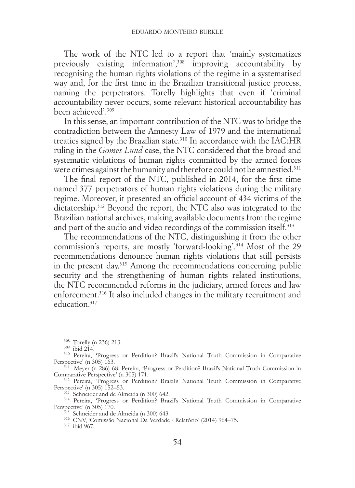The work of the NTC led to a report that 'mainly systematizes previously existing information',308 improving accountability by recognising the human rights violations of the regime in a systematised way and, for the first time in the Brazilian transitional justice process, naming the perpetrators. Torelly highlights that even if 'criminal accountability never occurs, some relevant historical accountability has been achieved'.309

In this sense, an important contribution of the NTC was to bridge the contradiction between the Amnesty Law of 1979 and the international treaties signed by the Brazilian state.310 In accordance with the IACtHR ruling in the *Gomes Lund* case, the NTC considered that the broad and systematic violations of human rights committed by the armed forces were crimes against the humanity and therefore could not be amnestied.<sup>311</sup>

The final report of the NTC, published in 2014, for the first time named 377 perpetrators of human rights violations during the military regime. Moreover, it presented an official account of 434 victims of the dictatorship.<sup>312</sup> Beyond the report, the NTC also was integrated to the Brazilian national archives, making available documents from the regime and part of the audio and video recordings of the commission itself.<sup>313</sup>

The recommendations of the NTC, distinguishing it from the other commission's reports, are mostly 'forward-looking'.<sup>314</sup> Most of the 29 recommendations denounce human rights violations that still persists in the present day.315 Among the recommendations concerning public security and the strengthening of human rights related institutions, the NTC recommended reforms in the judiciary, armed forces and law enforcement.<sup>316</sup> It also included changes in the military recruitment and education.317

<sup>308</sup> Torelly (n 236) 213.<br><sup>309</sup> ibid 214.<br><sup>310</sup> Pereira, 'Progress or Perdition? Brazil's National Truth Commission in Comparative<br>Perspective' (n 305) 163.

<sup>311</sup> Meyer (n 286) 68; Pereira, 'Progress or Perdition? Brazil's National Truth Commission in

Comparative Perspective' (n 305) 171.<br><sup>312</sup> Pereira, 'Progress or Perdition? Brazil's National Truth Commission in Comparative<br>Perspective' (n 305) 152–53.

 $^{513}$ Schneider and de Almeida (n 300) 642. 314 Pereira, 'Progress or Perdition? Brazil's National Truth Commission in Comparative Perspective' (n 305) 170.

 $\frac{315}{315}$  Schneider and de Almeida (n 300) 643.<br><sup>316</sup> CNV, 'Comissão Nacional Da Verdade - Relatório' (2014) 964–75.<br><sup>317</sup> ibid 967.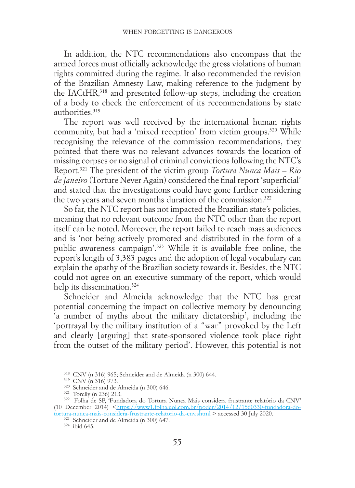In addition, the NTC recommendations also encompass that the armed forces must officially acknowledge the gross violations of human rights committed during the regime. It also recommended the revision of the Brazilian Amnesty Law, making reference to the judgment by the IACtHR,<sup>318</sup> and presented follow-up steps, including the creation of a body to check the enforcement of its recommendations by state authorities<sup>319</sup>

The report was well received by the international human rights community, but had a 'mixed reception' from victim groups.<sup>320</sup> While recognising the relevance of the commission recommendations, they pointed that there was no relevant advances towards the location of missing corpses or no signal of criminal convictions following the NTC's Report.321 The president of the victim group *Tortura Nunca Mais – Rio de Janeiro* (Torture Never Again) considered the final report 'superficial' and stated that the investigations could have gone further considering the two years and seven months duration of the commission.<sup>322</sup>

So far, the NTC report has not impacted the Brazilian state's policies, meaning that no relevant outcome from the NTC other than the report itself can be noted. Moreover, the report failed to reach mass audiences and is 'not being actively promoted and distributed in the form of a public awareness campaign'.323 While it is available free online, the report's length of 3,383 pages and the adoption of legal vocabulary can explain the apathy of the Brazilian society towards it. Besides, the NTC could not agree on an executive summary of the report, which would help its dissemination.<sup>324</sup>

Schneider and Almeida acknowledge that the NTC has great potential concerning the impact on collective memory by denouncing 'a number of myths about the military dictatorship', including the 'portrayal by the military institution of a "war" provoked by the Left and clearly [arguing] that state-sponsored violence took place right from the outset of the military period'. However, this potential is not

<sup>&</sup>lt;sup>318</sup> CNV (n 316) 965; Schneider and de Almeida (n 300) 644.<br><sup>319</sup> CNV (n 316) 973.<br><sup>320</sup> Schneider and de Almeida (n 300) 646.<br><sup>321</sup> Torelly (n 236) 213.<br><sup>322</sup> Folha de SP, 'Fundadora do Tortura Nunca Mais considera frus (10 December 2014) [<https://www1.folha.uol.com.br/poder/2014/12/1560330-fundadora-do-](https://www1.folha.uol.com.br/poder/2014/12/1560330-fundadora-do-tortura-nunca-mais-considera-frustrante-relatorio-da-cnv.shtml )

[tortura-nunca-mais-considera-frustrante-relatorio-da-cnv.shtml >](https://www1.folha.uol.com.br/poder/2014/12/1560330-fundadora-do-tortura-nunca-mais-considera-frustrante-relatorio-da-cnv.shtml ) accessed 30 July 2020. <sup>323</sup> Schneider and de Almeida (n 300) 647. 324 ibid 645.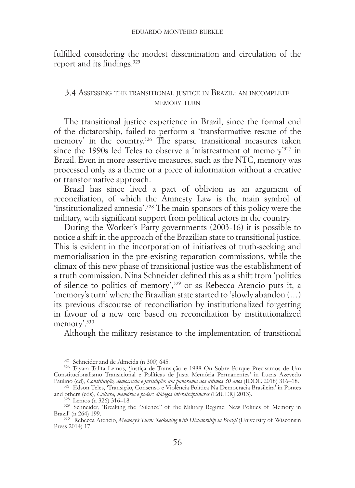fulfilled considering the modest dissemination and circulation of the report and its findings.<sup>325</sup>

# 3.4 Assessing the transitional justice in Brazil: an incomplete MEMORY TURN

The transitional justice experience in Brazil, since the formal end of the dictatorship, failed to perform a 'transformative rescue of the memory' in the country.<sup>326</sup> The sparse transitional measures taken since the 1990s led Teles to observe a 'mistreatment of memory'327 in Brazil. Even in more assertive measures, such as the NTC, memory was processed only as a theme or a piece of information without a creative or transformative approach.

Brazil has since lived a pact of oblivion as an argument of reconciliation, of which the Amnesty Law is the main symbol of 'institutionalized amnesia'.328 The main sponsors of this policy were the military, with significant support from political actors in the country.

During the Worker's Party governments (2003-16) it is possible to notice a shift in the approach of the Brazilian state to transitional justice. This is evident in the incorporation of initiatives of truth-seeking and memorialisation in the pre-existing reparation commissions, while the climax of this new phase of transitional justice was the establishment of a truth commission. Nina Schneider defined this as a shift from 'politics of silence to politics of memory',329 or as Rebecca Atencio puts it, a 'memory's turn' where the Brazilian state started to 'slowly abandon (…) its previous discourse of reconciliation by institutionalized forgetting in favour of a new one based on reconciliation by institutionalized memory'.330

Although the military resistance to the implementation of transitional

<sup>325</sup> Schneider and de Almeida (n 300) 645. <sup>326</sup> Tayara Talita Lemos, 'Justiça de Transição e 1988 Ou Sobre Porque Precisamos de Um Constitucionalismo Transicional e Políticas de Justa Memória Permanentes' in Lucas Azevedo<br>Paulino (ed), Constituição, democracia e jurisdição: um panorama dos últimos 30 anos (IDDE 2018) 316–18.

<sup>&</sup>lt;sup>327</sup> Edson Teles, *Transição, Consenso e Violência Política Na Democracia Brasileira' in Pontes and others (eds), Cultura, memória e poder: diálogos interdisciplinares (EdUERJ 2013).* 

<sup>&</sup>lt;sup>328</sup> Lemos (n 326) 316–18. <sup>329</sup> Schneider, 'Breaking the "Silence" of the Military Regime: New Politics of Memory in Brazil' (n 264) 199. <sup>330</sup> Rebecca Atencio, *Memory's Turn: Reckoning with Dictatorship in Brazil* (University of Wisconsin

Press 2014) 17.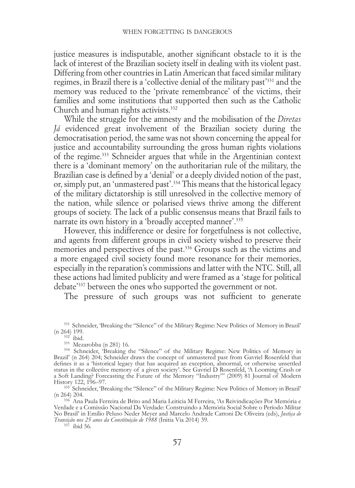justice measures is indisputable, another significant obstacle to it is the lack of interest of the Brazilian society itself in dealing with its violent past. Differing from other countries in Latin American that faced similar military regimes, in Brazil there is a 'collective denial of the military past'331 and the memory was reduced to the 'private remembrance' of the victims, their families and some institutions that supported then such as the Catholic Church and human rights activists.332

While the struggle for the amnesty and the mobilisation of the *Diretas Já* evidenced great involvement of the Brazilian society during the democratisation period, the same was not shown concerning the appeal for justice and accountability surrounding the gross human rights violations of the regime.333 Schneider argues that while in the Argentinian context there is a 'dominant memory' on the authoritarian rule of the military, the Brazilian case is defined by a 'denial' or a deeply divided notion of the past, or, simply put, an 'unmastered past'.334 This means that the historical legacy of the military dictatorship is still unresolved in the collective memory of the nation, while silence or polarised views thrive among the different groups of society. The lack of a public consensus means that Brazil fails to narrate its own history in a 'broadly accepted manner'.335

However, this indifference or desire for forgetfulness is not collective, and agents from different groups in civil society wished to preserve their memories and perspectives of the past.336 Groups such as the victims and a more engaged civil society found more resonance for their memories, especially in the reparation's commissions and latter with the NTC. Still, all these actions had limited publicity and were framed as a 'stage for political debate'337 between the ones who supported the government or not.

The pressure of such groups was not sufficient to generate

History 122, 196–97.<br><sup>335</sup> Schneider, 'Breaking the "Silence" of the Military Regime: New Politics of Memory in Brazil'<br>(n 264) 204.

<sup>&</sup>lt;sup>331</sup> Schneider, 'Breaking the "Silence" of the Military Regime: New Politics of Memory in Brazil' (n 264) 199.

<sup>(</sup>n 264) 199. <sup>332</sup> ibid. <sup>333</sup> Mezarobba (n 281) 16. <sup>334</sup> Schneider, 'Breaking the "Silence" of the Military Regime: New Politics of Memory in Brazil' (n 264) 204; Schneider draws the concept of unmastered past from Gavriel Rosenfeld that defines it as a 'historical legacy that has acquired an exception, abnormal, or otherwise unsettled status in the collective memory of a given society'. See Gavriel D Rosenfeld, 'A Looming Crash or a Soft Landing? Forecasting the Future of the Memory "Industry"' (2009) 81 Journal of Modern

<sup>336</sup> Ana Paula Ferreira de Brito and Maria Leiticia M Ferreira, 'As Reivindicações Por Memória e Verdade e a Comissão Nacional Da Verdade: Construindo a Memória Social Sobre o Período Militar No Brasil' in Emílio Peluso Neder Meyer and Marcelo Andrade Cattoni De Oliveira (eds), *Justiça de Transição nos 25 anos da Constituição de 1988* (Initia Via 2014) 39. 337 ibid 56.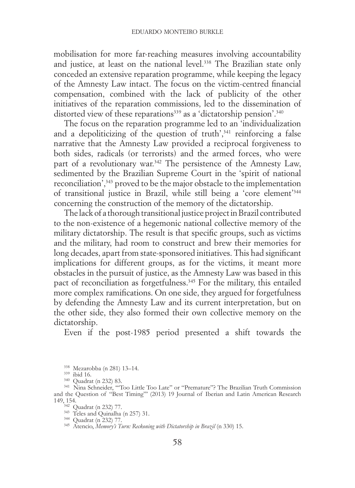mobilisation for more far-reaching measures involving accountability and justice, at least on the national level.<sup>338</sup> The Brazilian state only conceded an extensive reparation programme, while keeping the legacy of the Amnesty Law intact. The focus on the victim-centred financial compensation, combined with the lack of publicity of the other initiatives of the reparation commissions, led to the dissemination of distorted view of these reparations<sup>339</sup> as a 'dictatorship pension'.<sup>340</sup>

The focus on the reparation programme led to an 'individualization and a depoliticizing of the question of truth', $341$  reinforcing a false narrative that the Amnesty Law provided a reciprocal forgiveness to both sides, radicals (or terrorists) and the armed forces, who were part of a revolutionary war.<sup>342</sup> The persistence of the Amnesty Law, sedimented by the Brazilian Supreme Court in the 'spirit of national reconciliation',343 proved to be the major obstacle to the implementation of transitional justice in Brazil, while still being a 'core element'344 concerning the construction of the memory of the dictatorship.

The lack of a thorough transitional justice project in Brazil contributed to the non-existence of a hegemonic national collective memory of the military dictatorship. The result is that specific groups, such as victims and the military, had room to construct and brew their memories for long decades, apart from state-sponsored initiatives. This had significant implications for different groups, as for the victims, it meant more obstacles in the pursuit of justice, as the Amnesty Law was based in this pact of reconciliation as forgetfulness.<sup>345</sup> For the military, this entailed more complex ramifications. On one side, they argued for forgetfulness by defending the Amnesty Law and its current interpretation, but on the other side, they also formed their own collective memory on the dictatorship.

Even if the post-1985 period presented a shift towards the

<sup>338</sup> Mezarobba (n 281) 13–14.<br><sup>339</sup> ibid 16.<br><sup>340</sup> Quadrat (n 232) 83.<br><sup>341</sup> Nina Schneider, ''Too Little Too Late'' or ''Premature''? The Brazilian Truth Commission and the Question of "Best Timing"' (2013) 19 Journal of Iberian and Latin American Research 149, 154. <sup>342</sup> Quadrat (n 232) 77.<br><sup>342</sup> Quadrat (n 232) 77.<br><sup>344</sup> Quadrat (n 232) 77.<br><sup>345</sup> Atencio, *Memory's Turn: Reckoning with Dictatorship in Brazil* (n 330) 15.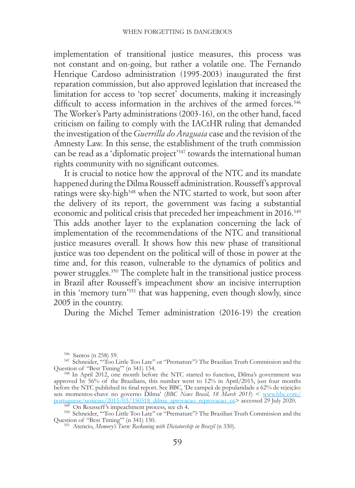implementation of transitional justice measures, this process was not constant and on-going, but rather a volatile one. The Fernando Henrique Cardoso administration (1995-2003) inaugurated the first reparation commission, but also approved legislation that increased the limitation for access to 'top secret' documents, making it increasingly difficult to access information in the archives of the armed forces.<sup>346</sup> The Worker's Party administrations (2003-16), on the other hand, faced criticism on failing to comply with the IACtHR ruling that demanded the investigation of the *Guerrilla do Araguaia* case and the revision of the Amnesty Law. In this sense, the establishment of the truth commission can be read as a 'diplomatic project'347 towards the international human rights community with no significant outcomes.

It is crucial to notice how the approval of the NTC and its mandate happened during the Dilma Rousseff administration. Rousseff's approval ratings were sky-high<sup>348</sup> when the NTC started to work, but soon after the delivery of its report, the government was facing a substantial economic and political crisis that preceded her impeachment in 2016.<sup>349</sup> This adds another layer to the explanation concerning the lack of implementation of the recommendations of the NTC and transitional justice measures overall. It shows how this new phase of transitional justice was too dependent on the political will of those in power at the time and, for this reason, vulnerable to the dynamics of politics and power struggles.350 The complete halt in the transitional justice process in Brazil after Rousseff's impeachment show an incisive interruption in this 'memory turn'351 that was happening, even though slowly, since 2005 in the country.

During the Michel Temer administration (2016-19) the creation

<sup>&</sup>lt;sup>346</sup> Santos (n 258) 59.<br><sup>347</sup> Schneider, "Too Little Too Late" or "Premature"? The Brazilian Truth Commission and the Question of "Best Timing"" (n 341) 154.<br><sup>348</sup> In April 2012, one month before the NTC started to function, Dilma's government was

approved by 56% of the Brazilians, this number went to 12% in April/2015, just four months before the NTC published its final report. See BBC, 'De campeã de popularidade a 62% de rejeição: seis momentos-chave no governo Dilma' (*BBC News Brasil, 18 March 2015*) < [www.bbc.com/](https://www.bbc.com/portuguese/noticias/2015/03/150318_dilma_aprovacao_reprovacao_cc)

[portuguese/noticias/2015/03/150318\\_dilma\\_aprovacao\\_reprovacao\\_cc](https://www.bbc.com/portuguese/noticias/2015/03/150318_dilma_aprovacao_reprovacao_cc)> accessed 29 July 2020.<br><sup>349</sup> On Rousseff's impeachment process, see ch 4.<br><sup>350</sup> Schneider, "Too Little Too Late" or "Premature"? The Brazilian Truth Commiss Question of "Best Timing"" (n 341) 150.<br><sup>351</sup> Atencio, *Memory's Turn: Reckoning with Dictatorship in Brazil* (n 330).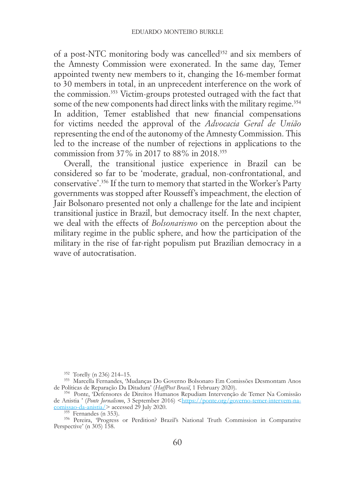of a post-NTC monitoring body was cancelled<sup>352</sup> and six members of the Amnesty Commission were exonerated. In the same day, Temer appointed twenty new members to it, changing the 16-member format to 30 members in total, in an unprecedent interference on the work of the commission.353 Victim-groups protested outraged with the fact that some of the new components had direct links with the military regime.<sup>354</sup> In addition, Temer established that new financial compensations for victims needed the approval of the *Advocacia Geral de União* representing the end of the autonomy of the Amnesty Commission. This led to the increase of the number of rejections in applications to the commission from 37% in 2017 to 88% in 2018.355

Overall, the transitional justice experience in Brazil can be considered so far to be 'moderate, gradual, non-confrontational, and conservative'.356 If the turn to memory that started in the Worker's Party governments was stopped after Rousseff's impeachment, the election of Jair Bolsonaro presented not only a challenge for the late and incipient transitional justice in Brazil, but democracy itself. In the next chapter, we deal with the effects of *Bolsonarismo* on the perception about the military regime in the public sphere, and how the participation of the military in the rise of far-right populism put Brazilian democracy in a wave of autocratisation.

<sup>&</sup>lt;sup>352</sup> Torelly (n 236) 214–15.<br><sup>353</sup> Marcella Fernandes, 'Mudanças Do Governo Bolsonaro Em Comissões Desmontam Anos de Políticas de Reparação Da Ditadura' (*HuffPost Brasil*, 1 February 2020). <sup>354</sup> Ponte, 'Defensores de Direitos Humanos Repudiam Intervenção de Temer Na Comissão

de Anistia ' (*Ponte Jornalismo*, 3 September 2016) <https://ponte.org/governo-temer-intervem-na-<br>
<u>comissao-da-anistia</u>/> accessed 29 July 2020.<br>
<sup>355</sup> Fernandes (n 353).

<sup>&</sup>lt;sup>356</sup> Pereira, 'Progress or Perdition? Brazil's National Truth Commission in Comparative Perspective' (n 305) 158.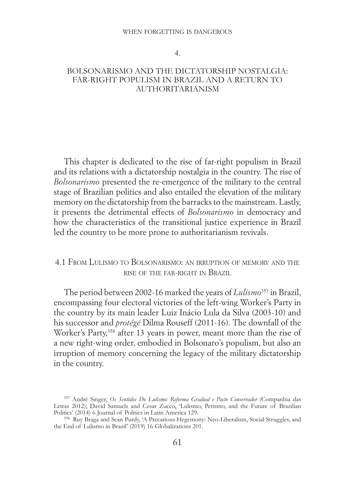#### WHEN FORGETTING IS DANGEROUS

4.

### BOLSONARISMO AND THE DICTATORSHIP NOSTALGIA: FAR-RIGHT POPULISM IN BRAZIL AND A RETURN TO AUTHORITARIANISM

This chapter is dedicated to the rise of far-right populism in Brazil and its relations with a dictatorship nostalgia in the country. The rise of *Bolsonarismo* presented the re-emergence of the military to the central stage of Brazilian politics and also entailed the elevation of the military memory on the dictatorship from the barracks to the mainstream. Lastly, it presents the detrimental effects of *Bolsonarismo* in democracy and how the characteristics of the transitional justice experience in Brazil led the country to be more prone to authoritarianism revivals.

# 4.1 From Lulismo to Bolsonarismo: an irruption of memory and the rise of the far-right in Brazil

The period between 2002-16 marked the years of *Lulismo*357 in Brazil, encompassing four electoral victories of the left-wing Worker's Party in the country by its main leader Luiz Inácio Lula da Silva (2003-10) and his successor and *protégé* Dilma Rouseff (2011-16). The downfall of the Worker's Party,<sup>358</sup> after 13 years in power, meant more than the rise of a new right-wing order, embodied in Bolsonaro's populism, but also an irruption of memory concerning the legacy of the military dictatorship in the country.

<sup>357</sup> André Singer, *Os Sentidos Do Lulismo: Reforma Gradual e Pacto Conservador* (Companhia das Letras 2012); David Samuels and Cesar Zucco, 'Lulismo, Petismo, and the Future of Brazilian Politics' (2014) 6 Journal of Politics in Latin America 129.

<sup>358</sup> Ruy Braga and Sean Purdy, 'A Precarious Hegemony: Neo-Liberalism, Social Struggles, and the End of Lulismo in Brazil' (2019) 16 Globalizations 201.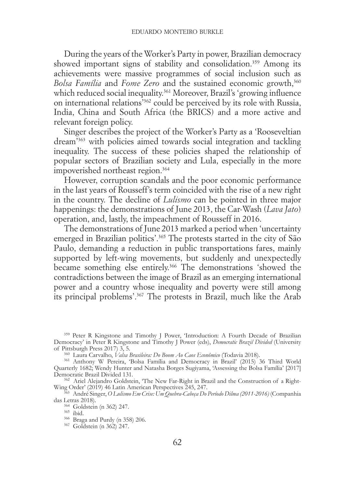During the years of the Worker's Party in power, Brazilian democracy showed important signs of stability and consolidation.<sup>359</sup> Among its achievements were massive programmes of social inclusion such as *Bolsa Família* and *Fome Zero* and the sustained economic growth,<sup>360</sup> which reduced social inequality.<sup>361</sup> Moreover, Brazil's 'growing influence on international relations'362 could be perceived by its role with Russia, India, China and South Africa (the BRICS) and a more active and relevant foreign policy.

Singer describes the project of the Worker's Party as a 'Rooseveltian dream'363 with policies aimed towards social integration and tackling inequality. The success of these policies shaped the relationship of popular sectors of Brazilian society and Lula, especially in the more impoverished northeast region.<sup>364</sup>

However, corruption scandals and the poor economic performance in the last years of Rousseff's term coincided with the rise of a new right in the country. The decline of *Lulismo* can be pointed in three major happenings: the demonstrations of June 2013, the Car-Wash (*Lava Jato*) operation, and, lastly, the impeachment of Rousseff in 2016.

The demonstrations of June 2013 marked a period when 'uncertainty emerged in Brazilian politics'.365 The protests started in the city of São Paulo, demanding a reduction in public transportations fares, mainly supported by left-wing movements, but suddenly and unexpectedly became something else entirely.366 The demonstrations 'showed the contradictions between the image of Brazil as an emerging international power and a country whose inequality and poverty were still among its principal problems'.367 The protests in Brazil, much like the Arab

<sup>&</sup>lt;sup>359</sup> Peter R Kingstone and Timothy J Power, 'Introduction: A Fourth Decade of Brazilian Democracy' in Peter R Kingstone and Timothy J Power (eds), *Democratic Brazil Divided* (University of Pittsburgh Press 2017) 3, 5.<br><sup>360</sup> Laura Carvalho, *Valsa Brasileira: Do Boom Ao Caos Econômico* (Todavia 2018).<br><sup>361</sup> Anthony W Pereira, 'Bolsa Família and Democracy in Brazil' (2015) 36 Third World

Quarterly 1682; Wendy Hunter and Natasha Borges Sugiyama, 'Assessing the Bolsa Família' [2017]

 $362$  Ariel Alejandro Goldstein, 'The New Far-Right in Brazil and the Construction of a Right-Wing Order' (2019) 46 Latin American Perspectives 245, 247.

<sup>&</sup>lt;sup>363</sup> André Singer, O Lulismo Em Crise: Um Quebra-Cabeça Do Período Dilma (2011-2016) (Companhia das Letras 2018).

<sup>&</sup>lt;sup>364</sup> Goldstein (n 362) 247.<br><sup>365</sup> ibid.<br><sup>366</sup> Braga and Purdy (n 358) 206.<br><sup>367</sup> Goldstein (n 362) 247.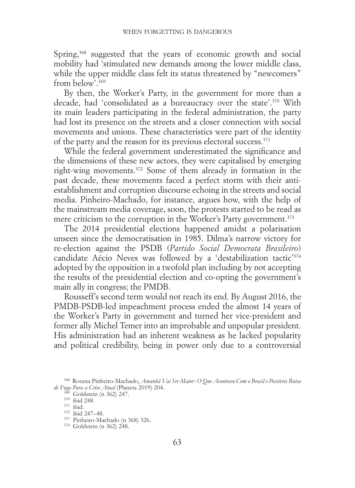Spring,<sup>368</sup> suggested that the years of economic growth and social mobility had 'stimulated new demands among the lower middle class, while the upper middle class felt its status threatened by "newcomers" from below<sup> $369$ </sup>

By then, the Worker's Party, in the government for more than a decade, had 'consolidated as a bureaucracy over the state'.370 With its main leaders participating in the federal administration, the party had lost its presence on the streets and a closer connection with social movements and unions. These characteristics were part of the identity of the party and the reason for its previous electoral success.371

While the federal government underestimated the significance and the dimensions of these new actors, they were capitalised by emerging right-wing movements.372 Some of them already in formation in the past decade, these movements faced a perfect storm with their antiestablishment and corruption discourse echoing in the streets and social media. Pinheiro-Machado, for instance, argues how, with the help of the mainstream media coverage, soon, the protests started to be read as mere criticism to the corruption in the Worker's Party government.<sup>373</sup>

The 2014 presidential elections happened amidst a polarisation unseen since the democratisation in 1985. Dilma's narrow victory for re-election against the PSDB (*Partido Social Democrata Brasileiro*) candidate Aécio Neves was followed by a 'destabilization tactic'<sup>374</sup> adopted by the opposition in a twofold plan including by not accepting the results of the presidential election and co-opting the government's main ally in congress; the PMDB.

Rousseff's second term would not reach its end. By August 2016, the PMDB-PSDB-led impeachment process ended the almost 14 years of the Worker's Party in government and turned her vice-president and former ally Michel Temer into an improbable and unpopular president. His administration had an inherent weakness as he lacked popularity and political credibility, being in power only due to a controversial

<sup>368</sup> Rosana Pinheiro-Machado, *Amanhã Vai Ser Maior: O Que Aconteceu Com o Brasil e Possíveis Rotas de Fuga Para a Crise Atual* (Planeta 2019) 204.<br><sup>369</sup> Goldstein (n 362) 247.<br><sup>370</sup> ibid. 248.<br><sup>371</sup> ibid. 347–48.<br><sup>373</sup> Pinheiro-Machado (n 368) 326.<br><sup>374</sup> Goldstein (n 362) 248.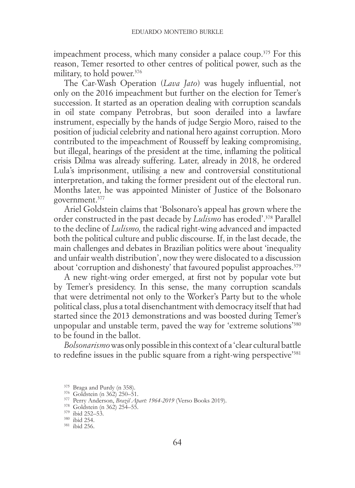impeachment process, which many consider a palace coup.<sup>375</sup> For this reason, Temer resorted to other centres of political power, such as the military, to hold power.376

The Car-Wash Operation (*Lava Jato*) was hugely influential, not only on the 2016 impeachment but further on the election for Temer's succession. It started as an operation dealing with corruption scandals in oil state company Petrobras, but soon derailed into a lawfare instrument, especially by the hands of judge Sergio Moro, raised to the position of judicial celebrity and national hero against corruption. Moro contributed to the impeachment of Rousseff by leaking compromising, but illegal, hearings of the president at the time, inflaming the political crisis Dilma was already suffering. Later, already in 2018, he ordered Lula's imprisonment, utilising a new and controversial constitutional interpretation, and taking the former president out of the electoral run. Months later, he was appointed Minister of Justice of the Bolsonaro government.377

Ariel Goldstein claims that 'Bolsonaro's appeal has grown where the order constructed in the past decade by *Lulismo* has eroded'.378 Parallel to the decline of *Lulismo,* the radical right-wing advanced and impacted both the political culture and public discourse. If, in the last decade, the main challenges and debates in Brazilian politics were about 'inequality and unfair wealth distribution', now they were dislocated to a discussion about 'corruption and dishonesty' that favoured populist approaches.<sup>379</sup>

A new right-wing order emerged, at first not by popular vote but by Temer's presidency. In this sense, the many corruption scandals that were detrimental not only to the Worker's Party but to the whole political class, plus a total disenchantment with democracy itself that had started since the 2013 demonstrations and was boosted during Temer's unpopular and unstable term, paved the way for 'extreme solutions'380 to be found in the ballot.

*Bolsonarismo* was only possible in this context of a 'clear cultural battle to redefine issues in the public square from a right-wing perspective'381

<sup>&</sup>lt;sup>375</sup> Braga and Purdy (n 358).<br><sup>376</sup> Goldstein (n 362) 250–51.<br><sup>377</sup> Perry Anderson, *Brazil Apart: 1964-2019* (Verso Books 2019).<br><sup>378</sup> Goldstein (n 362) 254–55.<br><sup>380</sup> ibid 252–53.<br><sup>380</sup> ibid 254.<br><sup>381</sup> ibid 256.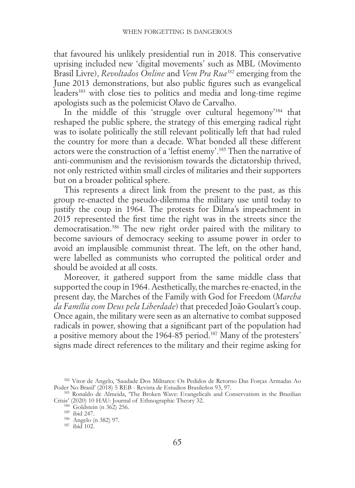that favoured his unlikely presidential run in 2018. This conservative uprising included new 'digital movements' such as MBL (Movimento Brasil Livre), *Revoltados Online* and *Vem Pra Rua382* emerging from the June 2013 demonstrations, but also public figures such as evangelical leaders<sup>383</sup> with close ties to politics and media and long-time regime apologists such as the polemicist Olavo de Carvalho.

In the middle of this 'struggle over cultural hegemony'<sup>384</sup> that reshaped the public sphere, the strategy of this emerging radical right was to isolate politically the still relevant politically left that had ruled the country for more than a decade. What bonded all these different actors were the construction of a 'leftist enemy'.385 Then the narrative of anti-communism and the revisionism towards the dictatorship thrived, not only restricted within small circles of militaries and their supporters but on a broader political sphere.

This represents a direct link from the present to the past, as this group re-enacted the pseudo-dilemma the military use until today to justify the coup in 1964. The protests for Dilma's impeachment in 2015 represented the first time the right was in the streets since the democratisation.386 The new right order paired with the military to become saviours of democracy seeking to assume power in order to avoid an implausible communist threat. The left, on the other hand, were labelled as communists who corrupted the political order and should be avoided at all costs.

Moreover, it gathered support from the same middle class that supported the coup in 1964. Aesthetically, the marches re-enacted, in the present day, the Marches of the Family with God for Freedom (*Marcha da Família com Deus pela Liberdade*) that preceded João Goulart's coup. Once again, the military were seen as an alternative to combat supposed radicals in power, showing that a significant part of the population had a positive memory about the 1964-85 period.387 Many of the protesters' signs made direct references to the military and their regime asking for

<sup>&</sup>lt;sup>382</sup> Vitor de Angelo, 'Saudade Dos Militares: Os Pedidos de Retorno Das Forças Armadas Ao Poder No Brasil' (2018) 5 REB - Revista de Estudios Brasileños 93, 97.

<sup>&</sup>lt;sup>383</sup> Ronaldo de Almeida, 'The Broken Wave: Evangelicals and Conservatism in the Brazilian Crisis' (2020) 10 HAU: Journal of Ethnographic Theory 32.<br>
<sup>384</sup> Goldstein (n 362) 256.<br>
<sup>385</sup> ibid 247.<br>
<sup>386</sup> Angelo (n 382) 97.<br>
<sup>387</sup> ibid 102.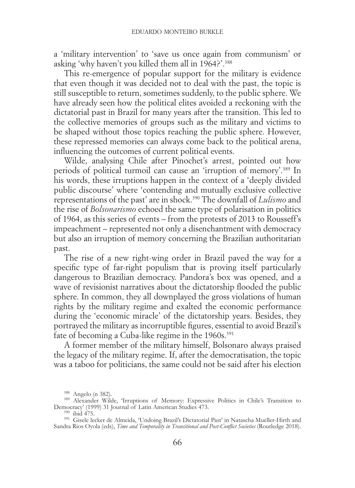a 'military intervention' to 'save us once again from communism' or asking 'why haven't you killed them all in 1964?'.<sup>388</sup>

This re-emergence of popular support for the military is evidence that even though it was decided not to deal with the past, the topic is still susceptible to return, sometimes suddenly, to the public sphere. We have already seen how the political elites avoided a reckoning with the dictatorial past in Brazil for many years after the transition. This led to the collective memories of groups such as the military and victims to be shaped without those topics reaching the public sphere. However, these repressed memories can always come back to the political arena, influencing the outcomes of current political events.

Wilde, analysing Chile after Pinochet's arrest, pointed out how periods of political turmoil can cause an 'irruption of memory'.389 In his words, these irruptions happen in the context of a 'deeply divided public discourse' where 'contending and mutually exclusive collective representations of the past' are in shock.390 The downfall of *Lulismo* and the rise of *Bolsonarismo* echoed the same type of polarisation in politics of 1964, as this series of events – from the protests of 2013 to Rousseff's impeachment – represented not only a disenchantment with democracy but also an irruption of memory concerning the Brazilian authoritarian past.

The rise of a new right-wing order in Brazil paved the way for a specific type of far-right populism that is proving itself particularly dangerous to Brazilian democracy. Pandora's box was opened, and a wave of revisionist narratives about the dictatorship flooded the public sphere. In common, they all downplayed the gross violations of human rights by the military regime and exalted the economic performance during the 'economic miracle' of the dictatorship years. Besides, they portrayed the military as incorruptible figures, essential to avoid Brazil's fate of becoming a Cuba-like regime in the 1960s.<sup>391</sup>

A former member of the military himself, Bolsonaro always praised the legacy of the military regime. If, after the democratisation, the topic was a taboo for politicians, the same could not be said after his election

<sup>&</sup>lt;sup>388</sup> Angelo (n 382). <sup>389</sup> Alexander Wilde, 'Irruptions of Memory: Expressive Politics in Chile's Transition to Democracy' (1999) 31 Journal of Latin American Studies 473. <sup>390</sup> ibid 475.

<sup>&</sup>lt;sup>391</sup> Gisele lecker de Almeida, 'Undoing Brazil's Dictatorial Past' in Natascha Mueller-Hirth and Sandra Rios Oyola (eds), *Time and Temporality in Transitional and Post-Conflict Societies* (Routledge 2018).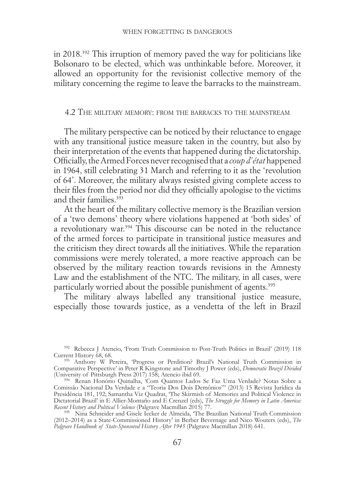in 2018.392 This irruption of memory paved the way for politicians like Bolsonaro to be elected, which was unthinkable before. Moreover, it allowed an opportunity for the revisionist collective memory of the military concerning the regime to leave the barracks to the mainstream.

### 4.2 The military memory: from the barracks to the mainstream

The military perspective can be noticed by their reluctance to engage with any transitional justice measure taken in the country, but also by their interpretation of the events that happened during the dictatorship. Officially, the Armed Forces never recognised that a *coup d'état* happened in 1964, still celebrating 31 March and referring to it as the 'revolution of 64'. Moreover, the military always resisted giving complete access to their files from the period nor did they officially apologise to the victims and their families.393

At the heart of the military collective memory is the Brazilian version of a 'two demons' theory where violations happened at 'both sides' of a revolutionary war.394 This discourse can be noted in the reluctance of the armed forces to participate in transitional justice measures and the criticism they direct towards all the initiatives. While the reparation commissions were merely tolerated, a more reactive approach can be observed by the military reaction towards revisions in the Amnesty Law and the establishment of the NTC. The military, in all cases, were particularly worried about the possible punishment of agents.<sup>395</sup>

The military always labelled any transitional justice measure, especially those towards justice, as a vendetta of the left in Brazil

<sup>&</sup>lt;sup>392</sup> Rebecca J Atencio, 'From Truth Commission to Post-Truth Politics in Brazil' (2019) 118<br>Current History 68, 68.

<sup>&</sup>lt;sup>393</sup> Anthony W Pereira, 'Progress or Perdition? Brazil's National Truth Commission in Comparative Perspective' in Peter R Kingstone and Timothy J Power (eds), *Democratic Brazil Divided*

<sup>&</sup>lt;sup>394</sup> Renan Honório Quinalha, 'Com Quantos Lados Se Faz Uma Verdade? Notas Sobre a Comissão Nacional Da Verdade e a "Teoria Dos Dois Demônios"' (2013) 15 Revista Jurídica da Presidência 181, 192; Samantha Viz Quadrat, 'The Skirmish of Memories and Political Violence in Dictatorial Brazil' in E Allier-Montaño and E Crenzel (eds), *The Struggle for Memory in Latin America:* 

<sup>&</sup>lt;sup>395</sup> Nina Schneider and Gisele Iecker de Almeida, 'The Brazilian National Truth Commission (2012–2014) as a State-Commissioned History' in Berber Bevernage and Nico Wouters (eds), *The Palgrave Handbook of State-Sponsored History After 1945* (Palgrave Macmillan 2018) 641.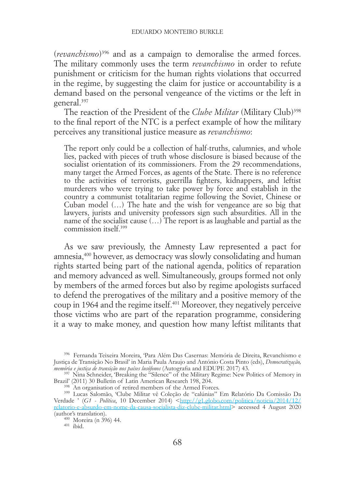(*revanchismo*)396 and as a campaign to demoralise the armed forces. The military commonly uses the term *revanchismo* in order to refute punishment or criticism for the human rights violations that occurred in the regime, by suggesting the claim for justice or accountability is a demand based on the personal vengeance of the victims or the left in general.397

The reaction of the President of the *Clube Militar* (Military Club)<sup>398</sup> to the final report of the NTC is a perfect example of how the military perceives any transitional justice measure as *revanchismo*:

The report only could be a collection of half-truths, calumnies, and whole lies, packed with pieces of truth whose disclosure is biased because of the socialist orientation of its commissioners. From the 29 recommendations, many target the Armed Forces, as agents of the State. There is no reference to the activities of terrorists, guerrilla fighters, kidnappers, and leftist murderers who were trying to take power by force and establish in the country a communist totalitarian regime following the Soviet, Chinese or Cuban model (…) The hate and the wish for vengeance are so big that lawyers, jurists and university professors sign such absurdities. All in the name of the socialist cause (…) The report is as laughable and partial as the commission itself<sup>399</sup>

As we saw previously, the Amnesty Law represented a pact for amnesia,400 however, as democracy was slowly consolidating and human rights started being part of the national agenda, politics of reparation and memory advanced as well. Simultaneously, groups formed not only by members of the armed forces but also by regime apologists surfaced to defend the prerogatives of the military and a positive memory of the coup in 1964 and the regime itself.401 Moreover, they negatively perceive those victims who are part of the reparation programme, considering it a way to make money, and question how many leftist militants that

<sup>396</sup> Fernanda Teixeira Moreira, 'Para Além Das Casernas: Memória de Direita, Revanchismo e Justiça de Transição No Brasil' in Maria Paula Araujo and António Costa Pinto (eds), *Democratização,* 

<sup>&</sup>lt;sup>397</sup> Nina Schneider, 'Breaking the "Silence" of the Military Regime: New Politics of Memory in Brazil' (2011) 30 Bulletin of Latin American Research 198, 204.

Brazil' (2011) 30 Bulletin of Latin American Research 198, 204. <sup>398</sup> An organisation of retired members of the Armed Forces. <sup>399</sup> Lucas Salomão, 'Clube Militar vê Coleção de "calúnias" Em Relatório Da Comissão Da Verdade ' (G1 - Política, 10 December 2014) <[http://g1.globo.com/politica/noticia/2014/12/](http://g1.globo.com/politica/noticia/2014/12/relatorio-e-absurdo-em-nome-da-causa-socialista-diz-clube-militar.html)<br>[relatorio-e-absurdo-em-nome-da-causa-socialista-diz-clube-militar.html](http://g1.globo.com/politica/noticia/2014/12/relatorio-e-absurdo-em-nome-da-causa-socialista-diz-clube-militar.html)> accessed 4 August 2020 (author's translation).  $\frac{400}{401}$  Moreira (n 396) 44.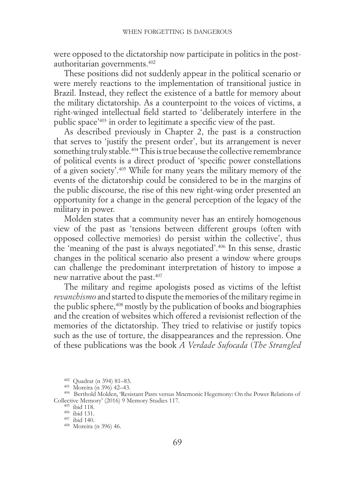were opposed to the dictatorship now participate in politics in the postauthoritarian governments.402

These positions did not suddenly appear in the political scenario or were merely reactions to the implementation of transitional justice in Brazil. Instead, they reflect the existence of a battle for memory about the military dictatorship. As a counterpoint to the voices of victims, a right-winged intellectual field started to 'deliberately interfere in the public space'403 in order to legitimate a specific view of the past.

As described previously in Chapter 2, the past is a construction that serves to 'justify the present order', but its arrangement is never something truly stable.<sup>404</sup> This is true because the collective remembrance of political events is a direct product of 'specific power constellations of a given society'.405 While for many years the military memory of the events of the dictatorship could be considered to be in the margins of the public discourse, the rise of this new right-wing order presented an opportunity for a change in the general perception of the legacy of the military in power.

Molden states that a community never has an entirely homogenous view of the past as 'tensions between different groups (often with opposed collective memories) do persist within the collective', thus the 'meaning of the past is always negotiated'.406 In this sense, drastic changes in the political scenario also present a window where groups can challenge the predominant interpretation of history to impose a new narrative about the past.407

The military and regime apologists posed as victims of the leftist *revanchismo* and started to dispute the memories of the military regime in the public sphere,<sup>408</sup> mostly by the publication of books and biographies and the creation of websites which offered a revisionist reflection of the memories of the dictatorship. They tried to relativise or justify topics such as the use of torture, the disappearances and the repression. One of these publications was the book *A Verdade Sufocada* (*The Strangled* 

<sup>&</sup>lt;sup>402</sup> Quadrat (n 394) 81–83.<br><sup>403</sup> Moreira (n 396) 42–43.<br><sup>404</sup> Berthold Molden, 'Resistant Pasts versus Mnemonic Hegemony: On the Power Relations of Collective Memory' (2016) 9 Memory Studies 117.<br>  $^{405}$  ibid 118.<br>  $^{406}$  ibid 140.<br>  $^{408}$  Moreira (n 396) 46.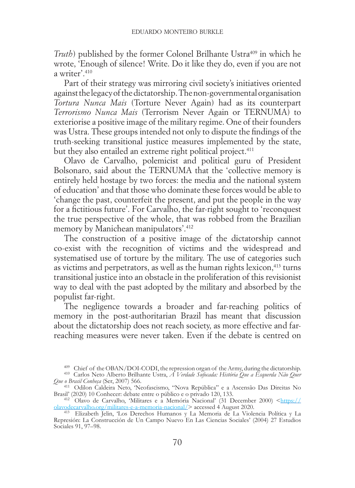*Truth*) published by the former Colonel Brilhante Ustra<sup>409</sup> in which he wrote, 'Enough of silence! Write. Do it like they do, even if you are not a writer<sup>'</sup> 410

Part of their strategy was mirroring civil society's initiatives oriented against the legacy of the dictatorship. The non-governmental organisation *Tortura Nunca Mais* (Torture Never Again) had as its counterpart *Terrorismo Nunca Mais* (Terrorism Never Again or TERNUMA) to exteriorise a positive image of the military regime. One of their founders was Ustra. These groups intended not only to dispute the findings of the truth-seeking transitional justice measures implemented by the state, but they also entailed an extreme right political project.<sup>411</sup>

Olavo de Carvalho, polemicist and political guru of President Bolsonaro, said about the TERNUMA that the 'collective memory is entirely held hostage by two forces: the media and the national system of education' and that those who dominate these forces would be able to 'change the past, counterfeit the present, and put the people in the way for a fictitious future'. For Carvalho, the far-right sought to 'reconquest the true perspective of the whole, that was robbed from the Brazilian memory by Manichean manipulators'.412

The construction of a positive image of the dictatorship cannot co-exist with the recognition of victims and the widespread and systematised use of torture by the military. The use of categories such as victims and perpetrators, as well as the human rights lexicon, $413$  turns transitional justice into an obstacle in the proliferation of this revisionist way to deal with the past adopted by the military and absorbed by the populist far-right.

The negligence towards a broader and far-reaching politics of memory in the post-authoritarian Brazil has meant that discussion about the dictatorship does not reach society, as more effective and farreaching measures were never taken. Even if the debate is centred on

<sup>&</sup>lt;sup>409</sup> Chief of the OBAN/DOI-CODI, the repression organ of the Army, during the dictatorship.<br><sup>410</sup> Carlos Neto Alberto Brilhante Ustra, *A Verdade Sufocada: História Que a Esquerda Não Quer*<br>*Que o Brasil Conbeça* (Ser, 20

<sup>&</sup>lt;sup>411</sup> Odilon Caldeira Neto, 'Neofascismo, "Nova República" e a Ascensão Das Direitas No Brasil' (2020) 10 Conhecer: debate entre o público e o privado 120, 133. <sup>412</sup> Olavo de Carvalho, 'Militares e a Memória Nacional' (31 December 2000) [<https://](https://olavodecarvalho.org/militares-e-a-memoria-nacional/)

[olavodecarvalho.org/militares-e-a-memoria-nacional/>](https://olavodecarvalho.org/militares-e-a-memoria-nacional/) accessed 4 August 2020. <sup>413</sup> Elizabeth Jelin, 'Los Derechos Humanos y La Memoria de La Violencia Política y La

Represión: La Construcción de Un Campo Nuevo En Las Ciencias Sociales' (2004) 27 Estudios Sociales 91, 97–98.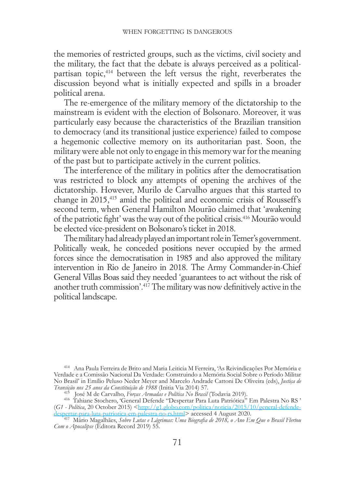the memories of restricted groups, such as the victims, civil society and the military, the fact that the debate is always perceived as a politicalpartisan topic,<sup>414</sup> between the left versus the right, reverberates the discussion beyond what is initially expected and spills in a broader political arena.

The re-emergence of the military memory of the dictatorship to the mainstream is evident with the election of Bolsonaro. Moreover, it was particularly easy because the characteristics of the Brazilian transition to democracy (and its transitional justice experience) failed to compose a hegemonic collective memory on its authoritarian past. Soon, the military were able not only to engage in this memory war for the meaning of the past but to participate actively in the current politics.

The interference of the military in politics after the democratisation was restricted to block any attempts of opening the archives of the dictatorship. However, Murilo de Carvalho argues that this started to change in 2015,415 amid the political and economic crisis of Rousseff's second term, when General Hamilton Mourão claimed that 'awakening of the patriotic fight' was the way out of the political crisis.416 Mourão would be elected vice-president on Bolsonaro's ticket in 2018.

The military had already played an important role in Temer's government. Politically weak, he conceded positions never occupied by the armed forces since the democratisation in 1985 and also approved the military intervention in Rio de Janeiro in 2018. The Army Commander-in-Chief General Villas Boas said they needed 'guarantees to act without the risk of another truth commission'.417 The military was now definitively active in the political landscape.

<sup>414</sup> Ana Paula Ferreira de Brito and Maria Leiticia M Ferreira, 'As Reivindicações Por Memória e Verdade e a Comissão Nacional Da Verdade: Construindo a Memória Social Sobre o Período Militar No Brasil' in Emílio Peluso Neder Meyer and Marcelo Andrade Cattoni De Oliveira (eds), *Justiça de* 

<sup>415</sup> José M de Carvalho, Forças Armadas e Política No Brasil (Todavia 2019).<br><sup>416</sup> Tahiane Stochero, 'General Defende 'Despertar Para Luta Patriótica'' Em Palestra No RS<sup>,</sup> (*G1 - Política*, 20 October 2015) <[http://g1.globo.com/politica/noticia/2015/10/general-defende](http://g1.globo.com/politica/noticia/2015/10/general-defende-despertar-para-luta-patriotica-em-palestra-no-rs.html)[despertar-para-luta-patriotica-em-palestra-no-rs.html](http://g1.globo.com/politica/noticia/2015/10/general-defende-despertar-para-luta-patriotica-em-palestra-no-rs.html)> accessed 4 August 2020. <sup>417</sup> Mário Magalhães, *Sobre Lutas e Lágrimas: Uma Biografia de 2018, o Ano Em Que o Brasil Flertou* 

*Com o Apocalipse* (Editora Record 2019) 55.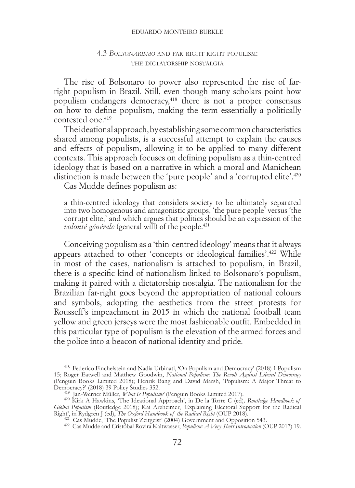#### eduardo monteiro burkle

## 4.3 *Bolsonarismo* and far-right right populism: the dictatorship nostalgia

The rise of Bolsonaro to power also represented the rise of farright populism in Brazil. Still, even though many scholars point how populism endangers democracy,418 there is not a proper consensus on how to define populism, making the term essentially a politically contested one.419

The ideational approach, by establishing some common characteristics shared among populists, is a successful attempt to explain the causes and effects of populism, allowing it to be applied to many different contexts. This approach focuses on defining populism as a thin-centred ideology that is based on a narrative in which a moral and Manichean distinction is made between the 'pure people' and a 'corrupted elite'.<sup>420</sup>

Cas Mudde defines populism as:

a thin-centred ideology that considers society to be ultimately separated into two homogenous and antagonistic groups, 'the pure people' versus 'the corrupt elite,' and which argues that politics should be an expression of the *volonté générale* (general will) of the people.<sup>421</sup>

Conceiving populism as a 'thin-centred ideology' means that it always appears attached to other 'concepts or ideological families'.422 While in most of the cases, nationalism is attached to populism, in Brazil, there is a specific kind of nationalism linked to Bolsonaro's populism, making it paired with a dictatorship nostalgia. The nationalism for the Brazilian far-right goes beyond the appropriation of national colours and symbols, adopting the aesthetics from the street protests for Rousseff's impeachment in 2015 in which the national football team yellow and green jerseys were the most fashionable outfit. Embedded in this particular type of populism is the elevation of the armed forces and the police into a beacon of national identity and pride.

<sup>418</sup> Federico Finchelstein and Nadia Urbinati, 'On Populism and Democracy' (2018) 1 Populism 15; Roger Eatwell and Matthew Goodwin, *National Populism: The Revolt Against Liberal Democracy* (Penguin Books Limited 2018); Henrik Bang and David Marsh, 'Populism: A Major Threat to Democracy?' (2018) 39 Policy Studies 352.<br>
<sup>419</sup> Jan-Werner Müller, *What Is Populism?* (Penguin Books Limited 2017).<br>
<sup>420</sup> Kirk A Hawkins, 'The Ideational Approach', in De la Torre C (ed), Routledge Handbook of

*Global Populism* (Routledge 2018); Kai Arzheimer, 'Explaining Electoral Support for the Radical

Right', in Rydgren J (ed), *The Oxford Handbook of the Radical Right* (OUP 2018).<br><sup>421</sup> Cas Mudde, 'The Populist Zeitgeist' (2004) Government and Opposition 543.<br><sup>422</sup> Cas Mudde and Cristóbal Rovira Kaltwasser, *Populism:*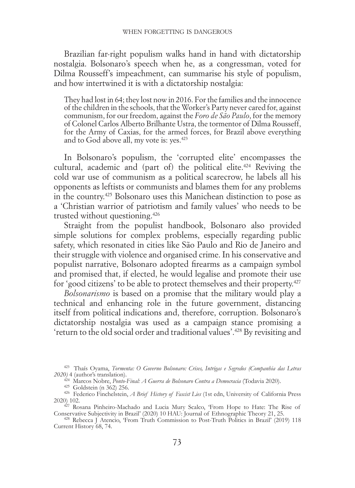Brazilian far-right populism walks hand in hand with dictatorship nostalgia. Bolsonaro's speech when he, as a congressman, voted for Dilma Rousseff's impeachment, can summarise his style of populism, and how intertwined it is with a dictatorship nostalgia:

They had lost in 64; they lost now in 2016. For the families and the innocence of the children in the schools, that the Worker's Party never cared for, against communism, for our freedom, against the *Foro de São Paulo*, for the memory of Colonel Carlos Alberto Brilhante Ustra, the tormentor of Dilma Rousseff, for the Army of Caxias, for the armed forces, for Brazil above everything and to God above all, my vote is: yes.423

In Bolsonaro's populism, the 'corrupted elite' encompasses the cultural, academic and (part of) the political elite.<sup>424</sup> Reviving the cold war use of communism as a political scarecrow, he labels all his opponents as leftists or communists and blames them for any problems in the country.425 Bolsonaro uses this Manichean distinction to pose as a 'Christian warrior of patriotism and family values' who needs to be trusted without questioning.426

Straight from the populist handbook, Bolsonaro also provided simple solutions for complex problems, especially regarding public safety, which resonated in cities like São Paulo and Rio de Janeiro and their struggle with violence and organised crime. In his conservative and populist narrative, Bolsonaro adopted firearms as a campaign symbol and promised that, if elected, he would legalise and promote their use for 'good citizens' to be able to protect themselves and their property.427

*Bolsonarismo* is based on a promise that the military would play a technical and enhancing role in the future government, distancing itself from political indications and, therefore, corruption. Bolsonaro's dictatorship nostalgia was used as a campaign stance promising a 'return to the old social order and traditional values'.428 By revisiting and

<sup>423</sup> Thaís Oyama, *Tormenta: O Governo Bolsonaro: Crises, Intrigas e Segredos (Companhia das Letras 2020)* 4 (author's translation).

<sup>&</sup>lt;sup>425</sup> Goldstein (n 362) 256.<br><sup>426</sup> Federico Finchelstein, *A Brief History of Fascist Lies* (1st edn, University of California Press 2020) 102. <sup>427</sup> Rosana Pinheiro-Machado and Lucia Mury Scalco, 'From Hope to Hate: The Rise of

Conservative Subjectivity in Brazil' (2020) 10 HAU: Journal of Ethnographic Theory 21, 25. <sup>428</sup> Rebecca J Atencio, 'From Truth Commission to Post-Truth Politics in Brazil' (2019) 118

Current History 68, 74.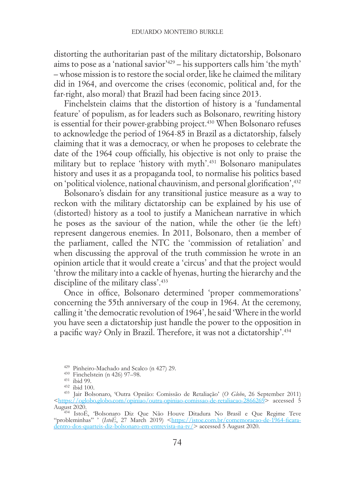distorting the authoritarian past of the military dictatorship, Bolsonaro aims to pose as a 'national savior'429 – his supporters calls him 'the myth' – whose mission is to restore the social order, like he claimed the military did in 1964, and overcome the crises (economic, political and, for the far-right, also moral) that Brazil had been facing since 2013.

Finchelstein claims that the distortion of history is a 'fundamental feature' of populism, as for leaders such as Bolsonaro, rewriting history is essential for their power-grabbing project.<sup>430</sup> When Bolsonaro refuses to acknowledge the period of 1964-85 in Brazil as a dictatorship, falsely claiming that it was a democracy, or when he proposes to celebrate the date of the 1964 coup officially, his objective is not only to praise the military but to replace 'history with myth'.431 Bolsonaro manipulates history and uses it as a propaganda tool, to normalise his politics based on 'political violence, national chauvinism, and personal glorification',432

Bolsonaro's disdain for any transitional justice measure as a way to reckon with the military dictatorship can be explained by his use of (distorted) history as a tool to justify a Manichean narrative in which he poses as the saviour of the nation, while the other (ie the left) represent dangerous enemies. In 2011, Bolsonaro, then a member of the parliament, called the NTC the 'commission of retaliation' and when discussing the approval of the truth commission he wrote in an opinion article that it would create a 'circus' and that the project would 'throw the military into a cackle of hyenas, hurting the hierarchy and the discipline of the military class'.433

Once in office, Bolsonaro determined 'proper commemorations' concerning the 55th anniversary of the coup in 1964. At the ceremony, calling it 'the democratic revolution of 1964', he said 'Where in the world you have seen a dictatorship just handle the power to the opposition in a pacific way? Only in Brazil. Therefore, it was not a dictatorship'.434

<sup>429</sup> Pinheiro-Machado and Scalco (n 427) 29. <sup>430</sup> Finchelstein (n 426) 97–98. <sup>431</sup> ibid 99. <sup>432</sup> ibid 100. <sup>433</sup> Jair Bolsonaro, 'Outra Opnião: Comissão de Retaliação' (*O Globo*, 26 September 2011)  $\frac{\text{https://oglobin.globo.com/opiniao/outra-opiniao-comissao-de-relaliacao-2866269>}}{\text{August 2020}}$  accessed 5

August 2020. <sup>434</sup> IstoÉ, 'Bolsonaro Diz Que Não Houve Ditadura No Brasil e Que Regime Teve "probleminhas" ' (*IstoÉ*, 27 March 2019) <https://istoe.com.br/comemoracao-de-1964-ficara-<br>[dentro-dos-quarteis-diz-bolsonaro-em-entrevista-na-tv/>](https://istoe.com.br/comemoracao-de-1964-ficara-dentro-dos-quarteis-diz-bolsonaro-em-entrevista-na-tv/) accessed 5 August 2020.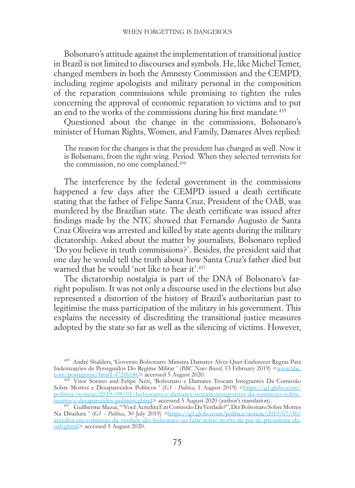Bolsonaro's attitude against the implementation of transitional justice in Brazil is not limited to discourses and symbols. He, like Michel Temer, changed members in both the Amnesty Commission and the CEMPD, including regime apologists and military personal in the composition of the reparation commissions while promising to tighten the rules concerning the approval of economic reparation to victims and to put an end to the works of the commissions during his first mandate.<sup>435</sup>

Questioned about the change in the commissions, Bolsonaro's minister of Human Rights, Women, and Family, Damares Alves replied:

The reason for the changes is that the president has changed as well. Now it is Bolsonaro, from the right-wing. Period. When they selected terrorists for the commission, no one complained.436

The interference by the federal government in the commissions happened a few days after the CEMPD issued a death certificate stating that the father of Felipe Santa Cruz, President of the OAB, was murdered by the Brazilian state. The death certificate was issued after findings made by the NTC showed that Fernando Augusto de Santa Cruz Oliveira was arrested and killed by state agents during the military dictatorship. Asked about the matter by journalists, Bolsonaro replied 'Do you believe in truth commissions?'. Besides, the president said that one day he would tell the truth about how Santa Cruz's father died but warned that he would 'not like to hear it'.<sup>437</sup>

The dictatorship nostalgia is part of the DNA of Bolsonaro's farright populism. It was not only a discourse used in the elections but also represented a distortion of the history of Brazil's authoritarian past to legitimise the mass participation of the military in his government. This explains the necessity of discrediting the transitional justice measures adopted by the state so far as well as the silencing of victims. However,

<sup>435</sup> André Shalders, 'Governo Bolsonaro: Ministra Damares Alves Quer Endurecer Regras Para Indenizações de Perseguidos Do Regime Militar ' (*BBC News Brasil*, 13 February 2019) <<u>[www.bbc.](https://www.bbc.com/portuguese/brasil-47206186)com/portuguese/brasil-47206186</u>> accessed 5 August 2020.

<sup>436</sup> Vitor Sorano and Felipe Néri, 'Bolsonaro e Damares Trocam Integrantes Da Comissão Sobre Mortos e Desaparecidos Políticos ' (G1 - Política, 1 August 2019) <[https://g1.globo.com/](https://g1.globo.com/politica/noticia/2019/08/01/bolsonaro-e-damares-trocam-integrantes-da-comissao-sobre-mortos-e-desaparecidos-politicos.ghtml) politica/noticia/2019/08/01/bolsonaro-e-damares-trocam-integrantes-da-comissao-sobre-<br>mortos-e-desaparecidos-politicos.ghtml> accessed 5 August 2020 (author's translation).

<sup>&</sup>lt;sup>437</sup> Guilherme Mazui, "'Você Acredita Em Comissão Da Verdade?'', Diz Bolsonaro Sobre Mortes Na Ditadura ' (*G1 - Política*, 30 July 2019) [<https://g1.globo.com/politica/noticia/2019/07/30/](https://g1.globo.com/politica/noticia/2019/07/30/acredita-em-comissao-da-verdade-diz-bolsonaro-ao-falar-sobre-morte-de-pai-de-presidente-da-oab.ghtml)<br>[acredita-em-comissao-da-verdade-diz-bolsonaro-ao-falar-sobre-morte-de-pai-de-presidente-da](https://g1.globo.com/politica/noticia/2019/07/30/acredita-em-comissao-da-verdade-diz-bolsonaro-ao-falar-sobre-morte-de-pai-de-presidente-da-oab.ghtml)[oab.ghtml](https://g1.globo.com/politica/noticia/2019/07/30/acredita-em-comissao-da-verdade-diz-bolsonaro-ao-falar-sobre-morte-de-pai-de-presidente-da-oab.ghtml)> accessed 5 August 2020.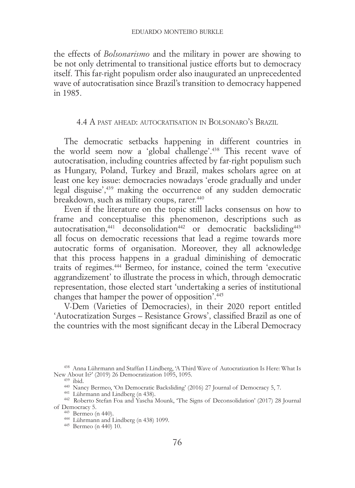the effects of *Bolsonarismo* and the military in power are showing to be not only detrimental to transitional justice efforts but to democracy itself. This far-right populism order also inaugurated an unprecedented wave of autocratisation since Brazil's transition to democracy happened in 1985.

## 4.4 A past ahead: autocratisation in Bolsonaro's Brazil

The democratic setbacks happening in different countries in the world seem now a 'global challenge'.438 This recent wave of autocratisation, including countries affected by far-right populism such as Hungary, Poland, Turkey and Brazil, makes scholars agree on at least one key issue: democracies nowadays 'erode gradually and under legal disguise',439 making the occurrence of any sudden democratic breakdown, such as military coups, rarer.<sup>440</sup>

Even if the literature on the topic still lacks consensus on how to frame and conceptualise this phenomenon, descriptions such as autocratisation, $441$  deconsolidation<sup>442</sup> or democratic backsliding<sup>443</sup> all focus on democratic recessions that lead a regime towards more autocratic forms of organisation. Moreover, they all acknowledge that this process happens in a gradual diminishing of democratic traits of regimes.444 Bermeo, for instance, coined the term 'executive aggrandizement' to illustrate the process in which, through democratic representation, those elected start 'undertaking a series of institutional changes that hamper the power of opposition'.445

V-Dem (Varieties of Democracies), in their 2020 report entitled 'Autocratization Surges – Resistance Grows', classified Brazil as one of the countries with the most significant decay in the Liberal Democracy

<sup>439</sup> ibid.<br>
<sup>449</sup> Nancy Bermeo, 'On Democratic Backsliding' (2016) 27 Journal of Democracy 5, 7.<br>
<sup>441</sup> Lührmann and Lindberg (n 438).<br>
<sup>442</sup> Roberto Stefan Foa and Yascha Mounk, 'The Signs of Deconsolidation' (2017) 28 J

<sup>443</sup> Bermeo (n 440).<br><sup>444</sup> Lührmann and Lindberg (n 438) 1099.<br><sup>445</sup> Bermeo (n 440) 10.

 $438$  Anna Lührmann and Staffan I Lindberg, 'A Third Wave of Autocratization Is Here: What Is New About It?' (2019) 26 Democratization 1095, 1095.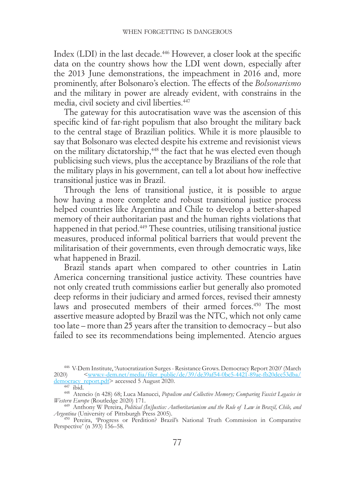Index (LDI) in the last decade.<sup>446</sup> However, a closer look at the specific data on the country shows how the LDI went down, especially after the 2013 June demonstrations, the impeachment in 2016 and, more prominently, after Bolsonaro's election. The effects of the *Bolsonarismo* and the military in power are already evident, with constrains in the media, civil society and civil liberties.447

The gateway for this autocratisation wave was the ascension of this specific kind of far-right populism that also brought the military back to the central stage of Brazilian politics. While it is more plausible to say that Bolsonaro was elected despite his extreme and revisionist views on the military dictatorship,<sup>448</sup> the fact that he was elected even though publicising such views, plus the acceptance by Brazilians of the role that the military plays in his government, can tell a lot about how ineffective transitional justice was in Brazil.

Through the lens of transitional justice, it is possible to argue how having a more complete and robust transitional justice process helped countries like Argentina and Chile to develop a better-shaped memory of their authoritarian past and the human rights violations that happened in that period.<sup>449</sup> These countries, utilising transitional justice measures, produced informal political barriers that would prevent the militarisation of their governments, even through democratic ways, like what happened in Brazil.

Brazil stands apart when compared to other countries in Latin America concerning transitional justice activity. These countries have not only created truth commissions earlier but generally also promoted deep reforms in their judiciary and armed forces, revised their amnesty laws and prosecuted members of their armed forces.<sup>450</sup> The most assertive measure adopted by Brazil was the NTC, which not only came too late – more than 25 years after the transition to democracy – but also failed to see its recommendations being implemented. Atencio argues

<sup>&</sup>lt;sup>446</sup> V-Dem Institute, 'Autocratization Surges - Resistance Grows. Democracy Report 2020' (March<br>2020) < www.y-dem.net/media/filer\_public/de/39/de39af54-0bc5-4421-89ae-fb20dcc53dba/ 2020) <[www.v-dem.net/media/filer\\_public/de/39/de39af54-0bc5-4421-89ae-fb20dcc53dba/](https://www.v-dem.net/media/filer_public/de/39/de39af54-0bc5-4421-89ae-fb20dcc53dba/democracy_report.pdf)<br>democracy\_report.pdf>accessed 5 August 2020.

<sup>447</sup> ibid. 448 Atencio (n 428) 68; Luca Manucci, *Populism and Collective Memory; Comparing Fascist Legacies in Western Europe* (Routledge 2020) 171. *Western Europe* (Routledge 2020) 171. <sup>449</sup> Anthony W Pereira, *Political (In)Justice: Authoritarianism and the Rule of Law in Brazil, Chile, and* 

*Argentina* (University of Pittsburgh Press 2005). <sup>450</sup> Pereira, 'Progress or Perdition? Brazil's National Truth Commission in Comparative

Perspective' (n 393) 156–58.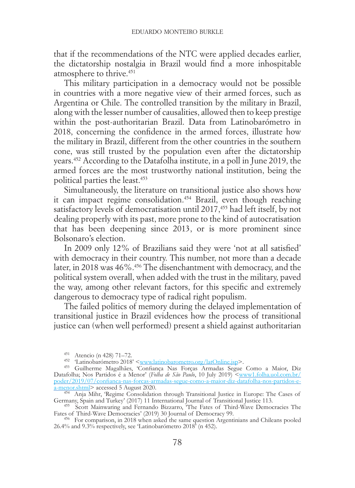that if the recommendations of the NTC were applied decades earlier, the dictatorship nostalgia in Brazil would find a more inhospitable atmosphere to thrive.451

This military participation in a democracy would not be possible in countries with a more negative view of their armed forces, such as Argentina or Chile. The controlled transition by the military in Brazil, along with the lesser number of causalities, allowed then to keep prestige within the post-authoritarian Brazil. Data from Latinobarómetro in 2018, concerning the confidence in the armed forces, illustrate how the military in Brazil, different from the other countries in the southern cone, was still trusted by the population even after the dictatorship years.452 According to the Datafolha institute, in a poll in June 2019, the armed forces are the most trustworthy national institution, being the political parties the least.453

Simultaneously, the literature on transitional justice also shows how it can impact regime consolidation.454 Brazil, even though reaching satisfactory levels of democratisation until 2017,<sup>455</sup> had left itself, by not dealing properly with its past, more prone to the kind of autocratisation that has been deepening since 2013, or is more prominent since Bolsonaro's election.

In 2009 only 12% of Brazilians said they were 'not at all satisfied' with democracy in their country. This number, not more than a decade later, in 2018 was 46%.456 The disenchantment with democracy, and the political system overall, when added with the trust in the military, paved the way, among other relevant factors, for this specific and extremely dangerous to democracy type of radical right populism.

The failed politics of memory during the delayed implementation of transitional justice in Brazil evidences how the process of transitional justice can (when well performed) present a shield against authoritarian

<sup>&</sup>lt;sup>451</sup> Atencio (n 428) 71–72.<br><sup>452</sup> 'Latinobarómetro 2018' <<u>www.latinobarometro.org/latOnline.jsp</u>>.<br><sup>453</sup> Guilherme Magalhães, 'Confiança Nas Forças Armadas Segue Como a Maior, Diz Datafolha; Nos Partidos é a Menor' (*Folha de São Paulo*, 10 July 2019) [<www1.folha.uol.com.br/](https://www1.folha.uol.com.br/poder/2019/07/confianca-nas-forcas-armadas-segue-como-a-maior-diz-datafolha-nos-partidos-e-a-menor.shtml) [poder/2019/07/confianca-nas-forcas-armadas-segue-como-a-maior-diz-datafolha-nos-partidos-e-](https://www1.folha.uol.com.br/poder/2019/07/confianca-nas-forcas-armadas-segue-como-a-maior-diz-datafolha-nos-partidos-e-a-menor.shtml)

<sup>&</sup>lt;sup>454</sup> Anja Mihr, 'Regime Consolidation through Transitional Justice in Europe: The Cases of Germany, Spain and Turkey' (2017) 11 International Journal of Transitional Justice 113. Germany, Spain and Turkey' (2017) 11 International Journal of Transitional Justice 113.<br><sup>455</sup> Scott Mainwaring and Fernando Bizzarro, 'The Fates of Third-Wave Democracies The

Fates of Third-Wave Democracies' (2019) 30 Journal of Democracy 99. <sup>456</sup> For comparison, in 2018 when asked the same question Argentinians and Chileans pooled

<sup>26.4%</sup> and 9.3% respectively, see 'Latinobarómetro 2018' (n 452).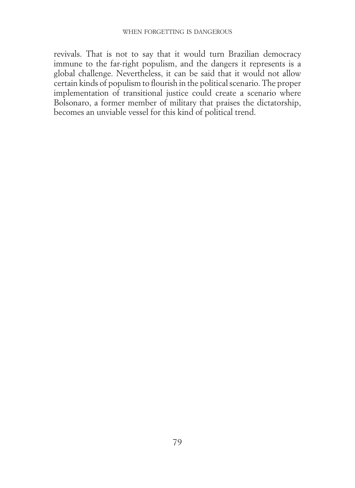revivals. That is not to say that it would turn Brazilian democracy immune to the far-right populism, and the dangers it represents is a global challenge. Nevertheless, it can be said that it would not allow certain kinds of populism to flourish in the political scenario. The proper implementation of transitional justice could create a scenario where Bolsonaro, a former member of military that praises the dictatorship, becomes an unviable vessel for this kind of political trend.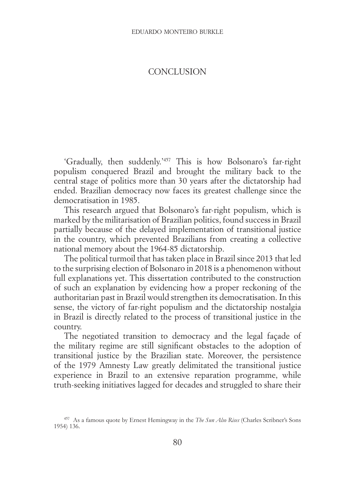# **CONCLUSION**

'Gradually, then suddenly.'457 This is how Bolsonaro's far-right populism conquered Brazil and brought the military back to the central stage of politics more than 30 years after the dictatorship had ended. Brazilian democracy now faces its greatest challenge since the democratisation in 1985.

This research argued that Bolsonaro's far-right populism, which is marked by the militarisation of Brazilian politics, found success in Brazil partially because of the delayed implementation of transitional justice in the country, which prevented Brazilians from creating a collective national memory about the 1964-85 dictatorship.

The political turmoil that has taken place in Brazil since 2013 that led to the surprising election of Bolsonaro in 2018 is a phenomenon without full explanations yet. This dissertation contributed to the construction of such an explanation by evidencing how a proper reckoning of the authoritarian past in Brazil would strengthen its democratisation. In this sense, the victory of far-right populism and the dictatorship nostalgia in Brazil is directly related to the process of transitional justice in the country.

The negotiated transition to democracy and the legal façade of the military regime are still significant obstacles to the adoption of transitional justice by the Brazilian state. Moreover, the persistence of the 1979 Amnesty Law greatly delimitated the transitional justice experience in Brazil to an extensive reparation programme, while truth-seeking initiatives lagged for decades and struggled to share their

<sup>457</sup> As a famous quote by Ernest Hemingway in the *The Sun Also Rises* (Charles Scribner's Sons 1954) 136.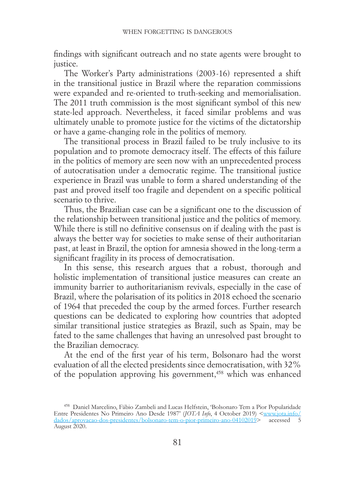findings with significant outreach and no state agents were brought to justice.

The Worker's Party administrations (2003-16) represented a shift in the transitional justice in Brazil where the reparation commissions were expanded and re-oriented to truth-seeking and memorialisation. The 2011 truth commission is the most significant symbol of this new state-led approach. Nevertheless, it faced similar problems and was ultimately unable to promote justice for the victims of the dictatorship or have a game-changing role in the politics of memory.

The transitional process in Brazil failed to be truly inclusive to its population and to promote democracy itself. The effects of this failure in the politics of memory are seen now with an unprecedented process of autocratisation under a democratic regime. The transitional justice experience in Brazil was unable to form a shared understanding of the past and proved itself too fragile and dependent on a specific political scenario to thrive.

Thus, the Brazilian case can be a significant one to the discussion of the relationship between transitional justice and the politics of memory. While there is still no definitive consensus on if dealing with the past is always the better way for societies to make sense of their authoritarian past, at least in Brazil, the option for amnesia showed in the long-term a significant fragility in its process of democratisation.

In this sense, this research argues that a robust, thorough and holistic implementation of transitional justice measures can create an immunity barrier to authoritarianism revivals, especially in the case of Brazil, where the polarisation of its politics in 2018 echoed the scenario of 1964 that preceded the coup by the armed forces. Further research questions can be dedicated to exploring how countries that adopted similar transitional justice strategies as Brazil, such as Spain, may be fated to the same challenges that having an unresolved past brought to the Brazilian democracy.

At the end of the first year of his term, Bolsonaro had the worst evaluation of all the elected presidents since democratisation, with 32% of the population approving his government, $458$  which was enhanced

<sup>458</sup> Daniel Marcelino, Fábio Zambeli and Lucas Helfstein, 'Bolsonaro Tem a Pior Popularidade Entre Presidentes No Primeiro Ano Desde 1987' (*JOTA Info*, 4 October 2019) [<www.jota.info/](https://www.jota.info/paywall?redirect_to=//www.jota.info/dados/aprovacao-dos-presidentes/bolsonaro-tem-o-pior-primeiro-ano-04102019) [dados/aprovacao-dos-presidentes/bolsonaro-tem-o-pior-primeiro-ano-04102019>](https://www.jota.info/paywall?redirect_to=//www.jota.info/dados/aprovacao-dos-presidentes/bolsonaro-tem-o-pior-primeiro-ano-04102019) accessed 5 August 2020.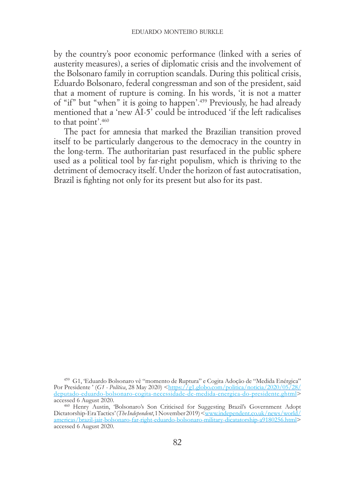by the country's poor economic performance (linked with a series of austerity measures), a series of diplomatic crisis and the involvement of the Bolsonaro family in corruption scandals. During this political crisis, Eduardo Bolsonaro, federal congressman and son of the president, said that a moment of rupture is coming. In his words, 'it is not a matter of "if" but "when" it is going to happen'.459 Previously, he had already mentioned that a 'new AI-5' could be introduced 'if the left radicalises to that point'.460

The pact for amnesia that marked the Brazilian transition proved itself to be particularly dangerous to the democracy in the country in the long-term. The authoritarian past resurfaced in the public sphere used as a political tool by far-right populism, which is thriving to the detriment of democracy itself. Under the horizon of fast autocratisation, Brazil is fighting not only for its present but also for its past.

<sup>459</sup> G1, 'Eduardo Bolsonaro vê "momento de Ruptura" e Cogita Adoção de "Medida Enérgica" Por Presidente ' (*G1 - Política*, 28 May 2020) [<https://g1.globo.com/politica/noticia/2020/05/28/](https://g1.globo.com/politica/noticia/2020/05/28/deputado-eduardo-bolsonaro-cogita-necessidade-de-medida-energica-do-presidente.ghtml)<br>[deputado-eduardo-bolsonaro-cogita-necessidade-de-medida-energica-do-presidente.ghtml](https://g1.globo.com/politica/noticia/2020/05/28/deputado-eduardo-bolsonaro-cogita-necessidade-de-medida-energica-do-presidente.ghtml)> accessed 6 August 2020.<br><sup>460</sup> Henry Austin, 'Bolsonaro's Son Criticised for Suggesting Brazil's Government Adopt

Dictatorship-Era Tactics' (T*be Independent*, 1 November 2019) <[www.independent.co.uk/news/world/](https://www.independent.co.uk/news/world/americas/brazil-jair-bolsonaro-far-right-eduardo-bolsonaro-military-dicatatorship-a9180256.html)[americas/brazil-jair-bolsonaro-far-right-eduardo-bolsonaro-military-dicatatorship-a9180256.html](https://www.independent.co.uk/news/world/americas/brazil-jair-bolsonaro-far-right-eduardo-bolsonaro-military-dicatatorship-a9180256.html)> accessed 6 August 2020.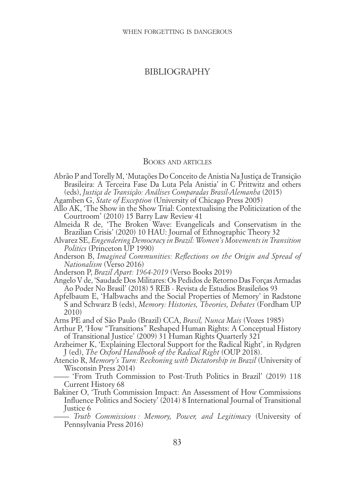### BIBLIOGRAPHY

### BOOKS AND ARTICLES

- Abrão P and Torelly M, 'Mutações Do Conceito de Anistia Na Justiça de Transição Brasileira: A Terceira Fase Da Luta Pela Anistia' in C Prittwitz and others (eds), *Justiça de Transição: Análises Comparadas Brasil-Alemanha* (2015)
- Agamben G, *State of Exception* (University of Chicago Press 2005)
- Allo AK, 'The Show in the Show Trial: Contextualising the Politicization of the Courtroom' (2010) 15 Barry Law Review 41
- Almeida R de, 'The Broken Wave: Evangelicals and Conservatism in the Brazilian Crisis' (2020) 10 HAU: Journal of Ethnographic Theory 32
- Alvarez SE, *Engendering Democracy in Brazil: Women's Movements in Transition Politics* (Princeton UP 1990)
- Anderson B, *Imagined Communities: Reflections on the Origin and Spread of Nationalism* (Verso 2016)
- Anderson P, *Brazil Apart: 1964-2019* (Verso Books 2019)
- Angelo V de, 'Saudade Dos Militares: Os Pedidos de Retorno Das Forças Armadas Ao Poder No Brasil' (2018) 5 REB - Revista de Estudios Brasileños 93
- Apfelbaum E, 'Halbwachs and the Social Properties of Memory' in Radstone S and Schwarz B (eds), *Memory: Histories, Theories, Debates* (Fordham UP 2010)
- Arns PE and of São Paulo (Brazil) CCA, *Brasil, Nunca Mais* (Vozes 1985)
- Arthur P, 'How "Transitions" Reshaped Human Rights: A Conceptual History of Transitional Justice' (2009) 31 Human Rights Quarterly 321
- Arzheimer K, 'Explaining Electoral Support for the Radical Right', in Rydgren J (ed), *The Oxford Handbook of the Radical Right* (OUP 2018).
- Atencio R, *Memory's Turn: Reckoning with Dictatorship in Brazil* (University of Wisconsin Press 2014)
- —— 'From Truth Commission to Post-Truth Politics in Brazil' (2019) 118 Current History 68
- Bakiner O, 'Truth Commission Impact: An Assessment of How Commissions Influence Politics and Society' (2014) 8 International Journal of Transitional Justice 6
	- —— *Truth Commissions : Memory, Power, and Legitimacy* (University of Pennsylvania Press 2016)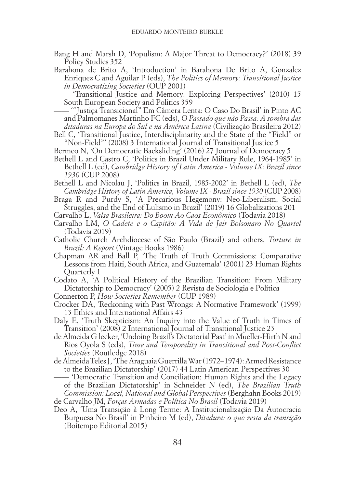Bang H and Marsh D, 'Populism: A Major Threat to Democracy?' (2018) 39 Policy Studies 352

Barahona de Brito A, 'Introduction' in Barahona De Brito A, Gonzalez Enriquez C and Aguilar P (eds), *The Politics of Memory: Transitional Justice in Democratizing Societies* (OUP 2001)

—— 'Transitional Justice and Memory: Exploring Perspectives' (2010) 15 South European Society and Politics 359

—— '"Justiça Transicional" Em Câmera Lenta: O Caso Do Brasil' in Pinto AC and Palmomanes Martinho FC (eds), *O Passado que não Passa: A sombra das ditaduras na Europa do Sul e na América Latina* (Civilização Brasileira 2012)

Bell C, 'Transitional Justice, Interdisciplinarity and the State of the "Field" or "Non-Field"' (2008) 3 International Journal of Transitional Justice 5

Bermeo N, 'On Democratic Backsliding' (2016) 27 Journal of Democracy 5

Bethell L and Castro C, 'Politics in Brazil Under Military Rule, 1964-1985' in Bethell L (ed), *Cambridge History of Latin America - Volume IX: Brazil since 1930* (CUP 2008)

Bethell L and Nicolau J, 'Politics in Brazil, 1985-2002' in Bethell L (ed), *The Cambridge History of Latin America, Volume IX - Brazil since 1930* (CUP 2008)

Braga R and Purdy S, 'A Precarious Hegemony: Neo-Liberalism, Social Struggles, and the End of Lulismo in Brazil' (2019) 16 Globalizations 201

Carvalho L, *Valsa Brasileira: Do Boom Ao Caos Econômico* (Todavia 2018)

- Carvalho LM, *O Cadete e o Capitão: A Vida de Jair Bolsonaro No Quartel* (Todavia 2019)
- Catholic Church Archdiocese of São Paulo (Brazil) and others, *Torture in Brazil: A Report* (Vintage Books 1986)
- Chapman AR and Ball P, 'The Truth of Truth Commissions: Comparative Lessons from Haiti, South Africa, and Guatemala' (2001) 23 Human Rights Quarterly 1

Codato A, 'A Political History of the Brazilian Transition: From Military Dictatorship to Democracy' (2005) 2 Revista de Sociologia e Política

Connerton P, *How Societies Remember* (CUP 1989)

- Crocker DA, 'Reckoning with Past Wrongs: A Normative Framework' (1999) 13 Ethics and International Affairs 43
- Daly E, 'Truth Skepticism: An Inquiry into the Value of Truth in Times of Transition' (2008) 2 International Journal of Transitional Justice 23
- de Almeida G lecker, 'Undoing Brazil's Dictatorial Past' in Mueller-Hirth N and Rios Oyola S (eds), *Time and Temporality in Transitional and Post-Conflict Societies* (Routledge 2018)
- de Almeida Teles J, 'The Araguaia Guerrilla War (1972–1974): Armed Resistance to the Brazilian Dictatorship' (2017) 44 Latin American Perspectives 30

—— 'Democratic Transition and Conciliation: Human Rights and the Legacy of the Brazilian Dictatorship' in Schneider N (ed), *The Brazilian Truth Commission: Local, National and Global Perspectives* (Berghahn Books 2019)

- de Carvalho JM, *Forças Armadas e Política No Brasil* (Todavia 2019)
- Deo A, 'Uma Transição à Long Terme: A Institucionalização Da Autocracia Burguesa No Brasil' in Pinheiro M (ed), *Ditadura: o que resta da transição* (Boitempo Editorial 2015)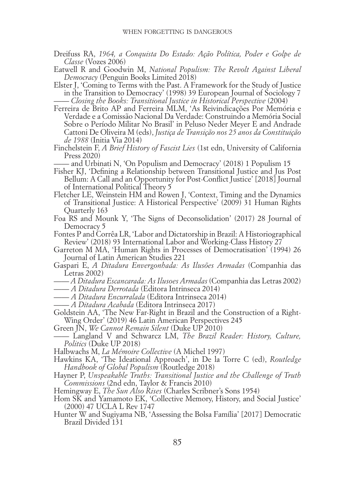- Dreifuss RA, *1964, a Conquista Do Estado: Ação Política, Poder e Golpe de Classe* (Vozes 2006)
- Eatwell R and Goodwin M, *National Populism: The Revolt Against Liberal Democracy* (Penguin Books Limited 2018)
- Elster J, 'Coming to Terms with the Past. A Framework for the Study of Justice in the Transition to Democracy' (1998) 39 European Journal of Sociology 7 —— *Closing the Books: Transitional Justice in Historical Perspective* (2004)
- Ferreira de Brito AP and Ferreira MLM, 'As Reivindicações Por Memória e Verdade e a Comissão Nacional Da Verdade: Construindo a Memória Social Sobre o Período Militar No Brasil' in Peluso Neder Meyer E and Andrade Cattoni De Oliveira M (eds), *Justiça de Transição nos 25 anos da Constituição de 1988* (Initia Via 2014)
- Finchelstein F, *A Brief History of Fascist Lies* (1st edn, University of California Press 2020)

—— and Urbinati N, 'On Populism and Democracy' (2018) 1 Populism 15

- Fisher KJ, 'Defining a Relationship between Transitional Justice and Jus Post Bellum: A Call and an Opportunity for Post-Conflict Justice' [2018] Journal of International Political Theory 5
- Fletcher LE, Weinstein HM and Rowen J, 'Context, Timing and the Dynamics of Transitional Justice: A Historical Perspective' (2009) 31 Human Rights Quarterly 163
- Foa RS and Mounk Y, 'The Signs of Deconsolidation' (2017) 28 Journal of Democracy 5
- Fontes P and Corrêa LR, 'Labor and Dictatorship in Brazil: A Historiographical Review' (2018) 93 International Labor and Working-Class History 27
- Garreton M MA, 'Human Rights in Processes of Democratisation' (1994) 26 Journal of Latin American Studies 221
- Gaspari E, *A Ditadura Envergonhada: As Ilusões Armadas* (Companhia das Letras 2002)
- —— *A Ditadura Escancarada: As Ilusoes Armadas* (Companhia das Letras 2002)
- —— *A Ditadura Derrotada* (Editora Intrinseca 2014)
- —— *A Ditadura Encurralada* (Editora Intrinseca 2014)
- —— *A Ditadura Acabada* (Editora Intrinseca 2017)
- Goldstein AA, 'The New Far-Right in Brazil and the Construction of a Right-Wing Order' (2019) 46 Latin American Perspectives 245
- Green JN, *We Cannot Remain Silent* (Duke UP 2010)
- —— Langland V and Schwarcz LM, *The Brazil Reader: History, Culture, Politics* (Duke UP 2018)
- Halbwachs M, *La Mémoire Collective* (A Michel 1997)
- Hawkins KA, 'The Ideational Approach', in De la Torre C (ed), *Routledge Handbook of Global Populism* (Routledge 2018)
- Hayner P, *Unspeakable Truths: Transitional Justice and the Challenge of Truth Commissions* (2nd edn, Taylor & Francis 2010)
- Hemingway E, *The Sun Also Rises* (Charles Scribner's Sons 1954)
- Hom SK and Yamamoto EK, 'Collective Memory, History, and Social Justice' (2000) 47 UCLA L Rev 1747
- Hunter W and Sugiyama NB, 'Assessing the Bolsa Família' [2017] Democratic Brazil Divided 131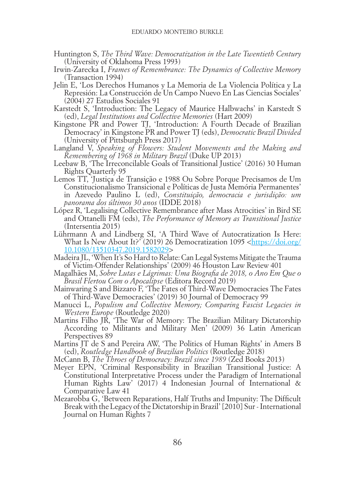- Huntington S, *The Third Wave: Democratization in the Late Twentieth Century* (University of Oklahoma Press 1993)
- Irwin-Zarecka I, *Frames of Remembrance: The Dynamics of Collective Memory* (Transaction 1994)
- Jelin E, 'Los Derechos Humanos y La Memoria de La Violencia Política y La Represión: La Construcción de Un Campo Nuevo En Las Ciencias Sociales' (2004) 27 Estudios Sociales 91
- Karstedt S, 'Introduction: The Legacy of Maurice Halbwachs' in Karstedt S (ed), *Legal Institutions and Collective Memories* (Hart 2009)
- Kingstone PR and Power TJ, 'Introduction: A Fourth Decade of Brazilian Democracy' in Kingstone PR and Power TJ (eds), *Democratic Brazil Divided* (University of Pittsburgh Press 2017)
- Langland V, *Speaking of Flowers: Student Movements and the Making and Remembering of 1968 in Military Brazil* (Duke UP 2013)
- Leebaw B, 'The Irreconcilable Goals of Transitional Justice' (2016) 30 Human Rights Quarterly 95
- Lemos TT, 'Justiça de Transição e 1988 Ou Sobre Porque Precisamos de Um Constitucionalismo Transicional e Políticas de Justa Memória Permanentes' in Azevedo Paulino L (ed), *Constituição, democracia e jurisdição: um panorama dos últimos 30 anos* (IDDE 2018)
- López R, 'Legalising Collective Remembrance after Mass Atrocities' in Bird SE and Ottanelli FM (eds), *The Performance of Memory as Transitional Justice* (Intersentia 2015)
- Lührmann A and Lindberg SI, 'A Third Wave of Autocratization Is Here: What Is New About It?<sup>5</sup> (2019) 26 Democratization 1095 [<https://doi.org/](https://doi.org/10.1080/13510347.2019.1582029) [10.1080/13510347.2019.1582029>](https://doi.org/10.1080/13510347.2019.1582029)
- Madeira JL, 'When It's So Hard to Relate: Can Legal Systems Mitigate the Trauma of Victim-Offender Relationships' (2009) 46 Houston Law Review 401
- Magalhães M, *Sobre Lutas e Lágrimas: Uma Biografia de 2018, o Ano Em Que o Brasil Flertou Com o Apocalipse* (Editora Record 2019)
- Mainwaring S and Bizzaro F, 'The Fates of Third-Wave Democracies The Fates of Third-Wave Democracies' (2019) 30 Journal of Democracy 99
- Manucci L, *Populism and Collective Memory; Comparing Fascist Legacies in Western Europe* (Routledge 2020)
- Martins Filho JR, 'The War of Memory: The Brazilian Military Dictatorship According to Militants and Military Men' (2009) 36 Latin American Perspectives 89
- Martins JT de S and Pereira AW, 'The Politics of Human Rights' in Amers B (ed), *Routledge Handbook of Brazilian Politics* (Routledge 2018)
- McCann B, *The Throes of Democracy: Brazil since 1989* (Zed Books 2013)
- Meyer EPN, 'Criminal Responsibility in Brazilian Transitional Justice: A Constitutional Interpretative Process under the Paradigm of International Human Rights Law' (2017) 4 Indonesian Journal of International & Comparative Law 41
- Mezarobba G, 'Between Reparations, Half Truths and Impunity: The Difficult Break with the Legacy of the Dictatorship in Brazil' [2010] Sur - International Journal on Human Rights 7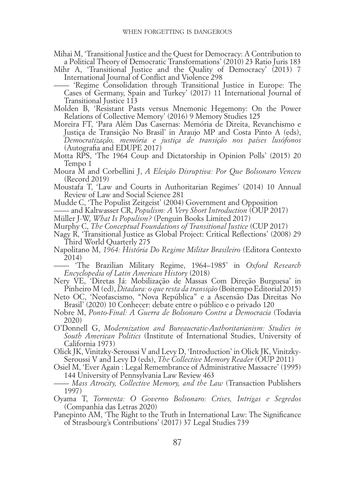- Mihai M, 'Transitional Justice and the Quest for Democracy: A Contribution to a Political Theory of Democratic Transformations' (2010) 23 Ratio Juris 183
- Mihr A, 'Transitional Justice and the Quality of Democracy' (2013) 7 International Journal of Conflict and Violence 298

—— 'Regime Consolidation through Transitional Justice in Europe: The Cases of Germany, Spain and Turkey' (2017) 11 International Journal of Transitional Justice 113

- Molden B, 'Resistant Pasts versus Mnemonic Hegemony: On the Power Relations of Collective Memory' (2016) 9 Memory Studies 125
- Moreira FT, 'Para Além Das Casernas: Memória de Direita, Revanchismo e Justiça de Transição No Brasil' in Araujo MP and Costa Pinto A (eds), *Democratização, memória e justiça de transição nos países lusófonos* (Autografia and EDUPE 2017)
- Motta RPS, 'The 1964 Coup and Dictatorship in Opinion Polls' (2015) 20 Tempo 1
- Moura M and Corbellini J, *A Eleição Disruptiva: Por Que Bolsonaro Venceu* (Record 2019)
- Moustafa T, 'Law and Courts in Authoritarian Regimes' (2014) 10 Annual Review of Law and Social Science 281
- Mudde C, 'The Populist Zeitgeist' (2004) Government and Opposition
- —— and Kaltwasser CR, *Populism: A Very Short Introduction* (OUP 2017)
- Müller J-W, *What Is Populism?* (Penguin Books Limited 2017)
- Murphy C, *The Conceptual Foundations of Transitional Justice* (CUP 2017)
- Nagy R, 'Transitional Justice as Global Project: Critical Reflections' (2008) 29 Third World Quarterly 275
- Napolitano M, *1964: História Do Regime Militar Brasileiro* (Editora Contexto 2014)
- —— 'The Brazilian Military Regime, 1964–1985' in *Oxford Research Encyclopedia of Latin American History* (2018)
- Nery VE, 'Diretas Já: Mobilização de Massas Com Direção Burguesa' in Pinheiro M (ed), *Ditadura: o que resta da transição* (Boitempo Editorial 2015)
- Neto OC, 'Neofascismo, "Nova República" e a Ascensão Das Direitas No Brasil' (2020) 10 Conhecer: debate entre o público e o privado 120
- Nobre M, *Ponto-Final: A Guerra de Bolsonaro Contra a Democracia* (Todavia 2020)
- O'Donnell G, *Modernization and Bureaucratic-Authoritarianism: Studies in South American Politics* (Institute of International Studies, University of California 1973)
- Olick JK, Vinitzky-Seroussi V and Levy D, 'Introduction' in Olick JK, Vinitzky-Seroussi V and Levy D (eds), *The Collective Memory Reader* (OUP 2011)
- Osiel M, 'Ever Again : Legal Remembrance of Administrative Massacre' (1995) 144 University of Pennsylvania Law Review 463
- —— *Mass Atrocity, Collective Memory, and the Law* (Transaction Publishers 1997)
- Oyama T, *Tormenta: O Governo Bolsonaro: Crises, Intrigas e Segredos* (Companhia das Letras 2020)
- Panepinto AM, 'The Right to the Truth in International Law: The Significance of Strasbourg's Contributions' (2017) 37 Legal Studies 739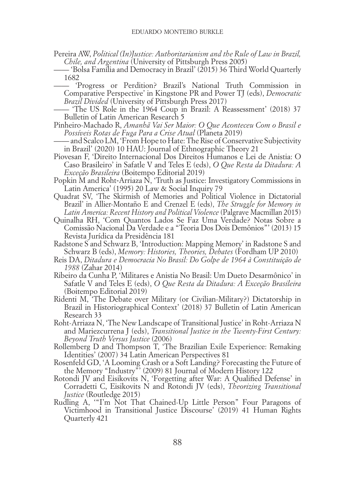Pereira AW, *Political (In)Justice: Authoritarianism and the Rule of Law in Brazil, Chile, and Argentina* (University of Pittsburgh Press 2005)

—— 'Bolsa Família and Democracy in Brazil' (2015) 36 Third World Quarterly 1682

—— 'Progress or Perdition? Brazil's National Truth Commission in Comparative Perspective' in Kingstone PR and Power TJ (eds), *Democratic Brazil Divided* (University of Pittsburgh Press 2017)

—— 'The US Role in the 1964 Coup in Brazil: A Reassessment' (2018) 37 Bulletin of Latin American Research 5

- Pinheiro-Machado R, *Amanhã Vai Ser Maior: O Que Aconteceu Com o Brasil e Possíveis Rotas de Fuga Para a Crise Atual* (Planeta 2019)
- —— and Scalco LM, 'From Hope to Hate: The Rise of Conservative Subjectivity in Brazil' (2020) 10 HAU: Journal of Ethnographic Theory 21
- Piovesan F, 'Direito Internacional Dos Direitos Humanos e Lei de Anistia: O Caso Brasileiro' in Safatle V and Teles E (eds), *O Que Resta da Ditadura: A Exceção Brasileira* (Boitempo Editorial 2019)
- Popkin M and Roht-Arriaza N, 'Truth as Justice: Investigatory Commissions in Latin America' (1995) 20 Law & Social Inquiry 79
- Quadrat SV, 'The Skirmish of Memories and Political Violence in Dictatorial Brazil' in Allier-Montaño E and Crenzel E (eds), *The Struggle for Memory in Latin America: Recent History and Political Violence* (Palgrave Macmillan 2015)
- Quinalha RH, 'Com Quantos Lados Se Faz Uma Verdade? Notas Sobre a Comissão Nacional Da Verdade e a "Teoria Dos Dois Demônios"' (2013) 15 Revista Jurídica da Presidência 181
- Radstone S and Schwarz B, 'Introduction: Mapping Memory' in Radstone S and Schwarz B (eds), *Memory: Histories, Theories, Debates* (Fordham UP 2010)
- Reis DA, *Ditadura e Democracia No Brasil: Do Golpe de 1964 à Constituição de 1988* (Zahar 2014)
- Ribeiro da Cunha P, 'Militares e Anistia No Brasil: Um Dueto Desarmônico' in Safatle V and Teles E (eds), *O Que Resta da Ditadura: A Exceção Brasileira* (Boitempo Editorial 2019)
- Ridenti M, 'The Debate over Military (or Civilian-Military?) Dictatorship in Brazil in Historiographical Context' (2018) 37 Bulletin of Latin American Research 33
- Roht-Arriaza N, 'The New Landscape of Transitional Justice' in Roht-Arriaza N and Mariezcurrena J (eds), *Transitional Justice in the Twenty-First Century: Beyond Truth Versus Justice* (2006)
- Rollemberg D and Thompson T, 'The Brazilian Exile Experience: Remaking Identities' (2007) 34 Latin American Perspectives 81
- Rosenfeld GD, 'A Looming Crash or a Soft Landing? Forecasting the Future of the Memory "Industry"' (2009) 81 Journal of Modern History 122
- Rotondi JV and Eisikovits N, 'Forgetting after War: A Qualified Defense' in Corradetti C, Eisikovits N and Rotondi JV (eds), *Theorizing Transitional Justice* (Routledge 2015)
- Rudling A, '"I'm Not That Chained-Up Little Person" Four Paragons of Victimhood in Transitional Justice Discourse' (2019) 41 Human Rights Quarterly 421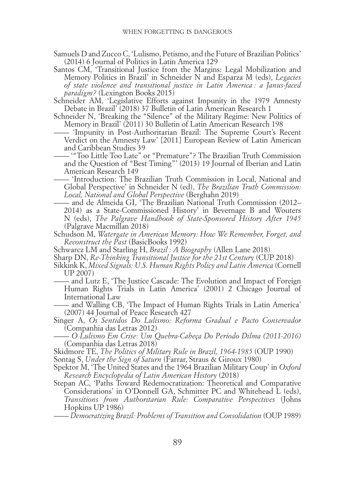- Samuels D and Zucco C, 'Lulismo, Petismo, and the Future of Brazilian Politics' (2014) 6 Journal of Politics in Latin America 129
- Santos CM, 'Transitional Justice from the Margins: Legal Mobilization and Memory Politics in Brazil' in Schneider N and Esparza M (eds), *Legacies of state violence and transitional justice in Latin America : a Janus-faced paradigm?* (Lexington Books 2015)
- Schneider AM, 'Legislative Efforts against Impunity in the 1979 Amnesty Debate in Brazil' (2018) 37 Bulletin of Latin American Research 1
- Schneider N, 'Breaking the "Silence" of the Military Regime: New Politics of Memory in Brazil' (2011) 30 Bulletin of Latin American Research 198
	- —— 'Impunity in Post-Authoritarian Brazil: The Supreme Court's Recent Verdict on the Amnesty Law' [2011] European Review of Latin American and Caribbean Studies 39
	- —— '"Too Little Too Late" or "Premature"? The Brazilian Truth Commission and the Question of "Best Timing"' (2013) 19 Journal of Iberian and Latin American Research 149
	- —— 'Introduction: The Brazilian Truth Commission in Local, National and Global Perspective' in Schneider N (ed), *The Brazilian Truth Commission: Local, National and Global Perspective* (Berghahn 2019)
- —— and de Almeida GI, 'The Brazilian National Truth Commission (2012– 2014) as a State-Commissioned History' in Bevernage B and Wouters N (eds), *The Palgrave Handbook of State-Sponsored History After 1945* (Palgrave Macmillan 2018)
- Schudson M, *Watergate in American Memory: How We Remember, Forget, and Reconstruct the Past* (BasicBooks 1992)
- Schwarcz LM and Starling H, *Brazil : A Biography* (Allen Lane 2018)
- Sharp DN, *Re-Thinking Transitional Justice for the 21st Century* (CUP 2018)
- Sikkink K, *Mixed Signals: U.S. Human Rights Policy and Latin America* (Cornell UP 2007)
	- —— and Lutz E, 'The Justice Cascade: The Evolution and Impact of Foreign Human Rights Trials in Latin America' (2001) 2 Chicago Journal of International Law
- —— and Walling CB, 'The Impact of Human Rights Trials in Latin America' (2007) 44 Journal of Peace Research 427
- Singer A, *Os Sentidos Do Lulismo: Reforma Gradual e Pacto Conservador* (Companhia das Letras 2012)
- —— *O Lulismo Em Crise: Um Quebra-Cabeça Do Período Dilma (2011-2016)* (Companhia das Letras 2018)
- Skidmore TE, *The Politics of Military Rule in Brazil, 1964-1985* (OUP 1990)
- Sontag S, *Under the Sign of Saturn* (Farrar, Straus & Giroux 1980)
- Spektor M, 'The United States and the 1964 Brazilian Military Coup' in *Oxford Research Encyclopedia of Latin American History* (2018)
- Stepan AC, 'Paths Toward Redemocratization: Theoretical and Comparative Considerations' in O'Donnell GA, Schmitter PC and Whitehead L (eds), *Transitions from Authoritarian Rule: Comparative Perspectives* (Johns Hopkins UP 1986)

<sup>——</sup> *Democratizing Brazil: Problems of Transition and Consolidation* (OUP 1989)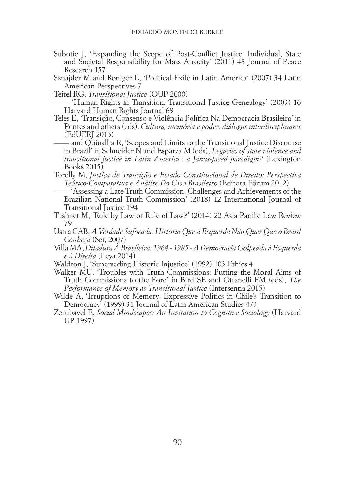- Subotic J, 'Expanding the Scope of Post-Conflict Justice: Individual, State and Societal Responsibility for Mass Atrocity' (2011) 48 Journal of Peace Research 157
- Sznajder M and Roniger L, 'Political Exile in Latin America' (2007) 34 Latin American Perspectives 7

Teitel RG, *Transitional Justice* (OUP 2000)

- —— 'Human Rights in Transition: Transitional Justice Genealogy' (2003) 16 Harvard Human Rights Journal 69
- Teles E, 'Transição, Consenso e Violência Política Na Democracia Brasileira' in Pontes and others (eds), *Cultura, memória e poder: diálogos interdisciplinares* (EdUERJ 2013)
- —— and Quinalha R, 'Scopes and Limits to the Transitional Justice Discourse in Brazil' in Schneider N and Esparza M (eds), *Legacies of state violence and transitional justice in Latin America : a Janus-faced paradigm?* (Lexington Books 2015)
- Torelly M, *Justiça de Transição e Estado Constitucional de Direito: Perspectiva Teórico-Comparativa e Análise Do Caso Brasileiro* (Editora Fórum 2012)
	- 'Assessing a Late Truth Commission: Challenges and Achievements of the Brazilian National Truth Commission' (2018) 12 International Journal of Transitional Justice 194
- Tushnet M, 'Rule by Law or Rule of Law?' (2014) 22 Asia Pacific Law Review 79
- Ustra CAB, *A Verdade Sufocada: História Que a Esquerda Não Quer Que o Brasil Conheça* (Ser, 2007)
- Villa MA, *Ditadura À Brasileira: 1964 1985 A Democracia Golpeada à Esquerda e à Direita* (Leya 2014)
- Waldron J, 'Superseding Historic Injustice' (1992) 103 Ethics 4
- Walker MU, 'Troubles with Truth Commissions: Putting the Moral Aims of Truth Commissions to the Fore' in Bird SE and Ottanelli FM (eds), *The Performance of Memory as Transitional Justice* (Intersentia 2015)
- Wilde A, 'Irruptions of Memory: Expressive Politics in Chile's Transition to Democracy' (1999) 31 Journal of Latin American Studies 473
- Zerubavel E, *Social Mindscapes: An Invitation to Cognitive Sociology* (Harvard UP 1997)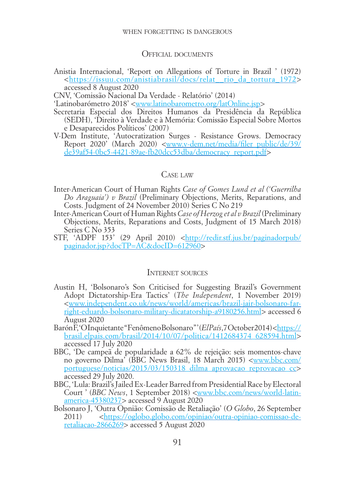#### when forgetting is dangerous

#### Official documents

Anistia Internacional, 'Report on Allegations of Torture in Brazil ' (1972) <[https://issuu.com/anistiabrasil/docs/relat\\_\\_rio\\_da\\_tortura\\_1972](https://issuu.com/anistiabrasil/docs/relat__rio_da_tortura_1972)> accessed 8 August 2020

CNV, 'Comissão Nacional Da Verdade - Relatório' (2014)

'Latinobarómetro 2018' <[www.latinobarometro.org/latOnline.jsp](http://www.latinobarometro.org/latOnline.jsp)>

- Secretaria Especial dos Direitos Humanos da Presidência da República (SEDH), 'Direito à Verdade e à Memória: Comissão Especial Sobre Mortos e Desaparecidos Políticos' (2007)
- V-Dem Institute, 'Autocratization Surges Resistance Grows. Democracy Report 2020' (March 2020) <[www.v-dem.net/media/filer\\_public/de/39/](http://www.v-dem.net/media/filer_public/de/39/de39af54-0bc5-4421-89ae-fb20dcc53dba/democracy_report.pdf) [de39af54-0bc5-4421-89ae-fb20dcc53dba/democracy\\_report.pdf>](http://www.v-dem.net/media/filer_public/de/39/de39af54-0bc5-4421-89ae-fb20dcc53dba/democracy_report.pdf)

#### CASE LAW

- Inter-American Court of Human Rights *Case of Gomes Lund et al ('Guerrilha Do Araguaia') v Brazil* (Preliminary Objections, Merits, Reparations, and Costs. Judgment of 24 November 2010) Series C No 219
- Inter-American Court of Human Rights *Case of Herzog et al v Brazil* (Preliminary Objections, Merits, Reparations and Costs, Judgment of 15 March 2018) Series C No 353
- STF, 'ADPF 153' (29 April 2010) [<http://redir.stf.jus.br/paginadorpub/](http://redir.stf.jus.br/paginadorpub/paginador.jsp?docTP=AC&docID=612960) [paginador.jsp?docTP=AC&docID=612960>](http://redir.stf.jus.br/paginadorpub/paginador.jsp?docTP=AC&docID=612960)

### INTERNET SOURCES

- Austin H, 'Bolsonaro's Son Criticised for Suggesting Brazil's Government Adopt Dictatorship-Era Tactics' (*The Independent*, 1 November 2019) [<www.independent.co.uk/news/world/americas/brazil-jair-bolsonaro-far](http://www.independent.co.uk/news/world/americas/brazil-jair-bolsonaro-far-right-eduardo-bolsonaro-military-dicatatorship-a9180256.html)[right-eduardo-bolsonaro-military-dicatatorship-a9180256.html>](http://www.independent.co.uk/news/world/americas/brazil-jair-bolsonaro-far-right-eduardo-bolsonaro-military-dicatatorship-a9180256.html) accessed 6 August 2020
- Barón F, 'OInquietante "Fenômeno Bolsonaro"' (*El País*, 7 October 2014) [<https://](https://brasil.elpais.com/brasil/2014/10/07/politica/1412684374_628594.html) [brasil.elpais.com/brasil/2014/10/07/politica/1412684374\\_628594.html](https://brasil.elpais.com/brasil/2014/10/07/politica/1412684374_628594.html)> accessed 17 July 2020
- BBC, 'De campeã de popularidade a 62% de rejeição: seis momentos-chave no governo Dilma' (BBC News Brasil, 18 March 2015) [<www.bbc.com/](http://www.bbc.com/portuguese/noticias/2015/03/150318_dilma_aprovacao_reprovacao_cc) [portuguese/noticias/2015/03/150318\\_dilma\\_aprovacao\\_reprovacao\\_cc](http://www.bbc.com/portuguese/noticias/2015/03/150318_dilma_aprovacao_reprovacao_cc)> accessed 29 July 2020.
- BBC, 'Lula: Brazil's Jailed Ex-Leader Barred from Presidential Race by Electoral Court ' (*BBC News*, 1 September 2018) [<www.bbc.com/news/world-latin](http://www.bbc.com/news/world-latin-america-45380237)[america-45380237>](http://www.bbc.com/news/world-latin-america-45380237) accessed 9 August 2020
- Bolsonaro J, 'Outra Opnião: Comissão de Retaliação' (*O Globo*, 26 September 2011) <[https://oglobo.globo.com/opiniao/outra-opiniao-comissao-de](https://oglobo.globo.com/opiniao/outra-opiniao-comissao-de-retaliacao-2866269)[retaliacao-2866269](https://oglobo.globo.com/opiniao/outra-opiniao-comissao-de-retaliacao-2866269)> accessed 5 August 2020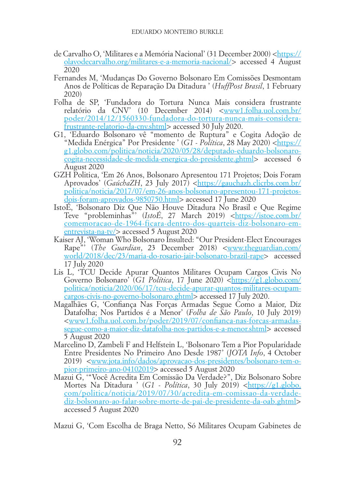- de Carvalho O, 'Militares e a Memória Nacional' (31 December 2000) [<https://](https://olavodecarvalho.org/militares-e-a-memoria-nacional/) [olavodecarvalho.org/militares-e-a-memoria-nacional/>](https://olavodecarvalho.org/militares-e-a-memoria-nacional/) accessed 4 August 2020
- Fernandes M, 'Mudanças Do Governo Bolsonaro Em Comissões Desmontam Anos de Políticas de Reparação Da Ditadura ' (*HuffPost Brasil*, 1 February 2020)
- Folha de SP, 'Fundadora do Tortura Nunca Mais considera frustrante relatório da CNV' (10 December 2014) <[www1.folha.uol.com.br/](http://www1.folha.uol.com.br/poder/2014/12/1560330-fundadora-do-tortura-nunca-mais-considera-frustrante-relatorio-da-cnv.shtml) [poder/2014/12/1560330-fundadora-do-tortura-nunca-mais-considera](http://www1.folha.uol.com.br/poder/2014/12/1560330-fundadora-do-tortura-nunca-mais-considera-frustrante-relatorio-da-cnv.shtml)[frustrante-relatorio-da-cnv.shtml](http://www1.folha.uol.com.br/poder/2014/12/1560330-fundadora-do-tortura-nunca-mais-considera-frustrante-relatorio-da-cnv.shtml)> accessed 30 July 2020.
- G1, 'Eduardo Bolsonaro vê "momento de Ruptura" e Cogita Adoção de "Medida Enérgica" Por Presidente ' (G1 - Política, 28 May 2020) [<https://](https://g1.globo.com/politica/noticia/2020/05/28/deputado-eduardo-bolsonaro-cogita-necessidade-de-medida-energica-do-presidente.ghtml) [g1.globo.com/politica/noticia/2020/05/28/deputado-eduardo-bolsonaro](https://g1.globo.com/politica/noticia/2020/05/28/deputado-eduardo-bolsonaro-cogita-necessidade-de-medida-energica-do-presidente.ghtml)[cogita-necessidade-de-medida-energica-do-presidente.ghtml](https://g1.globo.com/politica/noticia/2020/05/28/deputado-eduardo-bolsonaro-cogita-necessidade-de-medida-energica-do-presidente.ghtml)> accessed 6 August 2020
- GZH Politica, 'Em 26 Anos, Bolsonaro Apresentou 171 Projetos; Dois Foram Aprovados' (*GaúchaZH*, 23 July 2017) [<https://gauchazh.clicrbs.com.br/](https://gauchazh.clicrbs.com.br/politica/noticia/2017/07/em-26-anos-bolsonaro-apresentou-171-projetos-dois-foram-aprovados-9850750.html) [politica/noticia/2017/07/em-26-anos-bolsonaro-apresentou-171-projetos](https://gauchazh.clicrbs.com.br/politica/noticia/2017/07/em-26-anos-bolsonaro-apresentou-171-projetos-dois-foram-aprovados-9850750.html)[dois-foram-aprovados-9850750.html>](https://gauchazh.clicrbs.com.br/politica/noticia/2017/07/em-26-anos-bolsonaro-apresentou-171-projetos-dois-foram-aprovados-9850750.html) accessed 17 June 2020
- IstoÉ, 'Bolsonaro Diz Que Não Houve Ditadura No Brasil e Que Regime Teve "probleminhas"' (*IstoÉ*, 27 March 2019) [<https://istoe.com.br/](https://istoe.com.br/comemoracao-de-1964-ficara-dentro-dos-quarteis-diz-bolsonaro-em-entrevista-na-tv/) [comemoracao-de-1964-ficara-dentro-dos-quarteis-diz-bolsonaro-em](https://istoe.com.br/comemoracao-de-1964-ficara-dentro-dos-quarteis-diz-bolsonaro-em-entrevista-na-tv/)[entrevista-na-tv/](https://istoe.com.br/comemoracao-de-1964-ficara-dentro-dos-quarteis-diz-bolsonaro-em-entrevista-na-tv/)> accessed 5 August 2020
- Kaiser AJ, 'Woman Who Bolsonaro Insulted: "Our President-Elect Encourages Rape"' (*The Guardian*, 23 December 2018) [<www.theguardian.com/](http://www.theguardian.com/world/2018/dec/23/maria-do-rosario-jair-bolsonaro-brazil-rape) [world/2018/dec/23/maria-do-rosario-jair-bolsonaro-brazil-rape>](http://www.theguardian.com/world/2018/dec/23/maria-do-rosario-jair-bolsonaro-brazil-rape) accessed 17 July 2020
- Lis L, 'TCU Decide Apurar Quantos Militares Ocupam Cargos Civis No Governo Bolsonaro' (*G1 Política*, 17 June 2020) [<https://g1.globo.com/](https://g1.globo.com/politica/noticia/2020/06/17/tcu-decide-apurar-quantos-militares-ocupam-cargos-civis-no-governo-bolsonaro.ghtml) [politica/noticia/2020/06/17/tcu-decide-apurar-quantos-militares-ocupam](https://g1.globo.com/politica/noticia/2020/06/17/tcu-decide-apurar-quantos-militares-ocupam-cargos-civis-no-governo-bolsonaro.ghtml)[cargos-civis-no-governo-bolsonaro.ghtml](https://g1.globo.com/politica/noticia/2020/06/17/tcu-decide-apurar-quantos-militares-ocupam-cargos-civis-no-governo-bolsonaro.ghtml)> accessed 17 July 2020.
- Magalhães G, 'Confiança Nas Forças Armadas Segue Como a Maior, Diz Datafolha; Nos Partidos é a Menor' (*Folha de São Paulo*, 10 July 2019) [<www1.folha.uol.com.br/poder/2019/07/confianca-nas-forcas-armadas](http://www1.folha.uol.com.br/poder/2019/07/confianca-nas-forcas-armadas-segue-como-a-maior-diz-datafolha-nos-partidos-e-a-menor.shtml)[segue-como-a-maior-diz-datafolha-nos-partidos-e-a-menor.shtml](http://www1.folha.uol.com.br/poder/2019/07/confianca-nas-forcas-armadas-segue-como-a-maior-diz-datafolha-nos-partidos-e-a-menor.shtml)> accessed 5 August 2020
- Marcelino D, Zambeli F and Helfstein L, 'Bolsonaro Tem a Pior Popularidade Entre Presidentes No Primeiro Ano Desde 1987' (*JOTA Info*, 4 October 2019) <[www.jota.info/dados/aprovacao-dos-presidentes/bolsonaro-tem-o](https://www.jota.info/dados/aprovacao-dos-presidentes/bolsonaro-tem-o-pior-primeiro-ano-04102019)[pior-primeiro-ano-04102019](https://www.jota.info/dados/aprovacao-dos-presidentes/bolsonaro-tem-o-pior-primeiro-ano-04102019)> accessed 5 August 2020
- Mazui G, '"Você Acredita Em Comissão Da Verdade?", Diz Bolsonaro Sobre Mortes Na Ditadura ' (G1 - Política, 30 July 2019) <[https://g1.globo.](https://g1.globo.com/politica/noticia/2019/07/30/acredita-em-comissao-da-verdade-diz-bolsonaro-ao-falar-sobre-morte-de-pai-de-presidente-da-oab.ghtml) [com/politica/noticia/2019/07/30/acredita-em-comissao-da-verdade](https://g1.globo.com/politica/noticia/2019/07/30/acredita-em-comissao-da-verdade-diz-bolsonaro-ao-falar-sobre-morte-de-pai-de-presidente-da-oab.ghtml)[diz-bolsonaro-ao-falar-sobre-morte-de-pai-de-presidente-da-oab.ghtml>](https://g1.globo.com/politica/noticia/2019/07/30/acredita-em-comissao-da-verdade-diz-bolsonaro-ao-falar-sobre-morte-de-pai-de-presidente-da-oab.ghtml) accessed 5 August 2020

Mazui G, 'Com Escolha de Braga Netto, Só Militares Ocupam Gabinetes de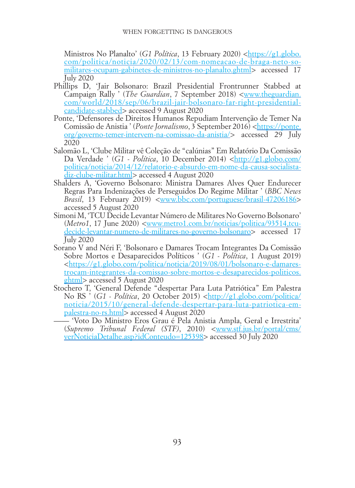Ministros No Planalto' (*G1 Política*, 13 February 2020) <[https://g1.globo.](https://g1.globo.com/politica/noticia/2020/02/13/com-nomeacao-de-braga-neto-so-militares-ocupam-gabinetes-de-ministros-no-planalto.ghtml) [com/politica/noticia/2020/02/13/com-nomeacao-de-braga-neto-so](https://g1.globo.com/politica/noticia/2020/02/13/com-nomeacao-de-braga-neto-so-militares-ocupam-gabinetes-de-ministros-no-planalto.ghtml)[militares-ocupam-gabinetes-de-ministros-no-planalto.ghtml](https://g1.globo.com/politica/noticia/2020/02/13/com-nomeacao-de-braga-neto-so-militares-ocupam-gabinetes-de-ministros-no-planalto.ghtml)> accessed 17 July 2020

- Phillips D, 'Jair Bolsonaro: Brazil Presidential Frontrunner Stabbed at Campaign Rally ' (*The Guardian*, 7 September 2018) <[www.theguardian.](http://www.theguardian.com/world/2018/sep/06/brazil-jair-bolsonaro-far-right-presidential-candidate-stabbed) [com/world/2018/sep/06/brazil-jair-bolsonaro-far-right-presidential](http://www.theguardian.com/world/2018/sep/06/brazil-jair-bolsonaro-far-right-presidential-candidate-stabbed)[candidate-stabbed](http://www.theguardian.com/world/2018/sep/06/brazil-jair-bolsonaro-far-right-presidential-candidate-stabbed)> accessed 9 August 2020
- Ponte, 'Defensores de Direitos Humanos Repudiam Intervenção de Temer Na Comissão de Anistia ' (*Ponte Jornalismo*, 3 September 2016) [<https://ponte.](https://ponte.org/governo-temer-intervem-na-comissao-da-anistia/) [org/governo-temer-intervem-na-comissao-da-anistia/](https://ponte.org/governo-temer-intervem-na-comissao-da-anistia/)> accessed 29 July 2020
- Salomão L, 'Clube Militar vê Coleção de "calúnias" Em Relatório Da Comissão Da Verdade ' (*G1 - Política*, 10 December 2014) <[http://g1.globo.com/](http://g1.globo.com/politica/noticia/2014/12/relatorio-e-absurdo-em-nome-da-causa-socialista-diz-clube-militar.html) [politica/noticia/2014/12/relatorio-e-absurdo-em-nome-da-causa-socialista](http://g1.globo.com/politica/noticia/2014/12/relatorio-e-absurdo-em-nome-da-causa-socialista-diz-clube-militar.html)[diz-clube-militar.html>](http://g1.globo.com/politica/noticia/2014/12/relatorio-e-absurdo-em-nome-da-causa-socialista-diz-clube-militar.html) accessed 4 August 2020
- Shalders A, 'Governo Bolsonaro: Ministra Damares Alves Quer Endurecer Regras Para Indenizações de Perseguidos Do Regime Militar ' (*BBC News Brasil*, 13 February 2019) [<www.bbc.com/portuguese/brasil-47206186](http://www.bbc.com/portuguese/brasil-47206186)> accessed 5 August 2020
- Simoni M, 'TCU Decide Levantar Número de Militares No Governo Bolsonaro' (*Metro1*, 17 June 2020) [<www.metro1.com.br/noticias/politica/93514,tcu](http://www.metro1.com.br/noticias/politica/93514,tcu-decide-levantar-numero-de-militares-no-governo-bolsonaro)[decide-levantar-numero-de-militares-no-governo-bolsonaro>](http://www.metro1.com.br/noticias/politica/93514,tcu-decide-levantar-numero-de-militares-no-governo-bolsonaro) accessed 17 July 2020
- Sorano V and Néri F, 'Bolsonaro e Damares Trocam Integrantes Da Comissão Sobre Mortos e Desaparecidos Políticos ' (*G1 - Política*, 1 August 2019) [<https://g1.globo.com/politica/noticia/2019/08/01/bolsonaro-e-damares](https://g1.globo.com/politica/noticia/2019/08/01/bolsonaro-e-damares-trocam-integrantes-da-comissao-sobre-mortos-e-desaparecidos-politicos.ghtml)[trocam-integrantes-da-comissao-sobre-mortos-e-desaparecidos-politicos.](https://g1.globo.com/politica/noticia/2019/08/01/bolsonaro-e-damares-trocam-integrantes-da-comissao-sobre-mortos-e-desaparecidos-politicos.ghtml) [ghtml](https://g1.globo.com/politica/noticia/2019/08/01/bolsonaro-e-damares-trocam-integrantes-da-comissao-sobre-mortos-e-desaparecidos-politicos.ghtml)> accessed 5 August 2020
- Stochero T, 'General Defende "despertar Para Luta Patriótica" Em Palestra No RS ' (*G1 - Política*, 20 October 2015) [<http://g1.globo.com/politica/](http://g1.globo.com/politica/noticia/2015/10/general-defende-despertar-para-luta-patriotica-em-palestra-no-rs.html) [noticia/2015/10/general-defende-despertar-para-luta-patriotica-em](http://g1.globo.com/politica/noticia/2015/10/general-defende-despertar-para-luta-patriotica-em-palestra-no-rs.html)[palestra-no-rs.html](http://g1.globo.com/politica/noticia/2015/10/general-defende-despertar-para-luta-patriotica-em-palestra-no-rs.html)> accessed 4 August 2020
	- —— 'Voto Do Ministro Eros Grau é Pela Anistia Ampla, Geral e Irrestrita' (*Supremo Tribunal Federal (STF)*, 2010) [<www.stf.jus.br/portal/cms/](http://www.stf.jus.br/portal/cms/verNoticiaDetalhe.asp?idConteudo=125398) [verNoticiaDetalhe.asp?idConteudo=125398>](http://www.stf.jus.br/portal/cms/verNoticiaDetalhe.asp?idConteudo=125398) accessed 30 July 2020